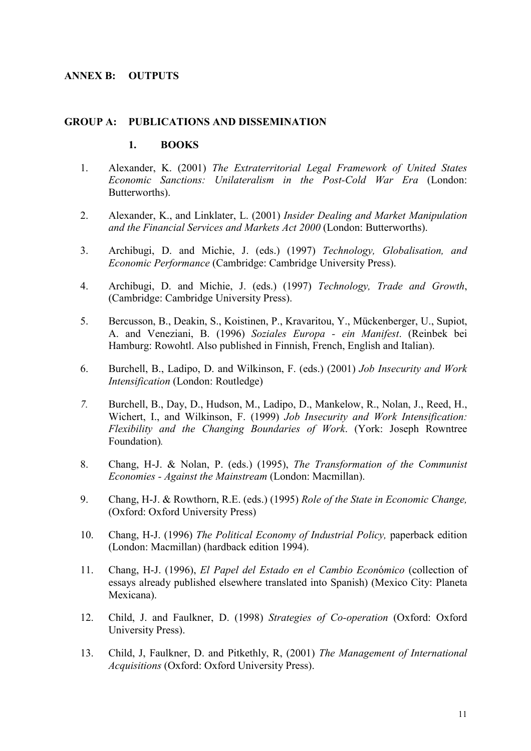# **ANNEX B: OUTPUTS**

### **GROUP A: PUBLICATIONS AND DISSEMINATION**

### **1. BOOKS**

- 1. Alexander, K. (2001) *The Extraterritorial Legal Framework of United States Economic Sanctions: Unilateralism in the Post-Cold War Era* (London: Butterworths).
- 2. Alexander, K., and Linklater, L. (2001) *Insider Dealing and Market Manipulation and the Financial Services and Markets Act 2000* (London: Butterworths).
- 3. Archibugi, D. and Michie, J. (eds.) (1997) *Technology, Globalisation, and Economic Performance* (Cambridge: Cambridge University Press).
- 4. Archibugi, D. and Michie, J. (eds.) (1997) *Technology, Trade and Growth*, (Cambridge: Cambridge University Press).
- 5. Bercusson, B., Deakin, S., Koistinen, P., Kravaritou, Y., Mückenberger, U., Supiot, A. and Veneziani, B. (1996) *Soziales Europa - ein Manifest*. (Reinbek bei Hamburg: Rowohtl. Also published in Finnish, French, English and Italian).
- 6. Burchell, B., Ladipo, D. and Wilkinson, F. (eds.) (2001) *Job Insecurity and Work Intensification* (London: Routledge)
- *7.* Burchell, B., Day, D., Hudson, M., Ladipo, D., Mankelow, R., Nolan, J., Reed, H., Wichert, I., and Wilkinson, F. (1999) *Job Insecurity and Work Intensification: Flexibility and the Changing Boundaries of Work*. (York: Joseph Rowntree Foundation)*.*
- 8. Chang, H-J. & Nolan, P. (eds.) (1995), *The Transformation of the Communist Economies - Against the Mainstream* (London: Macmillan).
- 9. Chang, H-J. & Rowthorn, R.E. (eds.) (1995) *Role of the State in Economic Change,* (Oxford: Oxford University Press)
- 10. Chang, H-J. (1996) *The Political Economy of Industrial Policy,* paperback edition (London: Macmillan) (hardback edition 1994).
- 11. Chang, H-J. (1996), *El Papel del Estado en el Cambio Econ*ó*mico* (collection of essays already published elsewhere translated into Spanish) (Mexico City: Planeta Mexicana).
- 12. Child, J. and Faulkner, D. (1998) *Strategies of Co-operation* (Oxford: Oxford University Press).
- 13. Child, J, Faulkner, D. and Pitkethly, R, (2001) *The Management of International Acquisitions* (Oxford: Oxford University Press).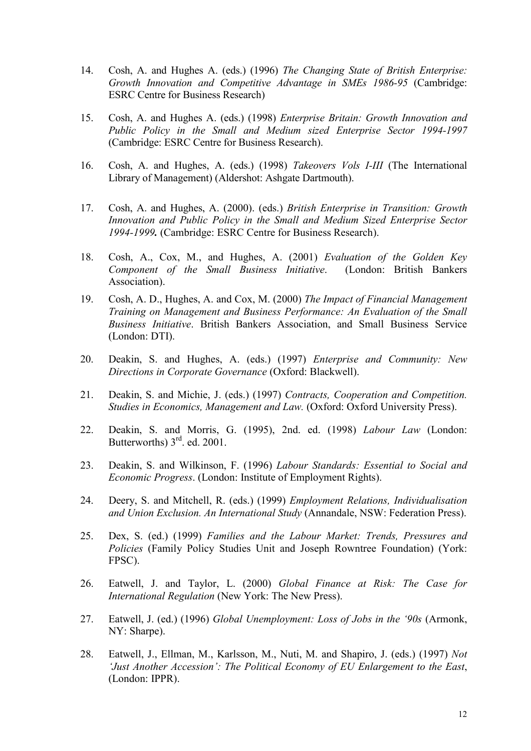- 14. Cosh, A. and Hughes A. (eds.) (1996) *The Changing State of British Enterprise: Growth Innovation and Competitive Advantage in SMEs 1986-95* (Cambridge: ESRC Centre for Business Research)
- 15. Cosh, A. and Hughes A. (eds.) (1998) *Enterprise Britain: Growth Innovation and Public Policy in the Small and Medium sized Enterprise Sector 1994-1997* (Cambridge: ESRC Centre for Business Research).
- 16. Cosh, A. and Hughes, A. (eds.) (1998) *Takeovers Vols I-III* (The International Library of Management) (Aldershot: Ashgate Dartmouth).
- 17. Cosh, A. and Hughes, A. (2000). (eds.) *British Enterprise in Transition: Growth Innovation and Public Policy in the Small and Medium Sized Enterprise Sector 1994-1999.* (Cambridge: ESRC Centre for Business Research).
- 18. Cosh, A., Cox, M., and Hughes, A. (2001) *Evaluation of the Golden Key Component of the Small Business Initiative*. (London: British Bankers Association).
- 19. Cosh, A. D., Hughes, A. and Cox, M. (2000) *The Impact of Financial Management Training on Management and Business Performance: An Evaluation of the Small Business Initiative*. British Bankers Association, and Small Business Service (London: DTI).
- 20. Deakin, S. and Hughes, A. (eds.) (1997) *Enterprise and Community: New Directions in Corporate Governance* (Oxford: Blackwell).
- 21. Deakin, S. and Michie, J. (eds.) (1997) *Contracts, Cooperation and Competition. Studies in Economics, Management and Law.* (Oxford: Oxford University Press).
- 22. Deakin, S. and Morris, G. (1995), 2nd. ed. (1998) *Labour Law* (London: Butterworths)  $3<sup>rd</sup>$ . ed. 2001.
- 23. Deakin, S. and Wilkinson, F. (1996) *Labour Standards: Essential to Social and Economic Progress*. (London: Institute of Employment Rights).
- 24. Deery, S. and Mitchell, R. (eds.) (1999) *Employment Relations, Individualisation and Union Exclusion. An International Study* (Annandale, NSW: Federation Press).
- 25. Dex, S. (ed.) (1999) *Families and the Labour Market: Trends, Pressures and Policies* (Family Policy Studies Unit and Joseph Rowntree Foundation) (York: FPSC).
- 26. Eatwell, J. and Taylor, L. (2000) *Global Finance at Risk: The Case for International Regulation* (New York: The New Press).
- 27. Eatwell, J. (ed.) (1996) *Global Unemployment: Loss of Jobs in the '90s* (Armonk, NY: Sharpe).
- 28. Eatwell, J., Ellman, M., Karlsson, M., Nuti, M. and Shapiro, J. (eds.) (1997) *Not 'Just Another Accession': The Political Economy of EU Enlargement to the East*, (London: IPPR).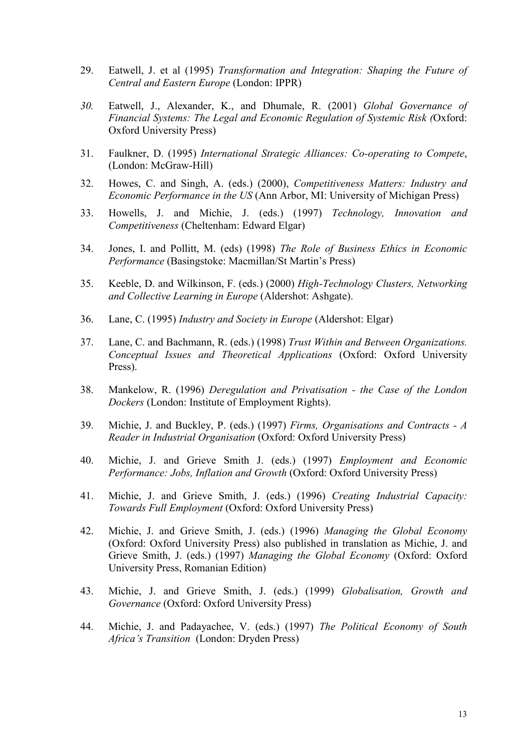- 29. Eatwell, J. et al (1995) *Transformation and Integration: Shaping the Future of Central and Eastern Europe* (London: IPPR)
- *30.* Eatwell, J., Alexander, K., and Dhumale, R. (2001) *Global Governance of Financial Systems: The Legal and Economic Regulation of Systemic Risk (*Oxford: Oxford University Press)
- 31. Faulkner, D. (1995) *International Strategic Alliances: Co-operating to Compete*, (London: McGraw-Hill)
- 32. Howes, C. and Singh, A. (eds.) (2000), *Competitiveness Matters: Industry and Economic Performance in the US* (Ann Arbor, MI: University of Michigan Press)
- 33. Howells, J. and Michie, J. (eds.) (1997) *Technology, Innovation and Competitiveness* (Cheltenham: Edward Elgar)
- 34. Jones, I. and Pollitt, M. (eds) (1998) *The Role of Business Ethics in Economic Performance* (Basingstoke: Macmillan/St Martin's Press)
- 35. Keeble, D. and Wilkinson, F. (eds.) (2000) *High-Technology Clusters, Networking and Collective Learning in Europe* (Aldershot: Ashgate).
- 36. Lane, C. (1995) *Industry and Society in Europe* (Aldershot: Elgar)
- 37. Lane, C. and Bachmann, R. (eds.) (1998) *Trust Within and Between Organizations. Conceptual Issues and Theoretical Applications* (Oxford: Oxford University Press).
- 38. Mankelow, R. (1996) *Deregulation and Privatisation the Case of the London Dockers* (London: Institute of Employment Rights).
- 39. Michie, J. and Buckley, P. (eds.) (1997) *Firms, Organisations and Contracts A Reader in Industrial Organisation* (Oxford: Oxford University Press)
- 40. Michie, J. and Grieve Smith J. (eds.) (1997) *Employment and Economic Performance: Jobs, Inflation and Growth* (Oxford: Oxford University Press)
- 41. Michie, J. and Grieve Smith, J. (eds.) (1996) *Creating Industrial Capacity: Towards Full Employment* (Oxford: Oxford University Press)
- 42. Michie, J. and Grieve Smith, J. (eds.) (1996) *Managing the Global Economy* (Oxford: Oxford University Press) also published in translation as Michie, J. and Grieve Smith, J. (eds.) (1997) *Managing the Global Economy* (Oxford: Oxford University Press, Romanian Edition)
- 43. Michie, J. and Grieve Smith, J. (eds.) (1999) *Globalisation, Growth and Governance* (Oxford: Oxford University Press)
- 44. Michie, J. and Padayachee, V. (eds.) (1997) *The Political Economy of South Africa's Transition* (London: Dryden Press)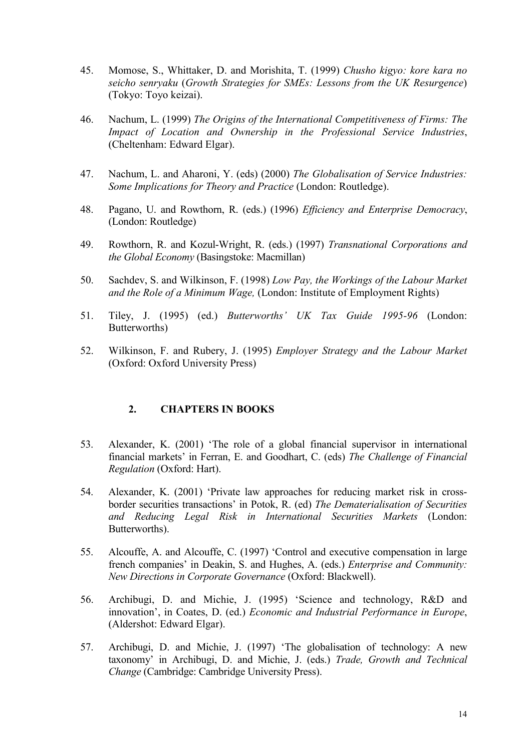- 45. Momose, S., Whittaker, D. and Morishita, T. (1999) *Chusho kigyo: kore kara no seicho senryaku* (*Growth Strategies for SMEs: Lessons from the UK Resurgence*) (Tokyo: Toyo keizai).
- 46. Nachum, L. (1999) *The Origins of the International Competitiveness of Firms: The Impact of Location and Ownership in the Professional Service Industries*, (Cheltenham: Edward Elgar).
- 47. Nachum, L. and Aharoni, Y. (eds) (2000) *The Globalisation of Service Industries: Some Implications for Theory and Practice* (London: Routledge).
- 48. Pagano, U. and Rowthorn, R. (eds.) (1996) *Efficiency and Enterprise Democracy*, (London: Routledge)
- 49. Rowthorn, R. and Kozul-Wright, R. (eds.) (1997) *Transnational Corporations and the Global Economy* (Basingstoke: Macmillan)
- 50. Sachdev, S. and Wilkinson, F. (1998) *Low Pay, the Workings of the Labour Market and the Role of a Minimum Wage,* (London: Institute of Employment Rights)
- 51. Tiley, J. (1995) (ed.) *Butterworths' UK Tax Guide 1995-96* (London: Butterworths)
- 52. Wilkinson, F. and Rubery, J. (1995) *Employer Strategy and the Labour Market* (Oxford: Oxford University Press)

# **2. CHAPTERS IN BOOKS**

- 53. Alexander, K. (2001) 'The role of a global financial supervisor in international financial markets' in Ferran, E. and Goodhart, C. (eds) *The Challenge of Financial Regulation* (Oxford: Hart).
- 54. Alexander, K. (2001) 'Private law approaches for reducing market risk in crossborder securities transactions' in Potok, R. (ed) *The Dematerialisation of Securities and Reducing Legal Risk in International Securities Markets* (London: Butterworths).
- 55. Alcouffe, A. and Alcouffe, C. (1997) 'Control and executive compensation in large french companies' in Deakin, S. and Hughes, A. (eds.) *Enterprise and Community: New Directions in Corporate Governance* (Oxford: Blackwell).
- 56. Archibugi, D. and Michie, J. (1995) 'Science and technology, R&D and innovation', in Coates, D. (ed.) *Economic and Industrial Performance in Europe*, (Aldershot: Edward Elgar).
- 57. Archibugi, D. and Michie, J. (1997) 'The globalisation of technology: A new taxonomy' in Archibugi, D. and Michie, J. (eds.) *Trade, Growth and Technical Change* (Cambridge: Cambridge University Press).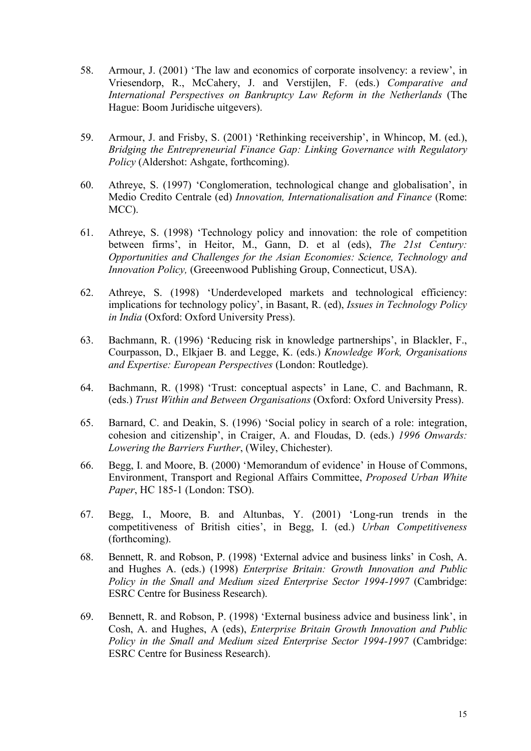- 58. Armour, J. (2001) 'The law and economics of corporate insolvency: a review', in Vriesendorp, R., McCahery, J. and Verstijlen, F. (eds.) *Comparative and International Perspectives on Bankruptcy Law Reform in the Netherlands* (The Hague: Boom Juridische uitgevers).
- 59. Armour, J. and Frisby, S. (2001) 'Rethinking receivership', in Whincop, M. (ed.), *Bridging the Entrepreneurial Finance Gap: Linking Governance with Regulatory Policy* (Aldershot: Ashgate, forthcoming).
- 60. Athreye, S. (1997) 'Conglomeration, technological change and globalisation', in Medio Credito Centrale (ed) *Innovation, Internationalisation and Finance* (Rome: MCC).
- 61. Athreye, S. (1998) 'Technology policy and innovation: the role of competition between firms', in Heitor, M., Gann, D. et al (eds), *The 21st Century: Opportunities and Challenges for the Asian Economies: Science, Technology and Innovation Policy,* (Greeenwood Publishing Group, Connecticut, USA).
- 62. Athreye, S. (1998) 'Underdeveloped markets and technological efficiency: implications for technology policy', in Basant, R. (ed), *Issues in Technology Policy in India* (Oxford: Oxford University Press).
- 63. Bachmann, R. (1996) 'Reducing risk in knowledge partnerships', in Blackler, F., Courpasson, D., Elkjaer B. and Legge, K. (eds.) *Knowledge Work, Organisations and Expertise: European Perspectives* (London: Routledge).
- 64. Bachmann, R. (1998) 'Trust: conceptual aspects' in Lane, C. and Bachmann, R. (eds.) *Trust Within and Between Organisations* (Oxford: Oxford University Press).
- 65. Barnard, C. and Deakin, S. (1996) 'Social policy in search of a role: integration, cohesion and citizenship', in Craiger, A. and Floudas, D. (eds.) *1996 Onwards: Lowering the Barriers Further*, (Wiley, Chichester).
- 66. Begg, I. and Moore, B. (2000) 'Memorandum of evidence' in House of Commons, Environment, Transport and Regional Affairs Committee, *Proposed Urban White Paper*, HC 185-1 (London: TSO).
- 67. Begg, I., Moore, B. and Altunbas, Y. (2001) 'Long-run trends in the competitiveness of British cities', in Begg, I. (ed.) *Urban Competitiveness* (forthcoming).
- 68. Bennett, R. and Robson, P. (1998) 'External advice and business links' in Cosh, A. and Hughes A. (eds.) (1998) *Enterprise Britain: Growth Innovation and Public Policy in the Small and Medium sized Enterprise Sector 1994-1997* (Cambridge: ESRC Centre for Business Research).
- 69. Bennett, R. and Robson, P. (1998) 'External business advice and business link', in Cosh, A. and Hughes, A (eds), *Enterprise Britain Growth Innovation and Public Policy in the Small and Medium sized Enterprise Sector 1994-1997* (Cambridge: ESRC Centre for Business Research).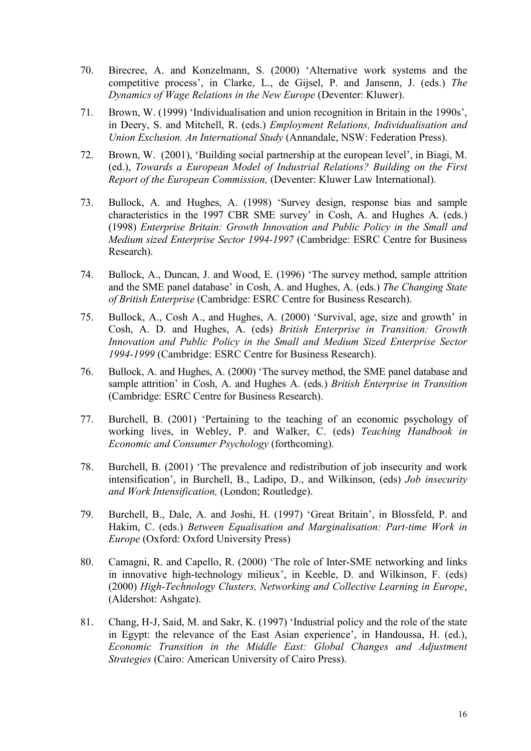- 70. Birecree, A. and Konzelmann, S. (2000) 'Alternative work systems and the competitive process', in Clarke, L., de Gijsel, P. and Jansenn, J. (eds.) *The Dynamics of Wage Relations in the New Europe* (Deventer: Kluwer).
- 71. Brown, W. (1999) 'Individualisation and union recognition in Britain in the 1990s', in Deery, S. and Mitchell, R. (eds.) *Employment Relations, Individualisation and Union Exclusion. An International Study* (Annandale, NSW: Federation Press).
- 72. Brown, W. (2001), 'Building social partnership at the european level', in Biagi, M. (ed.), *Towards a European Model of Industrial Relations? Building on the First Report of the European Commission,* (Deventer: Kluwer Law International).
- 73. Bullock, A. and Hughes, A. (1998) 'Survey design, response bias and sample characteristics in the 1997 CBR SME survey' in Cosh, A. and Hughes A. (eds.) (1998) *Enterprise Britain: Growth Innovation and Public Policy in the Small and Medium sized Enterprise Sector 1994-1997* (Cambridge: ESRC Centre for Business Research).
- 74. Bullock, A., Duncan, J. and Wood, E. (1996) 'The survey method, sample attrition and the SME panel database' in Cosh, A. and Hughes, A. (eds.) *The Changing State of British Enterprise* (Cambridge: ESRC Centre for Business Research).
- 75. Bullock, A., Cosh A., and Hughes, A. (2000) 'Survival, age, size and growth' in Cosh, A. D. and Hughes, A. (eds) *British Enterprise in Transition: Growth Innovation and Public Policy in the Small and Medium Sized Enterprise Sector 1994-1999* (Cambridge: ESRC Centre for Business Research).
- 76. Bullock, A. and Hughes, A. (2000) 'The survey method, the SME panel database and sample attrition' in Cosh, A. and Hughes A. (eds.) *British Enterprise in Transition* (Cambridge: ESRC Centre for Business Research).
- 77. Burchell, B. (2001) 'Pertaining to the teaching of an economic psychology of working lives, in Webley, P. and Walker, C. (eds) *Teaching Handbook in Economic and Consumer Psychology* (forthcoming).
- 78. Burchell, B. (2001) 'The prevalence and redistribution of job insecurity and work intensification', in Burchell, B., Ladipo, D., and Wilkinson, (eds) *Job insecurity and Work Intensification,* (London; Routledge).
- 79. Burchell, B., Dale, A. and Joshi, H. (1997) 'Great Britain', in Blossfeld, P. and Hakim, C. (eds.) *Between Equalisation and Marginalisation: Part-time Work in Europe* (Oxford: Oxford University Press)
- 80. Camagni, R. and Capello, R. (2000) 'The role of Inter-SME networking and links in innovative high-technology milieux', in Keeble, D. and Wilkinson, F. (eds) (2000) *High-Technology Clusters, Networking and Collective Learning in Europe*, (Aldershot: Ashgate).
- 81. Chang, H-J, Said, M. and Sakr, K. (1997) 'Industrial policy and the role of the state in Egypt: the relevance of the East Asian experience', in Handoussa, H. (ed.), *Economic Transition in the Middle East: Global Changes and Adjustment Strategies* (Cairo: American University of Cairo Press).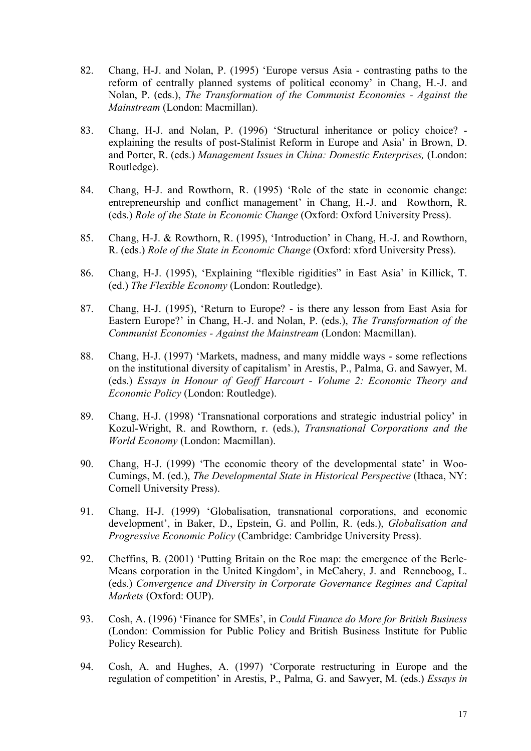- 82. Chang, H-J. and Nolan, P. (1995) 'Europe versus Asia contrasting paths to the reform of centrally planned systems of political economy' in Chang, H.-J. and Nolan, P. (eds.), *The Transformation of the Communist Economies - Against the Mainstream* (London: Macmillan).
- 83. Chang, H-J. and Nolan, P. (1996) 'Structural inheritance or policy choice? explaining the results of post-Stalinist Reform in Europe and Asia' in Brown, D. and Porter, R. (eds.) *Management Issues in China: Domestic Enterprises,* (London: Routledge).
- 84. Chang, H-J. and Rowthorn, R. (1995) 'Role of the state in economic change: entrepreneurship and conflict management' in Chang, H.-J. and Rowthorn, R. (eds.) *Role of the State in Economic Change* (Oxford: Oxford University Press).
- 85. Chang, H-J. & Rowthorn, R. (1995), 'Introduction' in Chang, H.-J. and Rowthorn, R. (eds.) *Role of the State in Economic Change* (Oxford: xford University Press).
- 86. Chang, H-J. (1995), 'Explaining "flexible rigidities" in East Asia' in Killick, T. (ed.) *The Flexible Economy* (London: Routledge).
- 87. Chang, H-J. (1995), 'Return to Europe? is there any lesson from East Asia for Eastern Europe?' in Chang, H.-J. and Nolan, P. (eds.), *The Transformation of the Communist Economies - Against the Mainstream* (London: Macmillan).
- 88. Chang, H-J. (1997) 'Markets, madness, and many middle ways some reflections on the institutional diversity of capitalism' in Arestis, P., Palma, G. and Sawyer, M. (eds.) *Essays in Honour of Geoff Harcourt - Volume 2: Economic Theory and Economic Policy* (London: Routledge).
- 89. Chang, H-J. (1998) 'Transnational corporations and strategic industrial policy' in Kozul-Wright, R. and Rowthorn, r. (eds.), *Transnational Corporations and the World Economy* (London: Macmillan).
- 90. Chang, H-J. (1999) 'The economic theory of the developmental state' in Woo-Cumings, M. (ed.), *The Developmental State in Historical Perspective* (Ithaca, NY: Cornell University Press).
- 91. Chang, H-J. (1999) 'Globalisation, transnational corporations, and economic development', in Baker, D., Epstein, G. and Pollin, R. (eds.), *Globalisation and Progressive Economic Policy* (Cambridge: Cambridge University Press).
- 92. Cheffins, B. (2001) 'Putting Britain on the Roe map: the emergence of the Berle-Means corporation in the United Kingdom', in McCahery, J. and Renneboog, L. (eds.) *Convergence and Diversity in Corporate Governance Regimes and Capital Markets* (Oxford: OUP).
- 93. Cosh, A. (1996) 'Finance for SMEs', in *Could Finance do More for British Business* (London: Commission for Public Policy and British Business Institute for Public Policy Research).
- 94. Cosh, A. and Hughes, A. (1997) 'Corporate restructuring in Europe and the regulation of competition' in Arestis, P., Palma, G. and Sawyer, M. (eds.) *Essays in*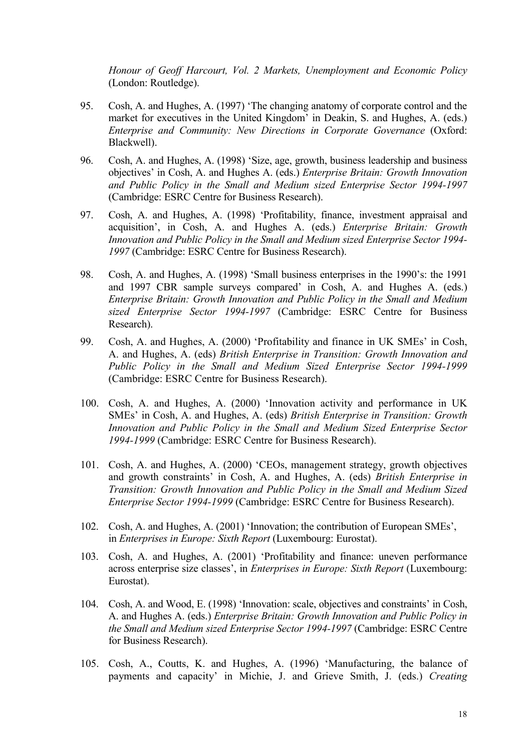*Honour of Geoff Harcourt, Vol. 2 Markets, Unemployment and Economic Policy* (London: Routledge).

- 95. Cosh, A. and Hughes, A. (1997) 'The changing anatomy of corporate control and the market for executives in the United Kingdom' in Deakin, S. and Hughes, A. (eds.) *Enterprise and Community: New Directions in Corporate Governance* (Oxford: Blackwell).
- 96. Cosh, A. and Hughes, A. (1998) 'Size, age, growth, business leadership and business objectives' in Cosh, A. and Hughes A. (eds.) *Enterprise Britain: Growth Innovation and Public Policy in the Small and Medium sized Enterprise Sector 1994-1997* (Cambridge: ESRC Centre for Business Research).
- 97. Cosh, A. and Hughes, A. (1998) 'Profitability, finance, investment appraisal and acquisition', in Cosh, A. and Hughes A. (eds.) *Enterprise Britain: Growth Innovation and Public Policy in the Small and Medium sized Enterprise Sector 1994- 1997* (Cambridge: ESRC Centre for Business Research).
- 98. Cosh, A. and Hughes, A. (1998) 'Small business enterprises in the 1990's: the 1991 and 1997 CBR sample surveys compared' in Cosh, A. and Hughes A. (eds.) *Enterprise Britain: Growth Innovation and Public Policy in the Small and Medium sized Enterprise Sector 1994-1997* (Cambridge: ESRC Centre for Business Research).
- 99. Cosh, A. and Hughes, A. (2000) 'Profitability and finance in UK SMEs' in Cosh, A. and Hughes, A. (eds) *British Enterprise in Transition: Growth Innovation and Public Policy in the Small and Medium Sized Enterprise Sector 1994-1999* (Cambridge: ESRC Centre for Business Research).
- 100. Cosh, A. and Hughes, A. (2000) 'Innovation activity and performance in UK SMEs' in Cosh, A. and Hughes, A. (eds) *British Enterprise in Transition: Growth Innovation and Public Policy in the Small and Medium Sized Enterprise Sector 1994-1999* (Cambridge: ESRC Centre for Business Research).
- 101. Cosh, A. and Hughes, A. (2000) 'CEOs, management strategy, growth objectives and growth constraints' in Cosh, A. and Hughes, A. (eds) *British Enterprise in Transition: Growth Innovation and Public Policy in the Small and Medium Sized Enterprise Sector 1994-1999* (Cambridge: ESRC Centre for Business Research).
- 102. Cosh, A. and Hughes, A. (2001) 'Innovation; the contribution of European SMEs', in *Enterprises in Europe: Sixth Report* (Luxembourg: Eurostat).
- 103. Cosh, A. and Hughes, A. (2001) 'Profitability and finance: uneven performance across enterprise size classes', in *Enterprises in Europe: Sixth Report* (Luxembourg: Eurostat).
- 104. Cosh, A. and Wood, E. (1998) 'Innovation: scale, objectives and constraints' in Cosh, A. and Hughes A. (eds.) *Enterprise Britain: Growth Innovation and Public Policy in the Small and Medium sized Enterprise Sector 1994-1997* (Cambridge: ESRC Centre for Business Research).
- 105. Cosh, A., Coutts, K. and Hughes, A. (1996) 'Manufacturing, the balance of payments and capacity' in Michie, J. and Grieve Smith, J. (eds.) *Creating*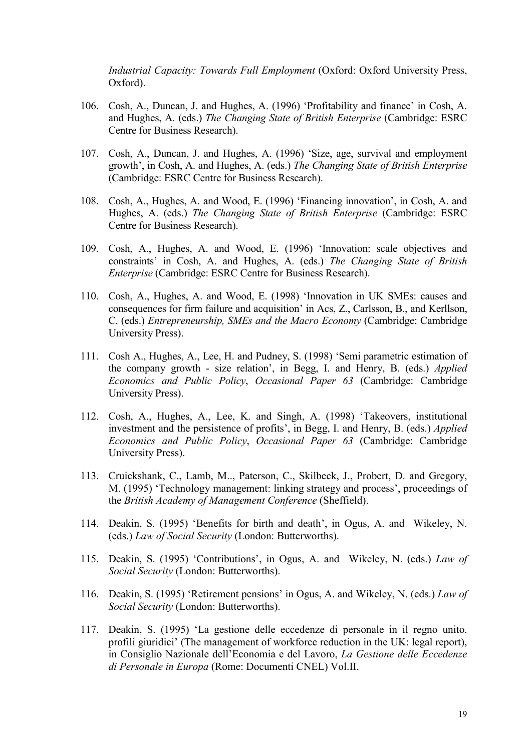*Industrial Capacity: Towards Full Employment* (Oxford: Oxford University Press, Oxford).

- 106. Cosh, A., Duncan, J. and Hughes, A. (1996) 'Profitability and finance' in Cosh, A. and Hughes, A. (eds.) *The Changing State of British Enterprise* (Cambridge: ESRC Centre for Business Research).
- 107. Cosh, A., Duncan, J. and Hughes, A. (1996) 'Size, age, survival and employment growth', in Cosh, A. and Hughes, A. (eds.) *The Changing State of British Enterprise* (Cambridge: ESRC Centre for Business Research).
- 108. Cosh, A., Hughes, A. and Wood, E. (1996) 'Financing innovation', in Cosh, A. and Hughes, A. (eds.) *The Changing State of British Enterprise* (Cambridge: ESRC Centre for Business Research).
- 109. Cosh, A., Hughes, A. and Wood, E. (1996) 'Innovation: scale objectives and constraints' in Cosh, A. and Hughes, A. (eds.) *The Changing State of British Enterprise* (Cambridge: ESRC Centre for Business Research).
- 110. Cosh, A., Hughes, A. and Wood, E. (1998) 'Innovation in UK SMEs: causes and consequences for firm failure and acquisition' in Acs, Z., Carlsson, B., and Kerllson, C. (eds.) *Entrepreneurship, SMEs and the Macro Economy* (Cambridge: Cambridge University Press).
- 111. Cosh A., Hughes, A., Lee, H. and Pudney, S. (1998) 'Semi parametric estimation of the company growth - size relation', in Begg, I. and Henry, B. (eds.) *Applied Economics and Public Policy*, *Occasional Paper 63* (Cambridge: Cambridge University Press).
- 112. Cosh, A., Hughes, A., Lee, K. and Singh, A. (1998) 'Takeovers, institutional investment and the persistence of profits', in Begg, I. and Henry, B. (eds.) *Applied Economics and Public Policy*, *Occasional Paper 63* (Cambridge: Cambridge University Press).
- 113. Cruickshank, C., Lamb, M.., Paterson, C., Skilbeck, J., Probert, D. and Gregory, M. (1995) 'Technology management: linking strategy and process', proceedings of the *British Academy of Management Conference* (Sheffield).
- 114. Deakin, S. (1995) 'Benefits for birth and death', in Ogus, A. and Wikeley, N. (eds.) *Law of Social Security* (London: Butterworths).
- 115. Deakin, S. (1995) 'Contributions', in Ogus, A. and Wikeley, N. (eds.) *Law of Social Security* (London: Butterworths).
- 116. Deakin, S. (1995) 'Retirement pensions' in Ogus, A. and Wikeley, N. (eds.) *Law of Social Security* (London: Butterworths).
- 117. Deakin, S. (1995) 'La gestione delle eccedenze di personale in il regno unito. profili giuridici' (The management of workforce reduction in the UK: legal report), in Consiglio Nazionale dell'Economia e del Lavoro, *La Gestione delle Eccedenze di Personale in Europa* (Rome: Documenti CNEL) Vol.II.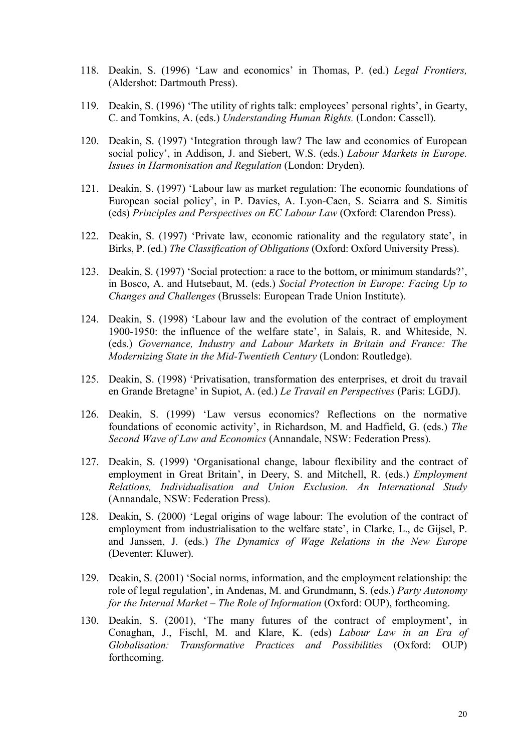- 118. Deakin, S. (1996) 'Law and economics' in Thomas, P. (ed.) *Legal Frontiers,* (Aldershot: Dartmouth Press).
- 119. Deakin, S. (1996) 'The utility of rights talk: employees' personal rights', in Gearty, C. and Tomkins, A. (eds.) *Understanding Human Rights.* (London: Cassell).
- 120. Deakin, S. (1997) 'Integration through law? The law and economics of European social policy', in Addison, J. and Siebert, W.S. (eds.) *Labour Markets in Europe. Issues in Harmonisation and Regulation* (London: Dryden).
- 121. Deakin, S. (1997) 'Labour law as market regulation: The economic foundations of European social policy', in P. Davies, A. Lyon-Caen, S. Sciarra and S. Simitis (eds) *Principles and Perspectives on EC Labour Law* (Oxford: Clarendon Press).
- 122. Deakin, S. (1997) 'Private law, economic rationality and the regulatory state', in Birks, P. (ed.) *The Classification of Obligations* (Oxford: Oxford University Press).
- 123. Deakin, S. (1997) 'Social protection: a race to the bottom, or minimum standards?', in Bosco, A. and Hutsebaut, M. (eds.) *Social Protection in Europe: Facing Up to Changes and Challenges* (Brussels: European Trade Union Institute).
- 124. Deakin, S. (1998) 'Labour law and the evolution of the contract of employment 1900-1950: the influence of the welfare state', in Salais, R. and Whiteside, N. (eds.) *Governance, Industry and Labour Markets in Britain and France: The Modernizing State in the Mid-Twentieth Century* (London: Routledge).
- 125. Deakin, S. (1998) 'Privatisation, transformation des enterprises, et droit du travail en Grande Bretagne' in Supiot, A. (ed.) *Le Travail en Perspectives* (Paris: LGDJ).
- 126. Deakin, S. (1999) 'Law versus economics? Reflections on the normative foundations of economic activity', in Richardson, M. and Hadfield, G. (eds.) *The Second Wave of Law and Economics* (Annandale, NSW: Federation Press).
- 127. Deakin, S. (1999) 'Organisational change, labour flexibility and the contract of employment in Great Britain', in Deery, S. and Mitchell, R. (eds.) *Employment Relations, Individualisation and Union Exclusion. An International Study* (Annandale, NSW: Federation Press).
- 128. Deakin, S. (2000) 'Legal origins of wage labour: The evolution of the contract of employment from industrialisation to the welfare state', in Clarke, L., de Gijsel, P. and Janssen, J. (eds.) *The Dynamics of Wage Relations in the New Europe*  (Deventer: Kluwer).
- 129. Deakin, S. (2001) 'Social norms, information, and the employment relationship: the role of legal regulation', in Andenas, M. and Grundmann, S. (eds.) *Party Autonomy for the Internal Market – The Role of Information* (Oxford: OUP), forthcoming.
- 130. Deakin, S. (2001), 'The many futures of the contract of employment', in Conaghan, J., Fischl, M. and Klare, K. (eds) *Labour Law in an Era of Globalisation: Transformative Practices and Possibilities* (Oxford: OUP) forthcoming.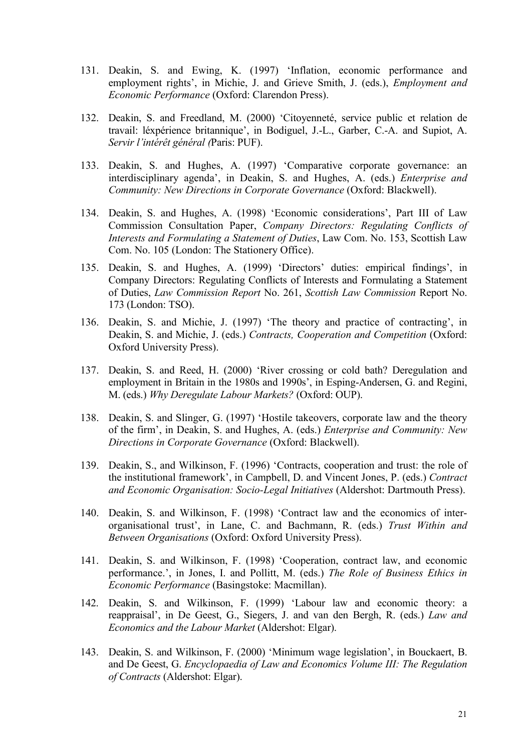- 131. Deakin, S. and Ewing, K. (1997) 'Inflation, economic performance and employment rights', in Michie, J. and Grieve Smith, J. (eds.), *Employment and Economic Performance* (Oxford: Clarendon Press).
- 132. Deakin, S. and Freedland, M. (2000) 'Citoyenneté, service public et relation de travail: léxpérience britannique', in Bodiguel, J.-L., Garber, C.-A. and Supiot, A. *Servir l'intérêt général (*Paris: PUF).
- 133. Deakin, S. and Hughes, A. (1997) 'Comparative corporate governance: an interdisciplinary agenda', in Deakin, S. and Hughes, A. (eds.) *Enterprise and Community: New Directions in Corporate Governance* (Oxford: Blackwell).
- 134. Deakin, S. and Hughes, A. (1998) 'Economic considerations', Part III of Law Commission Consultation Paper, *Company Directors: Regulating Conflicts of Interests and Formulating a Statement of Duties*, Law Com. No. 153, Scottish Law Com. No. 105 (London: The Stationery Office).
- 135. Deakin, S. and Hughes, A. (1999) 'Directors' duties: empirical findings', in Company Directors: Regulating Conflicts of Interests and Formulating a Statement of Duties, *Law Commission Report* No. 261, *Scottish Law Commission* Report No. 173 (London: TSO).
- 136. Deakin, S. and Michie, J. (1997) 'The theory and practice of contracting', in Deakin, S. and Michie, J. (eds.) *Contracts, Cooperation and Competition* (Oxford: Oxford University Press).
- 137. Deakin, S. and Reed, H. (2000) 'River crossing or cold bath? Deregulation and employment in Britain in the 1980s and 1990s', in Esping-Andersen, G. and Regini, M. (eds.) *Why Deregulate Labour Markets?* (Oxford: OUP).
- 138. Deakin, S. and Slinger, G. (1997) 'Hostile takeovers, corporate law and the theory of the firm', in Deakin, S. and Hughes, A. (eds.) *Enterprise and Community: New Directions in Corporate Governance* (Oxford: Blackwell).
- 139. Deakin, S., and Wilkinson, F. (1996) 'Contracts, cooperation and trust: the role of the institutional framework', in Campbell, D. and Vincent Jones, P. (eds.) *Contract and Economic Organisation: Socio-Legal Initiatives* (Aldershot: Dartmouth Press).
- 140. Deakin, S. and Wilkinson, F. (1998) 'Contract law and the economics of interorganisational trust', in Lane, C. and Bachmann, R. (eds.) *Trust Within and Between Organisations* (Oxford: Oxford University Press).
- 141. Deakin, S. and Wilkinson, F. (1998) 'Cooperation, contract law, and economic performance.', in Jones, I. and Pollitt, M. (eds.) *The Role of Business Ethics in Economic Performance* (Basingstoke: Macmillan).
- 142. Deakin, S. and Wilkinson, F. (1999) 'Labour law and economic theory: a reappraisal', in De Geest, G., Siegers, J. and van den Bergh, R. (eds.) *Law and Economics and the Labour Market* (Aldershot: Elgar).
- 143. Deakin, S. and Wilkinson, F. (2000) 'Minimum wage legislation', in Bouckaert, B. and De Geest, G. *Encyclopaedia of Law and Economics Volume III: The Regulation of Contracts* (Aldershot: Elgar).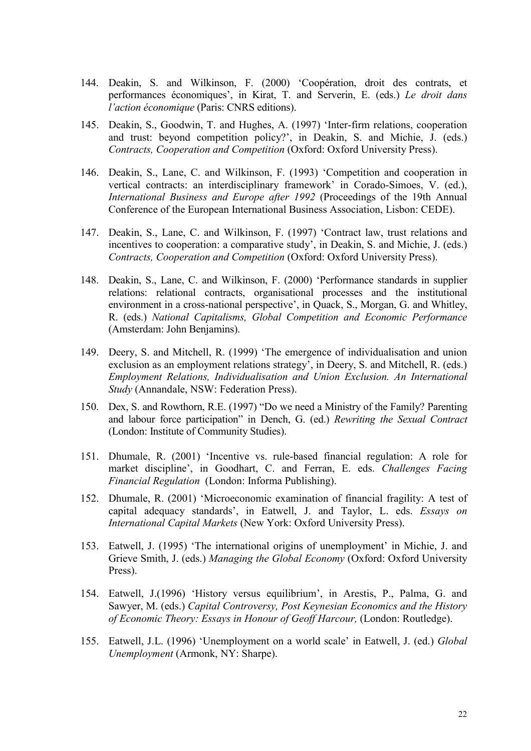- 144. Deakin, S. and Wilkinson, F. (2000) 'Coopération, droit des contrats, et performances économiques', in Kirat, T. and Serverin, E. (eds.) *Le droit dans l'action économique* (Paris: CNRS editions).
- 145. Deakin, S., Goodwin, T. and Hughes, A. (1997) 'Inter-firm relations, cooperation and trust: beyond competition policy?', in Deakin, S. and Michie, J. (eds.) *Contracts, Cooperation and Competition* (Oxford: Oxford University Press).
- 146. Deakin, S., Lane, C. and Wilkinson, F. (1993) 'Competition and cooperation in vertical contracts: an interdisciplinary framework' in Corado-Simoes, V. (ed.), *International Business and Europe after 1992* (Proceedings of the 19th Annual Conference of the European International Business Association, Lisbon: CEDE).
- 147. Deakin, S., Lane, C. and Wilkinson, F. (1997) 'Contract law, trust relations and incentives to cooperation: a comparative study', in Deakin, S. and Michie, J. (eds.) *Contracts, Cooperation and Competition* (Oxford: Oxford University Press).
- 148. Deakin, S., Lane, C. and Wilkinson, F. (2000) 'Performance standards in supplier relations: relational contracts, organisational processes and the institutional environment in a cross-national perspective', in Quack, S., Morgan, G. and Whitley, R. (eds.) *National Capitalisms, Global Competition and Economic Performance*  (Amsterdam: John Benjamins).
- 149. Deery, S. and Mitchell, R. (1999) 'The emergence of individualisation and union exclusion as an employment relations strategy', in Deery, S. and Mitchell, R. (eds.) *Employment Relations, Individualisation and Union Exclusion. An International Study* (Annandale, NSW: Federation Press).
- 150. Dex, S. and Rowthorn, R.E. (1997) "Do we need a Ministry of the Family? Parenting and labour force participation" in Dench, G. (ed.) *Rewriting the Sexual Contract* (London: Institute of Community Studies).
- 151. Dhumale, R. (2001) 'Incentive vs. rule-based financial regulation: A role for market discipline', in Goodhart, C. and Ferran, E. eds. *Challenges Facing Financial Regulation* (London: Informa Publishing).
- 152. Dhumale, R. (2001) 'Microeconomic examination of financial fragility: A test of capital adequacy standards', in Eatwell, J. and Taylor, L. eds. *Essays on International Capital Markets* (New York: Oxford University Press).
- 153. Eatwell, J. (1995) 'The international origins of unemployment' in Michie, J. and Grieve Smith, J. (eds.) *Managing the Global Economy* (Oxford: Oxford University Press).
- 154. Eatwell, J.(1996) 'History versus equilibrium', in Arestis, P., Palma, G. and Sawyer, M. (eds.) *Capital Controversy, Post Keynesian Economics and the History of Economic Theory: Essays in Honour of Geoff Harcour,* (London: Routledge).
- 155. Eatwell, J.L. (1996) 'Unemployment on a world scale' in Eatwell, J. (ed.) *Global Unemployment* (Armonk, NY: Sharpe).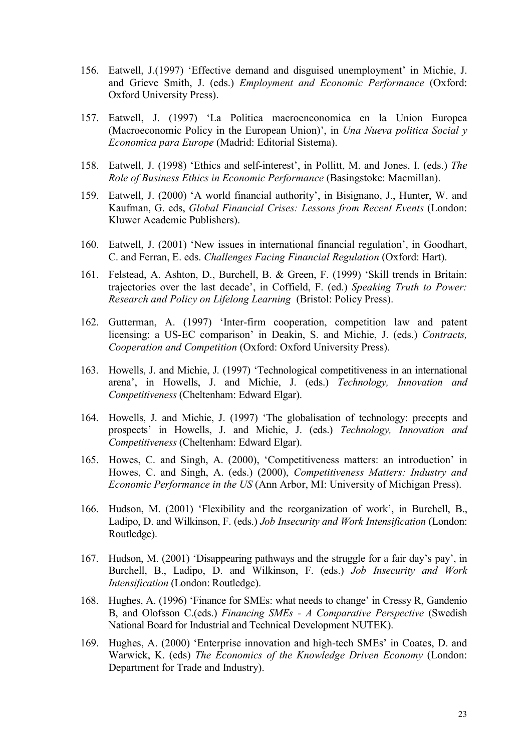- 156. Eatwell, J.(1997) 'Effective demand and disguised unemployment' in Michie, J. and Grieve Smith, J. (eds.) *Employment and Economic Performance* (Oxford: Oxford University Press).
- 157. Eatwell, J. (1997) 'La Politica macroenconomica en la Union Europea (Macroeconomic Policy in the European Union)', in *Una Nueva politica Social y Economica para Europe* (Madrid: Editorial Sistema).
- 158. Eatwell, J. (1998) 'Ethics and self-interest', in Pollitt, M. and Jones, I. (eds.) *The Role of Business Ethics in Economic Performance* (Basingstoke: Macmillan).
- 159. Eatwell, J. (2000) 'A world financial authority', in Bisignano, J., Hunter, W. and Kaufman, G. eds, *Global Financial Crises: Lessons from Recent Events* (London: Kluwer Academic Publishers).
- 160. Eatwell, J. (2001) 'New issues in international financial regulation', in Goodhart, C. and Ferran, E. eds. *Challenges Facing Financial Regulation* (Oxford: Hart).
- 161. Felstead, A. Ashton, D., Burchell, B. & Green, F. (1999) 'Skill trends in Britain: trajectories over the last decade', in Coffield, F. (ed.) *Speaking Truth to Power: Research and Policy on Lifelong Learning* (Bristol: Policy Press).
- 162. Gutterman, A. (1997) 'Inter-firm cooperation, competition law and patent licensing: a US-EC comparison' in Deakin, S. and Michie, J. (eds.) *Contracts, Cooperation and Competition* (Oxford: Oxford University Press).
- 163. Howells, J. and Michie, J. (1997) 'Technological competitiveness in an international arena', in Howells, J. and Michie, J. (eds.) *Technology, Innovation and Competitiveness* (Cheltenham: Edward Elgar).
- 164. Howells, J. and Michie, J. (1997) 'The globalisation of technology: precepts and prospects' in Howells, J. and Michie, J. (eds.) *Technology, Innovation and Competitiveness* (Cheltenham: Edward Elgar).
- 165. Howes, C. and Singh, A. (2000), 'Competitiveness matters: an introduction' in Howes, C. and Singh, A. (eds.) (2000), *Competitiveness Matters: Industry and Economic Performance in the US* (Ann Arbor, MI: University of Michigan Press).
- 166. Hudson, M. (2001) 'Flexibility and the reorganization of work', in Burchell, B., Ladipo, D. and Wilkinson, F. (eds.) *Job Insecurity and Work Intensification* (London: Routledge).
- 167. Hudson, M. (2001) 'Disappearing pathways and the struggle for a fair day's pay', in Burchell, B., Ladipo, D. and Wilkinson, F. (eds.) *Job Insecurity and Work Intensification* (London: Routledge).
- 168. Hughes, A. (1996) 'Finance for SMEs: what needs to change' in Cressy R, Gandenio B, and Olofsson C.(eds.) *Financing SMEs - A Comparative Perspective* (Swedish National Board for Industrial and Technical Development NUTEK).
- 169. Hughes, A. (2000) 'Enterprise innovation and high-tech SMEs' in Coates, D. and Warwick, K. (eds) *The Economics of the Knowledge Driven Economy* (London: Department for Trade and Industry).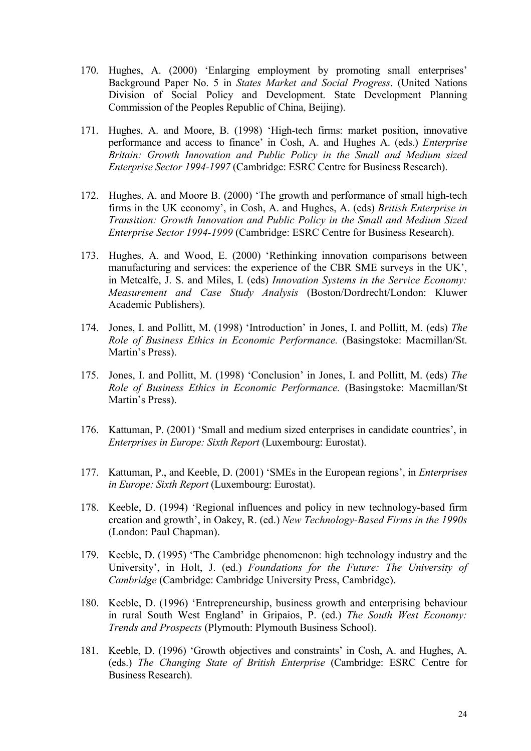- 170. Hughes, A. (2000) 'Enlarging employment by promoting small enterprises' Background Paper No. 5 in *States Market and Social Progress*. (United Nations Division of Social Policy and Development. State Development Planning Commission of the Peoples Republic of China, Beijing).
- 171. Hughes, A. and Moore, B. (1998) 'High-tech firms: market position, innovative performance and access to finance' in Cosh, A. and Hughes A. (eds.) *Enterprise Britain: Growth Innovation and Public Policy in the Small and Medium sized Enterprise Sector 1994-1997* (Cambridge: ESRC Centre for Business Research).
- 172. Hughes, A. and Moore B. (2000) 'The growth and performance of small high-tech firms in the UK economy', in Cosh, A. and Hughes, A. (eds) *British Enterprise in Transition: Growth Innovation and Public Policy in the Small and Medium Sized Enterprise Sector 1994-1999* (Cambridge: ESRC Centre for Business Research).
- 173. Hughes, A. and Wood, E. (2000) 'Rethinking innovation comparisons between manufacturing and services: the experience of the CBR SME surveys in the UK', in Metcalfe, J. S. and Miles, I. (eds) *Innovation Systems in the Service Economy: Measurement and Case Study Analysis* (Boston/Dordrecht/London: Kluwer Academic Publishers).
- 174. Jones, I. and Pollitt, M. (1998) 'Introduction' in Jones, I. and Pollitt, M. (eds) *The Role of Business Ethics in Economic Performance.* (Basingstoke: Macmillan/St. Martin's Press).
- 175. Jones, I. and Pollitt, M. (1998) 'Conclusion' in Jones, I. and Pollitt, M. (eds) *The Role of Business Ethics in Economic Performance.* (Basingstoke: Macmillan/St Martin's Press).
- 176. Kattuman, P. (2001) 'Small and medium sized enterprises in candidate countries', in *Enterprises in Europe: Sixth Report* (Luxembourg: Eurostat).
- 177. Kattuman, P., and Keeble, D. (2001) 'SMEs in the European regions', in *Enterprises in Europe: Sixth Report* (Luxembourg: Eurostat).
- 178. Keeble, D. (1994) 'Regional influences and policy in new technology-based firm creation and growth', in Oakey, R. (ed.) *New Technology-Based Firms in the 1990s*  (London: Paul Chapman).
- 179. Keeble, D. (1995) 'The Cambridge phenomenon: high technology industry and the University', in Holt, J. (ed.) *Foundations for the Future: The University of Cambridge* (Cambridge: Cambridge University Press, Cambridge).
- 180. Keeble, D. (1996) 'Entrepreneurship, business growth and enterprising behaviour in rural South West England' in Gripaios, P. (ed.) *The South West Economy: Trends and Prospects* (Plymouth: Plymouth Business School).
- 181. Keeble, D. (1996) 'Growth objectives and constraints' in Cosh, A. and Hughes, A. (eds.) *The Changing State of British Enterprise* (Cambridge: ESRC Centre for Business Research).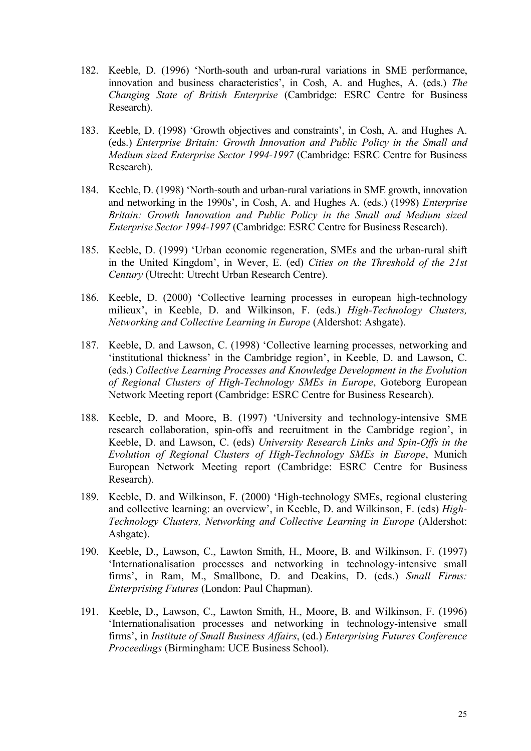- 182. Keeble, D. (1996) 'North-south and urban-rural variations in SME performance, innovation and business characteristics', in Cosh, A. and Hughes, A. (eds.) *The Changing State of British Enterprise* (Cambridge: ESRC Centre for Business Research).
- 183. Keeble, D. (1998) 'Growth objectives and constraints', in Cosh, A. and Hughes A. (eds.) *Enterprise Britain: Growth Innovation and Public Policy in the Small and Medium sized Enterprise Sector 1994-1997* (Cambridge: ESRC Centre for Business Research).
- 184. Keeble, D. (1998) 'North-south and urban-rural variations in SME growth, innovation and networking in the 1990s', in Cosh, A. and Hughes A. (eds.) (1998) *Enterprise Britain: Growth Innovation and Public Policy in the Small and Medium sized Enterprise Sector 1994-1997* (Cambridge: ESRC Centre for Business Research).
- 185. Keeble, D. (1999) 'Urban economic regeneration, SMEs and the urban-rural shift in the United Kingdom', in Wever, E. (ed) *Cities on the Threshold of the 21st Century* (Utrecht: Utrecht Urban Research Centre).
- 186. Keeble, D. (2000) 'Collective learning processes in european high-technology milieux', in Keeble, D. and Wilkinson, F. (eds.) *High-Technology Clusters, Networking and Collective Learning in Europe* (Aldershot: Ashgate).
- 187. Keeble, D. and Lawson, C. (1998) 'Collective learning processes, networking and 'institutional thickness' in the Cambridge region', in Keeble, D. and Lawson, C. (eds.) *Collective Learning Processes and Knowledge Development in the Evolution of Regional Clusters of High-Technology SMEs in Europe*, Goteborg European Network Meeting report (Cambridge: ESRC Centre for Business Research).
- 188. Keeble, D. and Moore, B. (1997) 'University and technology-intensive SME research collaboration, spin-offs and recruitment in the Cambridge region', in Keeble, D. and Lawson, C. (eds) *University Research Links and Spin-Offs in the Evolution of Regional Clusters of High-Technology SMEs in Europe*, Munich European Network Meeting report (Cambridge: ESRC Centre for Business Research).
- 189. Keeble, D. and Wilkinson, F. (2000) 'High-technology SMEs, regional clustering and collective learning: an overview', in Keeble, D. and Wilkinson, F. (eds) *High-Technology Clusters, Networking and Collective Learning in Europe* (Aldershot: Ashgate).
- 190. Keeble, D., Lawson, C., Lawton Smith, H., Moore, B. and Wilkinson, F. (1997) 'Internationalisation processes and networking in technology-intensive small firms', in Ram, M., Smallbone, D. and Deakins, D. (eds.) *Small Firms: Enterprising Futures* (London: Paul Chapman).
- 191. Keeble, D., Lawson, C., Lawton Smith, H., Moore, B. and Wilkinson, F. (1996) 'Internationalisation processes and networking in technology-intensive small firms', in *Institute of Small Business Affairs*, (ed.) *Enterprising Futures Conference Proceedings* (Birmingham: UCE Business School).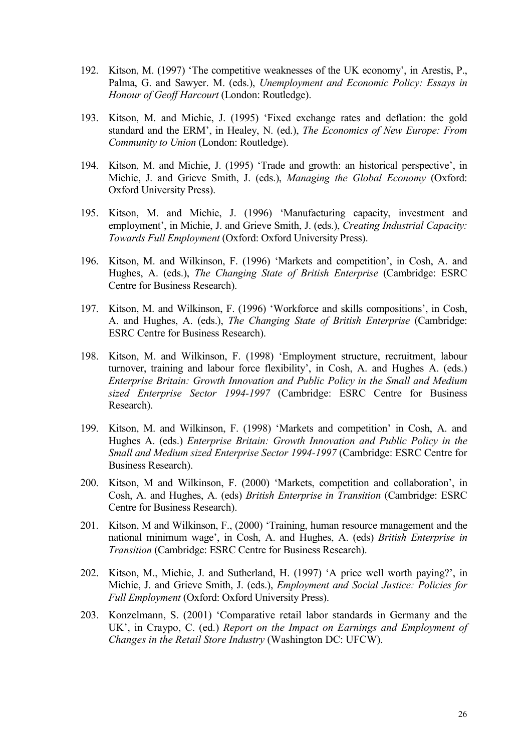- 192. Kitson, M. (1997) 'The competitive weaknesses of the UK economy', in Arestis, P., Palma, G. and Sawyer. M. (eds.), *Unemployment and Economic Policy: Essays in Honour of Geoff Harcourt* (London: Routledge).
- 193. Kitson, M. and Michie, J. (1995) 'Fixed exchange rates and deflation: the gold standard and the ERM', in Healey, N. (ed.), *The Economics of New Europe: From Community to Union* (London: Routledge).
- 194. Kitson, M. and Michie, J. (1995) 'Trade and growth: an historical perspective', in Michie, J. and Grieve Smith, J. (eds.), *Managing the Global Economy* (Oxford: Oxford University Press).
- 195. Kitson, M. and Michie, J. (1996) 'Manufacturing capacity, investment and employment', in Michie, J. and Grieve Smith, J. (eds.), *Creating Industrial Capacity: Towards Full Employment* (Oxford: Oxford University Press).
- 196. Kitson, M. and Wilkinson, F. (1996) 'Markets and competition', in Cosh, A. and Hughes, A. (eds.), *The Changing State of British Enterprise* (Cambridge: ESRC Centre for Business Research).
- 197. Kitson, M. and Wilkinson, F. (1996) 'Workforce and skills compositions', in Cosh, A. and Hughes, A. (eds.), *The Changing State of British Enterprise* (Cambridge: ESRC Centre for Business Research).
- 198. Kitson, M. and Wilkinson, F. (1998) 'Employment structure, recruitment, labour turnover, training and labour force flexibility', in Cosh, A. and Hughes A. (eds.) *Enterprise Britain: Growth Innovation and Public Policy in the Small and Medium sized Enterprise Sector 1994-1997* (Cambridge: ESRC Centre for Business Research).
- 199. Kitson, M. and Wilkinson, F. (1998) 'Markets and competition' in Cosh, A. and Hughes A. (eds.) *Enterprise Britain: Growth Innovation and Public Policy in the Small and Medium sized Enterprise Sector 1994-1997* (Cambridge: ESRC Centre for Business Research).
- 200. Kitson, M and Wilkinson, F. (2000) 'Markets, competition and collaboration', in Cosh, A. and Hughes, A. (eds) *British Enterprise in Transition* (Cambridge: ESRC Centre for Business Research).
- 201. Kitson, M and Wilkinson, F., (2000) 'Training, human resource management and the national minimum wage', in Cosh, A. and Hughes, A. (eds) *British Enterprise in Transition* (Cambridge: ESRC Centre for Business Research).
- 202. Kitson, M., Michie, J. and Sutherland, H. (1997) 'A price well worth paying?', in Michie, J. and Grieve Smith, J. (eds.), *Employment and Social Justice: Policies for Full Employment* (Oxford: Oxford University Press).
- 203. Konzelmann, S. (2001) 'Comparative retail labor standards in Germany and the UK', in Craypo, C. (ed.) *Report on the Impact on Earnings and Employment of Changes in the Retail Store Industry* (Washington DC: UFCW).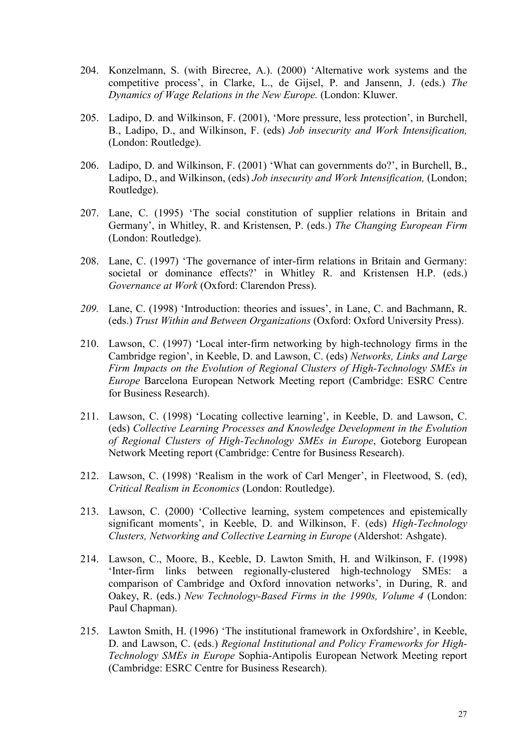- 204. Konzelmann, S. (with Birecree, A.). (2000) 'Alternative work systems and the competitive process', in Clarke, L., de Gijsel, P. and Jansenn, J. (eds.) *The Dynamics of Wage Relations in the New Europe.* (London: Kluwer.
- 205. Ladipo, D. and Wilkinson, F. (2001), 'More pressure, less protection', in Burchell, B., Ladipo, D., and Wilkinson, F. (eds) *Job insecurity and Work Intensification,* (London: Routledge).
- 206. Ladipo, D. and Wilkinson, F. (2001) 'What can governments do?', in Burchell, B., Ladipo, D., and Wilkinson, (eds) *Job insecurity and Work Intensification,* (London; Routledge).
- 207. Lane, C. (1995) 'The social constitution of supplier relations in Britain and Germany', in Whitley, R. and Kristensen, P. (eds.) *The Changing European Firm* (London: Routledge).
- 208. Lane, C. (1997) 'The governance of inter-firm relations in Britain and Germany: societal or dominance effects?' in Whitley R. and Kristensen H.P. (eds.) *Governance at Work* (Oxford: Clarendon Press).
- *209.* Lane, C. (1998) 'Introduction: theories and issues', in Lane, C. and Bachmann, R. (eds.) *Trust Within and Between Organizations* (Oxford: Oxford University Press).
- 210. Lawson, C. (1997) 'Local inter-firm networking by high-technology firms in the Cambridge region', in Keeble, D. and Lawson, C. (eds) *Networks, Links and Large Firm Impacts on the Evolution of Regional Clusters of High-Technology SMEs in Europe* Barcelona European Network Meeting report (Cambridge: ESRC Centre for Business Research).
- 211. Lawson, C. (1998) 'Locating collective learning', in Keeble, D. and Lawson, C. (eds) *Collective Learning Processes and Knowledge Development in the Evolution of Regional Clusters of High-Technology SMEs in Europe*, Goteborg European Network Meeting report (Cambridge: Centre for Business Research).
- 212. Lawson, C. (1998) 'Realism in the work of Carl Menger', in Fleetwood, S. (ed), *Critical Realism in Economics* (London: Routledge).
- 213. Lawson, C. (2000) 'Collective learning, system competences and epistemically significant moments', in Keeble, D. and Wilkinson, F. (eds) *High-Technology Clusters, Networking and Collective Learning in Europe* (Aldershot: Ashgate).
- 214. Lawson, C., Moore, B., Keeble, D. Lawton Smith, H. and Wilkinson, F. (1998) 'Inter-firm links between regionally-clustered high-technology SMEs: a comparison of Cambridge and Oxford innovation networks', in During, R. and Oakey, R. (eds.) *New Technology-Based Firms in the 1990s, Volume 4* (London: Paul Chapman).
- 215. Lawton Smith, H. (1996) 'The institutional framework in Oxfordshire', in Keeble, D. and Lawson, C. (eds.) *Regional Institutional and Policy Frameworks for High-Technology SMEs in Europe* Sophia-Antipolis European Network Meeting report (Cambridge: ESRC Centre for Business Research).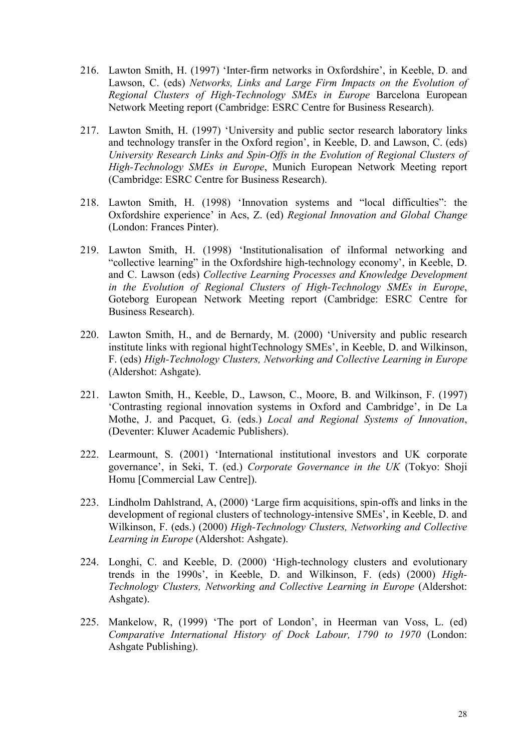- 216. Lawton Smith, H. (1997) 'Inter-firm networks in Oxfordshire', in Keeble, D. and Lawson, C. (eds) *Networks, Links and Large Firm Impacts on the Evolution of Regional Clusters of High-Technology SMEs in Europe* Barcelona European Network Meeting report (Cambridge: ESRC Centre for Business Research).
- 217. Lawton Smith, H. (1997) 'University and public sector research laboratory links and technology transfer in the Oxford region', in Keeble, D. and Lawson, C. (eds) *University Research Links and Spin-Offs in the Evolution of Regional Clusters of High-Technology SMEs in Europe*, Munich European Network Meeting report (Cambridge: ESRC Centre for Business Research).
- 218. Lawton Smith, H. (1998) 'Innovation systems and "local difficulties": the Oxfordshire experience' in Acs, Z. (ed) *Regional Innovation and Global Change* (London: Frances Pinter).
- 219. Lawton Smith, H. (1998) 'Institutionalisation of iInformal networking and "collective learning" in the Oxfordshire high-technology economy', in Keeble, D. and C. Lawson (eds) *Collective Learning Processes and Knowledge Development in the Evolution of Regional Clusters of High-Technology SMEs in Europe*, Goteborg European Network Meeting report (Cambridge: ESRC Centre for Business Research).
- 220. Lawton Smith, H., and de Bernardy, M. (2000) 'University and public research institute links with regional hightTechnology SMEs', in Keeble, D. and Wilkinson, F. (eds) *High-Technology Clusters, Networking and Collective Learning in Europe* (Aldershot: Ashgate).
- 221. Lawton Smith, H., Keeble, D., Lawson, C., Moore, B. and Wilkinson, F. (1997) 'Contrasting regional innovation systems in Oxford and Cambridge', in De La Mothe, J. and Pacquet, G. (eds.) *Local and Regional Systems of Innovation*, (Deventer: Kluwer Academic Publishers).
- 222. Learmount, S. (2001) 'International institutional investors and UK corporate governance', in Seki, T. (ed.) *Corporate Governance in the UK* (Tokyo: Shoji Homu [Commercial Law Centre]).
- 223. Lindholm Dahlstrand, A, (2000) 'Large firm acquisitions, spin-offs and links in the development of regional clusters of technology-intensive SMEs', in Keeble, D. and Wilkinson, F. (eds.) (2000) *High-Technology Clusters, Networking and Collective Learning in Europe* (Aldershot: Ashgate).
- 224. Longhi, C. and Keeble, D. (2000) 'High-technology clusters and evolutionary trends in the 1990s', in Keeble, D. and Wilkinson, F. (eds) (2000) *High-Technology Clusters, Networking and Collective Learning in Europe* (Aldershot: Ashgate).
- 225. Mankelow, R, (1999) 'The port of London', in Heerman van Voss, L. (ed) *Comparative International History of Dock Labour, 1790 to 1970* (London: Ashgate Publishing).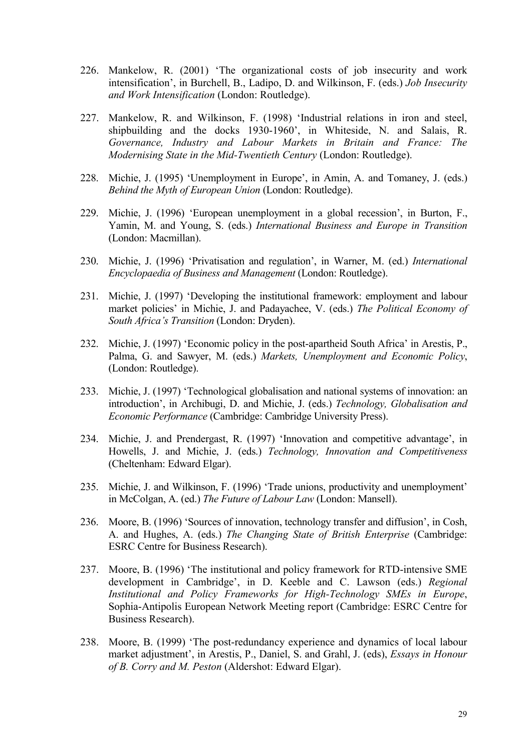- 226. Mankelow, R. (2001) 'The organizational costs of job insecurity and work intensification', in Burchell, B., Ladipo, D. and Wilkinson, F. (eds.) *Job Insecurity and Work Intensification* (London: Routledge).
- 227. Mankelow, R. and Wilkinson, F. (1998) 'Industrial relations in iron and steel, shipbuilding and the docks 1930-1960', in Whiteside, N. and Salais, R. *Governance, Industry and Labour Markets in Britain and France: The Modernising State in the Mid-Twentieth Century* (London: Routledge).
- 228. Michie, J. (1995) 'Unemployment in Europe', in Amin, A. and Tomaney, J. (eds.) *Behind the Myth of European Union* (London: Routledge).
- 229. Michie, J. (1996) 'European unemployment in a global recession', in Burton, F., Yamin, M. and Young, S. (eds.) *International Business and Europe in Transition* (London: Macmillan).
- 230. Michie, J. (1996) 'Privatisation and regulation', in Warner, M. (ed.) *International Encyclopaedia of Business and Management* (London: Routledge).
- 231. Michie, J. (1997) 'Developing the institutional framework: employment and labour market policies' in Michie, J. and Padayachee, V. (eds.) *The Political Economy of South Africa's Transition* (London: Dryden).
- 232. Michie, J. (1997) 'Economic policy in the post-apartheid South Africa' in Arestis, P., Palma, G. and Sawyer, M. (eds.) *Markets, Unemployment and Economic Policy*, (London: Routledge).
- 233. Michie, J. (1997) 'Technological globalisation and national systems of innovation: an introduction', in Archibugi, D. and Michie, J. (eds.) *Technology, Globalisation and Economic Performance* (Cambridge: Cambridge University Press).
- 234. Michie, J. and Prendergast, R. (1997) 'Innovation and competitive advantage', in Howells, J. and Michie, J. (eds.) *Technology, Innovation and Competitiveness* (Cheltenham: Edward Elgar).
- 235. Michie, J. and Wilkinson, F. (1996) 'Trade unions, productivity and unemployment' in McColgan, A. (ed.) *The Future of Labour Law* (London: Mansell).
- 236. Moore, B. (1996) 'Sources of innovation, technology transfer and diffusion', in Cosh, A. and Hughes, A. (eds.) *The Changing State of British Enterprise* (Cambridge: ESRC Centre for Business Research).
- 237. Moore, B. (1996) 'The institutional and policy framework for RTD-intensive SME development in Cambridge', in D. Keeble and C. Lawson (eds.) *Regional Institutional and Policy Frameworks for High-Technology SMEs in Europe*, Sophia-Antipolis European Network Meeting report (Cambridge: ESRC Centre for Business Research).
- 238. Moore, B. (1999) 'The post-redundancy experience and dynamics of local labour market adjustment', in Arestis, P., Daniel, S. and Grahl, J. (eds), *Essays in Honour of B. Corry and M. Peston* (Aldershot: Edward Elgar).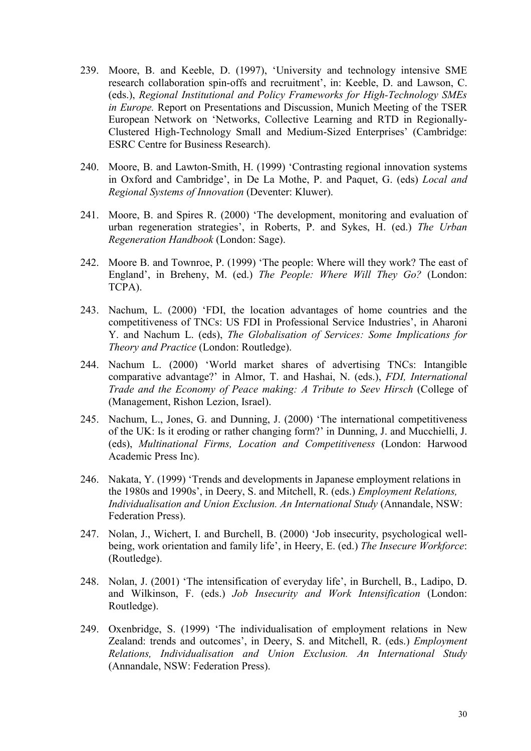- 239. Moore, B. and Keeble, D. (1997), 'University and technology intensive SME research collaboration spin-offs and recruitment', in: Keeble, D. and Lawson, C. (eds.), *Regional Institutional and Policy Frameworks for High-Technology SMEs in Europe.* Report on Presentations and Discussion, Munich Meeting of the TSER European Network on 'Networks, Collective Learning and RTD in Regionally-Clustered High-Technology Small and Medium-Sized Enterprises' (Cambridge: ESRC Centre for Business Research).
- 240. Moore, B. and Lawton-Smith, H. (1999) 'Contrasting regional innovation systems in Oxford and Cambridge', in De La Mothe, P. and Paquet, G. (eds) *Local and Regional Systems of Innovation* (Deventer: Kluwer).
- 241. Moore, B. and Spires R. (2000) 'The development, monitoring and evaluation of urban regeneration strategies', in Roberts, P. and Sykes, H. (ed.) *The Urban Regeneration Handbook* (London: Sage).
- 242. Moore B. and Townroe, P. (1999) 'The people: Where will they work? The east of England', in Breheny, M. (ed.) *The People: Where Will They Go?* (London: TCPA).
- 243. Nachum, L. (2000) 'FDI, the location advantages of home countries and the competitiveness of TNCs: US FDI in Professional Service Industries', in Aharoni Y. and Nachum L. (eds), *The Globalisation of Services: Some Implications for Theory and Practice* (London: Routledge).
- 244. Nachum L. (2000) 'World market shares of advertising TNCs: Intangible comparative advantage?' in Almor, T. and Hashai, N. (eds.), *FDI, International Trade and the Economy of Peace making: A Tribute to Seev Hirsch* (College of (Management, Rishon Lezion, Israel).
- 245. Nachum, L., Jones, G. and Dunning, J. (2000) 'The international competitiveness of the UK: Is it eroding or rather changing form?' in Dunning, J. and Mucchielli, J. (eds), *Multinational Firms, Location and Competitiveness* (London: Harwood Academic Press Inc).
- 246. Nakata, Y. (1999) 'Trends and developments in Japanese employment relations in the 1980s and 1990s', in Deery, S. and Mitchell, R. (eds.) *Employment Relations, Individualisation and Union Exclusion. An International Study* (Annandale, NSW: Federation Press).
- 247. Nolan, J., Wichert, I. and Burchell, B. (2000) 'Job insecurity, psychological wellbeing, work orientation and family life', in Heery, E. (ed.) *The Insecure Workforce*: (Routledge).
- 248. Nolan, J. (2001) 'The intensification of everyday life', in Burchell, B., Ladipo, D. and Wilkinson, F. (eds.) *Job Insecurity and Work Intensification* (London: Routledge).
- 249. Oxenbridge, S. (1999) 'The individualisation of employment relations in New Zealand: trends and outcomes', in Deery, S. and Mitchell, R. (eds.) *Employment Relations, Individualisation and Union Exclusion. An International Study*  (Annandale, NSW: Federation Press).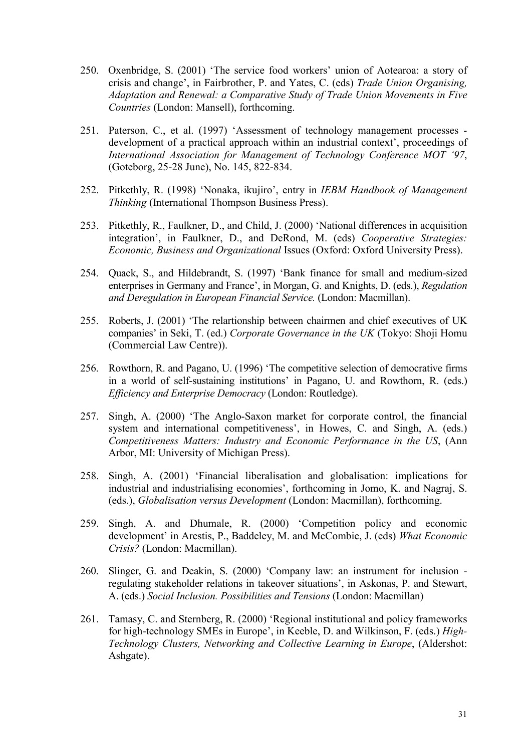- 250. Oxenbridge, S. (2001) 'The service food workers' union of Aotearoa: a story of crisis and change', in Fairbrother, P. and Yates, C. (eds) *Trade Union Organising, Adaptation and Renewal: a Comparative Study of Trade Union Movements in Five Countries* (London: Mansell), forthcoming.
- 251. Paterson, C., et al. (1997) 'Assessment of technology management processes development of a practical approach within an industrial context', proceedings of *International Association for Management of Technology Conference MOT '97*, (Goteborg, 25-28 June), No. 145, 822-834.
- 252. Pitkethly, R. (1998) 'Nonaka, ikujiro', entry in *IEBM Handbook of Management Thinking* (International Thompson Business Press).
- 253. Pitkethly, R., Faulkner, D., and Child, J. (2000) 'National differences in acquisition integration', in Faulkner, D., and DeRond, M. (eds) *Cooperative Strategies: Economic, Business and Organizational* Issues (Oxford: Oxford University Press).
- 254. Quack, S., and Hildebrandt, S. (1997) 'Bank finance for small and medium-sized enterprises in Germany and France', in Morgan, G. and Knights, D. (eds.), *Regulation and Deregulation in European Financial Service.* (London: Macmillan).
- 255. Roberts, J. (2001) 'The relartionship between chairmen and chief executives of UK companies' in Seki, T. (ed.) *Corporate Governance in the UK* (Tokyo: Shoji Homu (Commercial Law Centre)).
- 256. Rowthorn, R. and Pagano, U. (1996) 'The competitive selection of democrative firms in a world of self-sustaining institutions' in Pagano, U. and Rowthorn, R. (eds.) *Efficiency and Enterprise Democracy* (London: Routledge).
- 257. Singh, A. (2000) 'The Anglo-Saxon market for corporate control, the financial system and international competitiveness', in Howes, C. and Singh, A. (eds.) *Competitiveness Matters: Industry and Economic Performance in the US*, (Ann Arbor, MI: University of Michigan Press).
- 258. Singh, A. (2001) 'Financial liberalisation and globalisation: implications for industrial and industrialising economies', forthcoming in Jomo, K. and Nagraj, S. (eds.), *Globalisation versus Development* (London: Macmillan), forthcoming.
- 259. Singh, A. and Dhumale, R. (2000) 'Competition policy and economic development' in Arestis, P., Baddeley, M. and McCombie, J. (eds) *What Economic Crisis?* (London: Macmillan).
- 260. Slinger, G. and Deakin, S. (2000) 'Company law: an instrument for inclusion regulating stakeholder relations in takeover situations', in Askonas, P. and Stewart, A. (eds.) *Social Inclusion. Possibilities and Tensions* (London: Macmillan)
- 261. Tamasy, C. and Sternberg, R. (2000) 'Regional institutional and policy frameworks for high-technology SMEs in Europe', in Keeble, D. and Wilkinson, F. (eds.) *High-Technology Clusters, Networking and Collective Learning in Europe*, (Aldershot: Ashgate).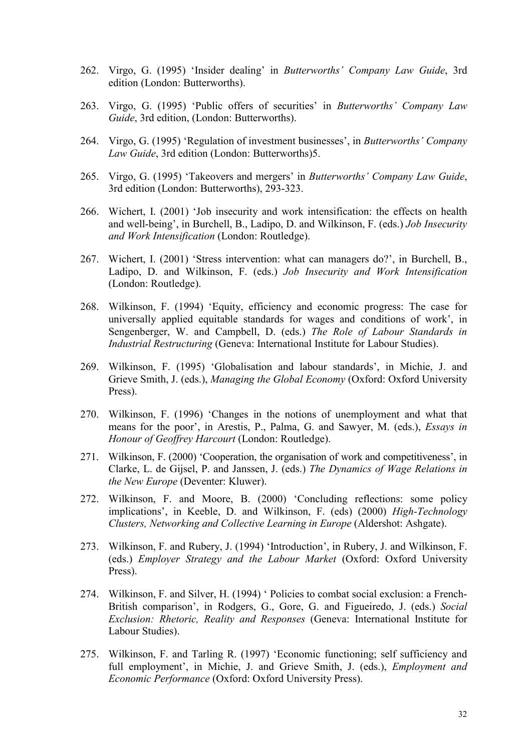- 262. Virgo, G. (1995) 'Insider dealing' in *Butterworths' Company Law Guide*, 3rd edition (London: Butterworths).
- 263. Virgo, G. (1995) 'Public offers of securities' in *Butterworths' Company Law Guide*, 3rd edition, (London: Butterworths).
- 264. Virgo, G. (1995) 'Regulation of investment businesses', in *Butterworths' Company Law Guide*, 3rd edition (London: Butterworths)5.
- 265. Virgo, G. (1995) 'Takeovers and mergers' in *Butterworths' Company Law Guide*, 3rd edition (London: Butterworths), 293-323.
- 266. Wichert, I. (2001) 'Job insecurity and work intensification: the effects on health and well-being', in Burchell, B., Ladipo, D. and Wilkinson, F. (eds.) *Job Insecurity and Work Intensification* (London: Routledge).
- 267. Wichert, I. (2001) 'Stress intervention: what can managers do?', in Burchell, B., Ladipo, D. and Wilkinson, F. (eds.) *Job Insecurity and Work Intensification* (London: Routledge).
- 268. Wilkinson, F. (1994) 'Equity, efficiency and economic progress: The case for universally applied equitable standards for wages and conditions of work', in Sengenberger, W. and Campbell, D. (eds.) *The Role of Labour Standards in Industrial Restructuring* (Geneva: International Institute for Labour Studies).
- 269. Wilkinson, F. (1995) 'Globalisation and labour standards', in Michie, J. and Grieve Smith, J. (eds.), *Managing the Global Economy* (Oxford: Oxford University Press).
- 270. Wilkinson, F. (1996) 'Changes in the notions of unemployment and what that means for the poor', in Arestis, P., Palma, G. and Sawyer, M. (eds.), *Essays in Honour of Geoffrey Harcourt* (London: Routledge).
- 271. Wilkinson, F. (2000) 'Cooperation, the organisation of work and competitiveness', in Clarke, L. de Gijsel, P. and Janssen, J. (eds.) *The Dynamics of Wage Relations in the New Europe* (Deventer: Kluwer).
- 272. Wilkinson, F. and Moore, B. (2000) 'Concluding reflections: some policy implications', in Keeble, D. and Wilkinson, F. (eds) (2000) *High-Technology Clusters, Networking and Collective Learning in Europe* (Aldershot: Ashgate).
- 273. Wilkinson, F. and Rubery, J. (1994) 'Introduction', in Rubery, J. and Wilkinson, F. (eds.) *Employer Strategy and the Labour Market* (Oxford: Oxford University Press).
- 274. Wilkinson, F. and Silver, H. (1994) ' Policies to combat social exclusion: a French-British comparison', in Rodgers, G., Gore, G. and Figueiredo, J. (eds.) *Social Exclusion: Rhetoric, Reality and Responses* (Geneva: International Institute for Labour Studies).
- 275. Wilkinson, F. and Tarling R. (1997) 'Economic functioning; self sufficiency and full employment', in Michie, J. and Grieve Smith, J. (eds.), *Employment and Economic Performance* (Oxford: Oxford University Press).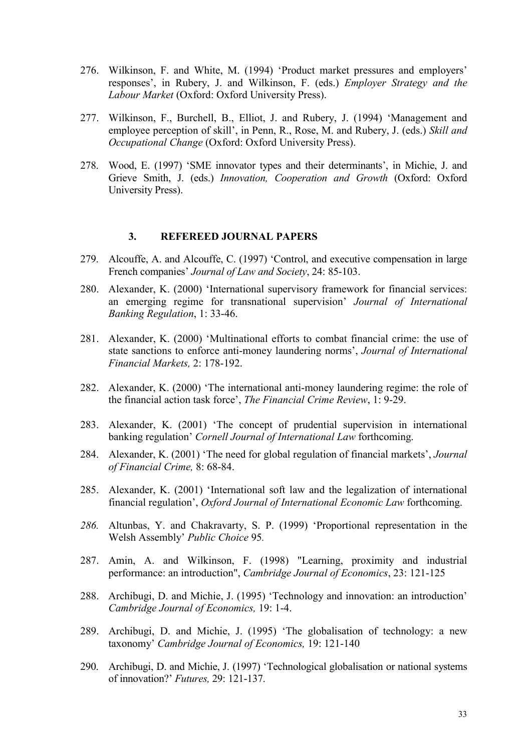- 276. Wilkinson, F. and White, M. (1994) 'Product market pressures and employers' responses', in Rubery, J. and Wilkinson, F. (eds.) *Employer Strategy and the Labour Market* (Oxford: Oxford University Press).
- 277. Wilkinson, F., Burchell, B., Elliot, J. and Rubery, J. (1994) 'Management and employee perception of skill', in Penn, R., Rose, M. and Rubery, J. (eds.) *Skill and Occupational Change* (Oxford: Oxford University Press).
- 278. Wood, E. (1997) 'SME innovator types and their determinants', in Michie, J. and Grieve Smith, J. (eds.) *Innovation, Cooperation and Growth* (Oxford: Oxford University Press).

#### **3. REFEREED JOURNAL PAPERS**

- 279. Alcouffe, A. and Alcouffe, C. (1997) 'Control, and executive compensation in large French companies' *Journal of Law and Society*, 24: 85-103.
- 280. Alexander, K. (2000) 'International supervisory framework for financial services: an emerging regime for transnational supervision' *Journal of International Banking Regulation*, 1: 33-46.
- 281. Alexander, K. (2000) 'Multinational efforts to combat financial crime: the use of state sanctions to enforce anti-money laundering norms', *Journal of International Financial Markets,* 2: 178-192.
- 282. Alexander, K. (2000) 'The international anti-money laundering regime: the role of the financial action task force', *The Financial Crime Review*, 1: 9-29.
- 283. Alexander, K. (2001) 'The concept of prudential supervision in international banking regulation' *Cornell Journal of International Law* forthcoming.
- 284. Alexander, K. (2001) 'The need for global regulation of financial markets', *Journal of Financial Crime,* 8: 68-84.
- 285. Alexander, K. (2001) 'International soft law and the legalization of international financial regulation', *Oxford Journal of International Economic Law* forthcoming.
- *286.* Altunbas, Y. and Chakravarty, S. P. (1999) 'Proportional representation in the Welsh Assembly' *Public Choice* 95*.*
- 287. Amin, A. and Wilkinson, F. (1998) "Learning, proximity and industrial performance: an introduction", *Cambridge Journal of Economics*, 23: 121-125
- 288. Archibugi, D. and Michie, J. (1995) 'Technology and innovation: an introduction' *Cambridge Journal of Economics,* 19: 1-4.
- 289. Archibugi, D. and Michie, J. (1995) 'The globalisation of technology: a new taxonomy' *Cambridge Journal of Economics,* 19: 121-140
- 290. Archibugi, D. and Michie, J. (1997) 'Technological globalisation or national systems of innovation?' *Futures,* 29: 121-137.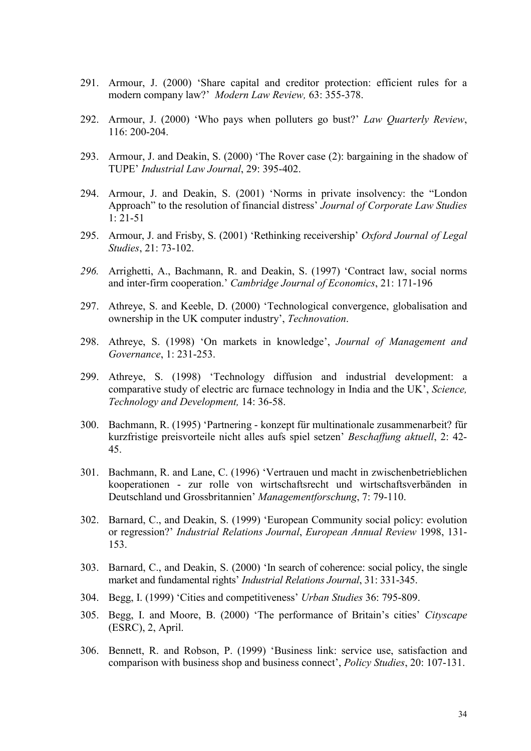- 291. Armour, J. (2000) 'Share capital and creditor protection: efficient rules for a modern company law?' *Modern Law Review,* 63: 355-378.
- 292. Armour, J. (2000) 'Who pays when polluters go bust?' *Law Quarterly Review*, 116: 200-204.
- 293. Armour, J. and Deakin, S. (2000) 'The Rover case (2): bargaining in the shadow of TUPE' *Industrial Law Journal*, 29: 395-402.
- 294. Armour, J. and Deakin, S. (2001) 'Norms in private insolvency: the "London Approach" to the resolution of financial distress' *Journal of Corporate Law Studies*   $1: 21 - 51$
- 295. Armour, J. and Frisby, S. (2001) 'Rethinking receivership' *Oxford Journal of Legal Studies*, 21: 73-102.
- *296.* Arrighetti, A., Bachmann, R. and Deakin, S. (1997) 'Contract law, social norms and inter-firm cooperation.' *Cambridge Journal of Economics*, 21: 171-196
- 297. Athreye, S. and Keeble, D. (2000) 'Technological convergence, globalisation and ownership in the UK computer industry', *Technovation*.
- 298. Athreye, S. (1998) 'On markets in knowledge', *Journal of Management and Governance*, 1: 231-253.
- 299. Athreye, S. (1998) 'Technology diffusion and industrial development: a comparative study of electric arc furnace technology in India and the UK', *Science, Technology and Development,* 14: 36-58.
- 300. Bachmann, R. (1995) 'Partnering konzept für multinationale zusammenarbeit? für kurzfristige preisvorteile nicht alles aufs spiel setzen' *Beschaffung aktuell*, 2: 42- 45.
- 301. Bachmann, R. and Lane, C. (1996) 'Vertrauen und macht in zwischenbetrieblichen kooperationen - zur rolle von wirtschaftsrecht und wirtschaftsverbänden in Deutschland und Grossbritannien' *Managementforschung*, 7: 79-110.
- 302. Barnard, C., and Deakin, S. (1999) 'European Community social policy: evolution or regression?' *Industrial Relations Journal*, *European Annual Review* 1998, 131- 153.
- 303. Barnard, C., and Deakin, S. (2000) 'In search of coherence: social policy, the single market and fundamental rights' *Industrial Relations Journal*, 31: 331-345.
- 304. Begg, I. (1999) 'Cities and competitiveness' *Urban Studies* 36: 795-809.
- 305. Begg, I. and Moore, B. (2000) 'The performance of Britain's cities' *Cityscape* (ESRC), 2, April.
- 306. Bennett, R. and Robson, P. (1999) 'Business link: service use, satisfaction and comparison with business shop and business connect', *Policy Studies*, 20: 107-131.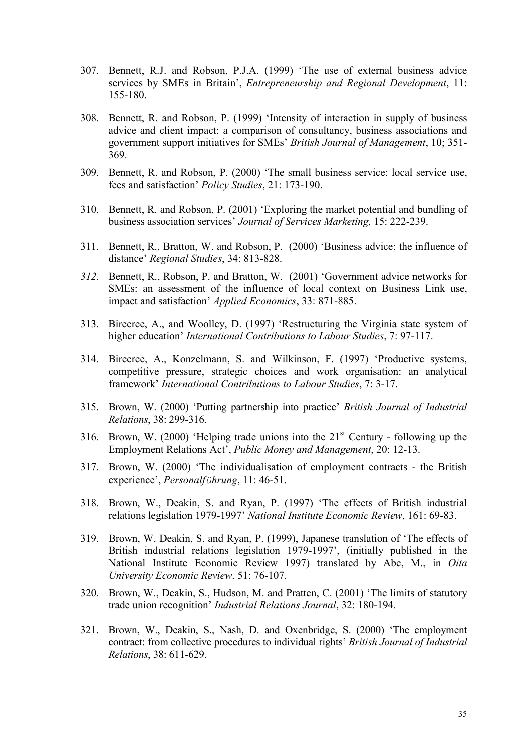- 307. Bennett, R.J. and Robson, P.J.A. (1999) 'The use of external business advice services by SMEs in Britain', *Entrepreneurship and Regional Development*, 11: 155-180.
- 308. Bennett, R. and Robson, P. (1999) 'Intensity of interaction in supply of business advice and client impact: a comparison of consultancy, business associations and government support initiatives for SMEs' *British Journal of Management*, 10; 351- 369.
- 309. Bennett, R. and Robson, P. (2000) 'The small business service: local service use, fees and satisfaction' *Policy Studies*, 21: 173-190.
- 310. Bennett, R. and Robson, P. (2001) 'Exploring the market potential and bundling of business association services' *Journal of Services Marketing,* 15: 222-239.
- 311. Bennett, R., Bratton, W. and Robson, P. (2000) 'Business advice: the influence of distance' *Regional Studies*, 34: 813-828.
- *312.* Bennett, R., Robson, P. and Bratton, W. (2001) 'Government advice networks for SMEs: an assessment of the influence of local context on Business Link use, impact and satisfaction' *Applied Economics*, 33: 871-885.
- 313. Birecree, A., and Woolley, D. (1997) 'Restructuring the Virginia state system of higher education' *International Contributions to Labour Studies*, 7: 97-117.
- 314. Birecree, A., Konzelmann, S. and Wilkinson, F. (1997) 'Productive systems, competitive pressure, strategic choices and work organisation: an analytical framework' *International Contributions to Labour Studies*, 7: 3-17.
- 315. Brown, W. (2000) 'Putting partnership into practice' *British Journal of Industrial Relations*, 38: 299-316.
- 316. Brown, W. (2000) 'Helping trade unions into the  $21<sup>st</sup>$  Century following up the Employment Relations Act', *Public Money and Management*, 20: 12-13.
- 317. Brown, W. (2000) 'The individualisation of employment contracts the British experience', *Personalführung*, 11: 46-51.
- 318. Brown, W., Deakin, S. and Ryan, P. (1997) 'The effects of British industrial relations legislation 1979-1997' *National Institute Economic Review*, 161: 69-83.
- 319. Brown, W. Deakin, S. and Ryan, P. (1999), Japanese translation of 'The effects of British industrial relations legislation 1979-1997', (initially published in the National Institute Economic Review 1997) translated by Abe, M., in *Oita University Economic Review*. 51: 76-107.
- 320. Brown, W., Deakin, S., Hudson, M. and Pratten, C. (2001) 'The limits of statutory trade union recognition' *Industrial Relations Journal*, 32: 180-194.
- 321. Brown, W., Deakin, S., Nash, D. and Oxenbridge, S. (2000) 'The employment contract: from collective procedures to individual rights' *British Journal of Industrial Relations*, 38: 611-629.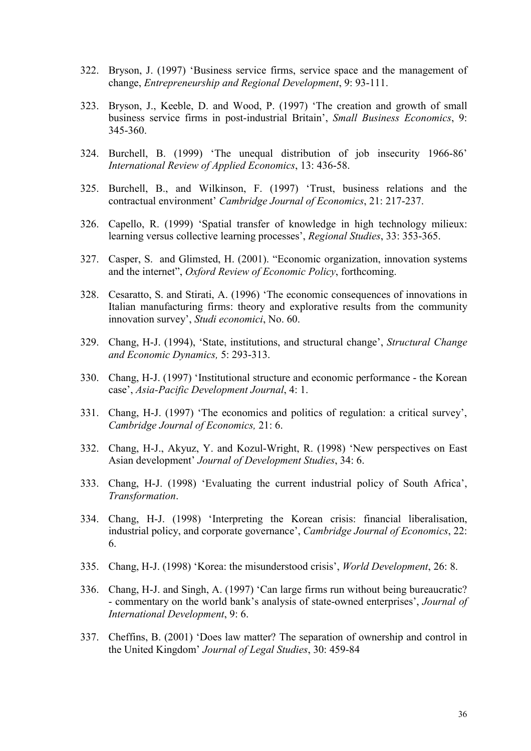- 322. Bryson, J. (1997) 'Business service firms, service space and the management of change, *Entrepreneurship and Regional Development*, 9: 93-111.
- 323. Bryson, J., Keeble, D. and Wood, P. (1997) 'The creation and growth of small business service firms in post-industrial Britain', *Small Business Economics*, 9: 345-360.
- 324. Burchell, B. (1999) 'The unequal distribution of job insecurity 1966-86' *International Review of Applied Economics*, 13: 436-58.
- 325. Burchell, B., and Wilkinson, F. (1997) 'Trust, business relations and the contractual environment' *Cambridge Journal of Economics*, 21: 217-237.
- 326. Capello, R. (1999) 'Spatial transfer of knowledge in high technology milieux: learning versus collective learning processes', *Regional Studies*, 33: 353-365.
- 327. Casper, S. and Glimsted, H. (2001). "Economic organization, innovation systems and the internet", *Oxford Review of Economic Policy*, forthcoming.
- 328. Cesaratto, S. and Stirati, A. (1996) 'The economic consequences of innovations in Italian manufacturing firms: theory and explorative results from the community innovation survey', *Studi economici*, No. 60.
- 329. Chang, H-J. (1994), 'State, institutions, and structural change', *Structural Change and Economic Dynamics,* 5: 293-313.
- 330. Chang, H-J. (1997) 'Institutional structure and economic performance the Korean case', *Asia-Pacific Development Journal*, 4: 1.
- 331. Chang, H-J. (1997) 'The economics and politics of regulation: a critical survey', *Cambridge Journal of Economics,* 21: 6.
- 332. Chang, H-J., Akyuz, Y. and Kozul-Wright, R. (1998) 'New perspectives on East Asian development' *Journal of Development Studies*, 34: 6.
- 333. Chang, H-J. (1998) 'Evaluating the current industrial policy of South Africa', *Transformation*.
- 334. Chang, H-J. (1998) 'Interpreting the Korean crisis: financial liberalisation, industrial policy, and corporate governance', *Cambridge Journal of Economics*, 22: 6.
- 335. Chang, H-J. (1998) 'Korea: the misunderstood crisis', *World Development*, 26: 8.
- 336. Chang, H-J. and Singh, A. (1997) 'Can large firms run without being bureaucratic? - commentary on the world bank's analysis of state-owned enterprises', *Journal of International Development*, 9: 6.
- 337. Cheffins, B. (2001) 'Does law matter? The separation of ownership and control in the United Kingdom' *Journal of Legal Studies*, 30: 459-84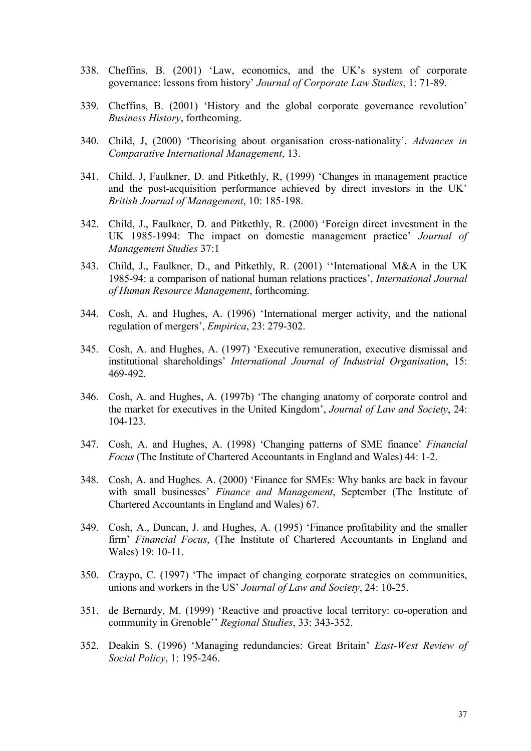- 338. Cheffins, B. (2001) 'Law, economics, and the UK's system of corporate governance: lessons from history' *Journal of Corporate Law Studies*, 1: 71-89.
- 339. Cheffins, B. (2001) 'History and the global corporate governance revolution' *Business History*, forthcoming.
- 340. Child, J, (2000) 'Theorising about organisation cross-nationality'. *Advances in Comparative International Management*, 13.
- 341. Child, J, Faulkner, D. and Pitkethly, R, (1999) 'Changes in management practice and the post-acquisition performance achieved by direct investors in the UK' *British Journal of Management*, 10: 185-198.
- 342. Child, J., Faulkner, D. and Pitkethly, R. (2000) 'Foreign direct investment in the UK 1985-1994: The impact on domestic management practice' *Journal of Management Studies* 37:1
- 343. Child, J., Faulkner, D., and Pitkethly, R. (2001) ''International M&A in the UK 1985-94: a comparison of national human relations practices', *International Journal of Human Resource Management*, forthcoming.
- 344. Cosh, A. and Hughes, A. (1996) 'International merger activity, and the national regulation of mergers', *Empirica*, 23: 279-302.
- 345. Cosh, A. and Hughes, A. (1997) 'Executive remuneration, executive dismissal and institutional shareholdings' *International Journal of Industrial Organisation*, 15: 469-492.
- 346. Cosh, A. and Hughes, A. (1997b) 'The changing anatomy of corporate control and the market for executives in the United Kingdom', *Journal of Law and Society*, 24: 104-123.
- 347. Cosh, A. and Hughes, A. (1998) 'Changing patterns of SME finance' *Financial Focus* (The Institute of Chartered Accountants in England and Wales) 44: 1-2.
- 348. Cosh, A. and Hughes. A. (2000) 'Finance for SMEs: Why banks are back in favour with small businesses' *Finance and Management*, September (The Institute of Chartered Accountants in England and Wales) 67.
- 349. Cosh, A., Duncan, J. and Hughes, A. (1995) 'Finance profitability and the smaller firm' *Financial Focus*, (The Institute of Chartered Accountants in England and Wales) 19: 10-11.
- 350. Craypo, C. (1997) 'The impact of changing corporate strategies on communities, unions and workers in the US' *Journal of Law and Society*, 24: 10-25.
- 351. de Bernardy, M. (1999) 'Reactive and proactive local territory: co-operation and community in Grenoble'' *Regional Studies*, 33: 343-352.
- 352. Deakin S. (1996) 'Managing redundancies: Great Britain' *East-West Review of Social Policy*, 1: 195-246.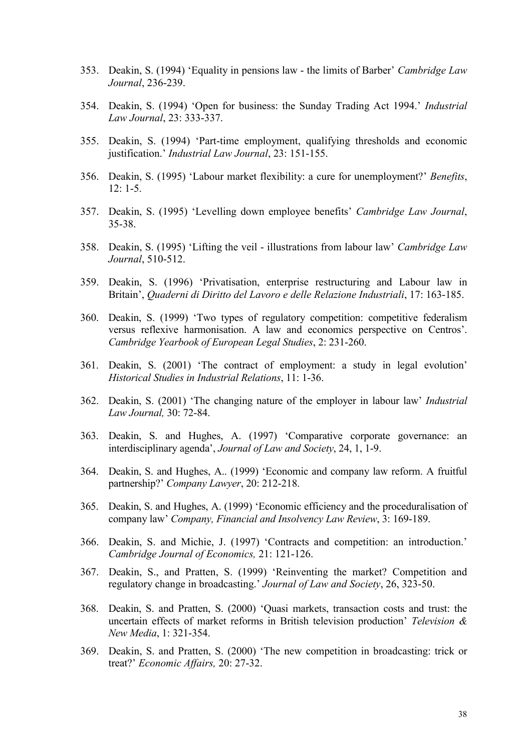- 353. Deakin, S. (1994) 'Equality in pensions law the limits of Barber' *Cambridge Law Journal*, 236-239.
- 354. Deakin, S. (1994) 'Open for business: the Sunday Trading Act 1994.' *Industrial Law Journal*, 23: 333-337.
- 355. Deakin, S. (1994) 'Part-time employment, qualifying thresholds and economic justification.' *Industrial Law Journal*, 23: 151-155.
- 356. Deakin, S. (1995) 'Labour market flexibility: a cure for unemployment?' *Benefits*, 12: 1-5.
- 357. Deakin, S. (1995) 'Levelling down employee benefits' *Cambridge Law Journal*, 35-38.
- 358. Deakin, S. (1995) 'Lifting the veil illustrations from labour law' *Cambridge Law Journal*, 510-512.
- 359. Deakin, S. (1996) 'Privatisation, enterprise restructuring and Labour law in Britain', *Quaderni di Diritto del Lavoro e delle Relazione Industriali*, 17: 163-185.
- 360. Deakin, S. (1999) 'Two types of regulatory competition: competitive federalism versus reflexive harmonisation. A law and economics perspective on Centros'. *Cambridge Yearbook of European Legal Studies*, 2: 231-260.
- 361. Deakin, S. (2001) 'The contract of employment: a study in legal evolution' *Historical Studies in Industrial Relations*, 11: 1-36.
- 362. Deakin, S. (2001) 'The changing nature of the employer in labour law' *Industrial Law Journal,* 30: 72-84.
- 363. Deakin, S. and Hughes, A. (1997) 'Comparative corporate governance: an interdisciplinary agenda', *Journal of Law and Society*, 24, 1, 1-9.
- 364. Deakin, S. and Hughes, A.. (1999) 'Economic and company law reform. A fruitful partnership?' *Company Lawyer*, 20: 212-218.
- 365. Deakin, S. and Hughes, A. (1999) 'Economic efficiency and the proceduralisation of company law' *Company, Financial and Insolvency Law Review*, 3: 169-189.
- 366. Deakin, S. and Michie, J. (1997) 'Contracts and competition: an introduction.' *Cambridge Journal of Economics,* 21: 121-126.
- 367. Deakin, S., and Pratten, S. (1999) 'Reinventing the market? Competition and regulatory change in broadcasting.' *Journal of Law and Society*, 26, 323-50.
- 368. Deakin, S. and Pratten, S. (2000) 'Quasi markets, transaction costs and trust: the uncertain effects of market reforms in British television production' *Television & New Media*, 1: 321-354.
- 369. Deakin, S. and Pratten, S. (2000) 'The new competition in broadcasting: trick or treat?' *Economic Affairs,* 20: 27-32.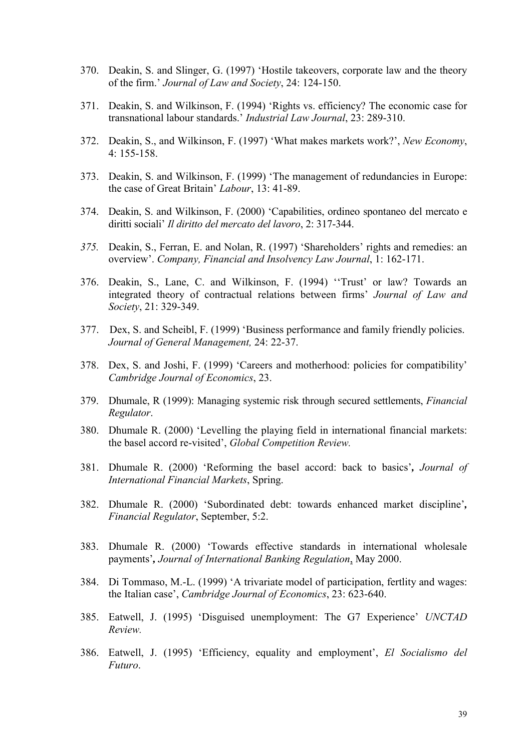- 370. Deakin, S. and Slinger, G. (1997) 'Hostile takeovers, corporate law and the theory of the firm.' *Journal of Law and Society*, 24: 124-150.
- 371. Deakin, S. and Wilkinson, F. (1994) 'Rights vs. efficiency? The economic case for transnational labour standards.' *Industrial Law Journal*, 23: 289-310.
- 372. Deakin, S., and Wilkinson, F. (1997) 'What makes markets work?', *New Economy*,  $4:155-158$
- 373. Deakin, S. and Wilkinson, F. (1999) 'The management of redundancies in Europe: the case of Great Britain' *Labour*, 13: 41-89.
- 374. Deakin, S. and Wilkinson, F. (2000) 'Capabilities, ordineo spontaneo del mercato e diritti sociali' *Il diritto del mercato del lavoro*, 2: 317-344.
- *375.* Deakin, S., Ferran, E. and Nolan, R. (1997) 'Shareholders' rights and remedies: an overview'. *Company, Financial and Insolvency Law Journal*, 1: 162-171.
- 376. Deakin, S., Lane, C. and Wilkinson, F. (1994) ''Trust' or law? Towards an integrated theory of contractual relations between firms' *Journal of Law and Society*, 21: 329-349.
- 377. Dex, S. and Scheibl, F. (1999) 'Business performance and family friendly policies. *Journal of General Management,* 24: 22-37.
- 378. Dex, S. and Joshi, F. (1999) 'Careers and motherhood: policies for compatibility' *Cambridge Journal of Economics*, 23.
- 379. Dhumale, R (1999): Managing systemic risk through secured settlements, *Financial Regulator*.
- 380. Dhumale R. (2000) 'Levelling the playing field in international financial markets: the basel accord re-visited', *Global Competition Review.*
- 381. Dhumale R. (2000) 'Reforming the basel accord: back to basics'*, Journal of International Financial Markets*, Spring.
- 382. Dhumale R. (2000) 'Subordinated debt: towards enhanced market discipline'*, Financial Regulator*, September, 5:2.
- 383. Dhumale R. (2000) 'Towards effective standards in international wholesale payments'*, Journal of International Banking Regulation*, May 2000.
- 384. Di Tommaso, M.-L. (1999) 'A trivariate model of participation, fertlity and wages: the Italian case', *Cambridge Journal of Economics*, 23: 623-640.
- 385. Eatwell, J. (1995) 'Disguised unemployment: The G7 Experience' *UNCTAD Review.*
- 386. Eatwell, J. (1995) 'Efficiency, equality and employment', *El Socialismo del Futuro*.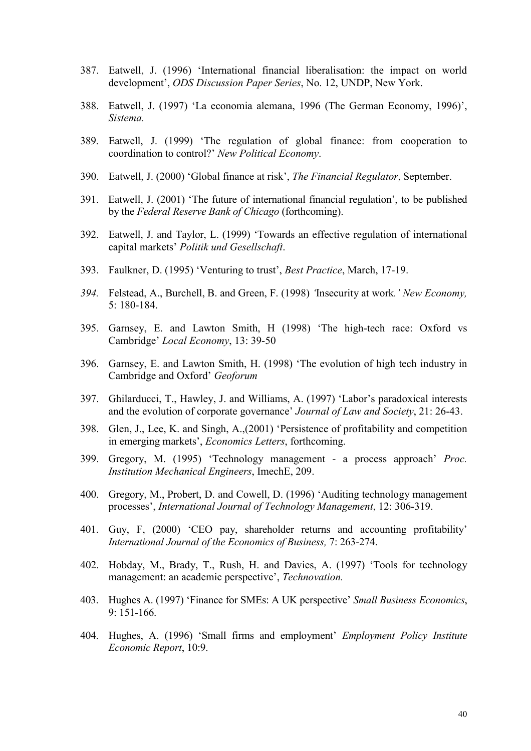- 387. Eatwell, J. (1996) 'International financial liberalisation: the impact on world development', *ODS Discussion Paper Series*, No. 12, UNDP, New York.
- 388. Eatwell, J. (1997) 'La economia alemana, 1996 (The German Economy, 1996)', *Sistema.*
- 389. Eatwell, J. (1999) 'The regulation of global finance: from cooperation to coordination to control?' *New Political Economy*.
- 390. Eatwell, J. (2000) 'Global finance at risk', *The Financial Regulator*, September.
- 391. Eatwell, J. (2001) 'The future of international financial regulation', to be published by the *Federal Reserve Bank of Chicago* (forthcoming).
- 392. Eatwell, J. and Taylor, L. (1999) 'Towards an effective regulation of international capital markets' *Politik und Gesellschaft*.
- 393. Faulkner, D. (1995) 'Venturing to trust', *Best Practice*, March, 17-19.
- *394.* Felstead, A., Burchell, B. and Green, F. (1998) *'*Insecurity at work*.' New Economy,*  5: 180-184.
- 395. Garnsey, E. and Lawton Smith, H (1998) 'The high-tech race: Oxford vs Cambridge' *Local Economy*, 13: 39-50
- 396. Garnsey, E. and Lawton Smith, H. (1998) 'The evolution of high tech industry in Cambridge and Oxford' *Geoforum*
- 397. Ghilarducci, T., Hawley, J. and Williams, A. (1997) 'Labor's paradoxical interests and the evolution of corporate governance' *Journal of Law and Society*, 21: 26-43.
- 398. Glen, J., Lee, K. and Singh, A.,(2001) 'Persistence of profitability and competition in emerging markets', *Economics Letters*, forthcoming.
- 399. Gregory, M. (1995) 'Technology management a process approach' *Proc. Institution Mechanical Engineers*, ImechE, 209.
- 400. Gregory, M., Probert, D. and Cowell, D. (1996) 'Auditing technology management processes', *International Journal of Technology Management*, 12: 306-319.
- 401. Guy, F, (2000) 'CEO pay, shareholder returns and accounting profitability' *International Journal of the Economics of Business,* 7: 263-274.
- 402. Hobday, M., Brady, T., Rush, H. and Davies, A. (1997) 'Tools for technology management: an academic perspective', *Technovation.*
- 403. Hughes A. (1997) 'Finance for SMEs: A UK perspective' *Small Business Economics*, 9: 151-166.
- 404. Hughes, A. (1996) 'Small firms and employment' *Employment Policy Institute Economic Report*, 10:9.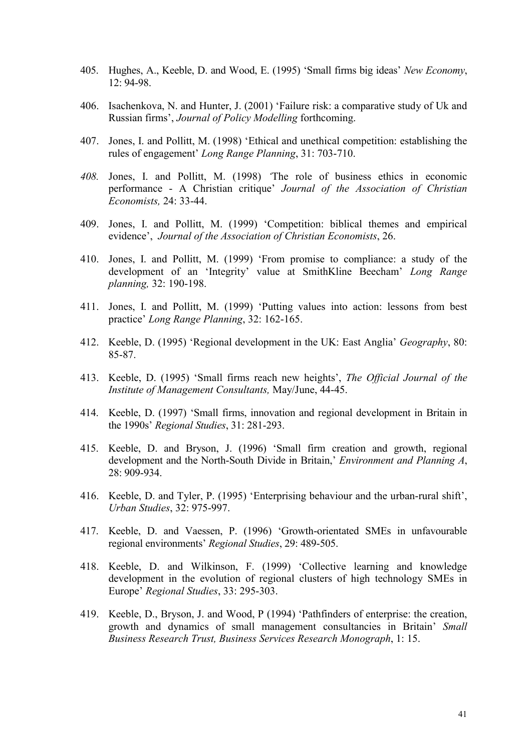- 405. Hughes, A., Keeble, D. and Wood, E. (1995) 'Small firms big ideas' *New Economy*, 12: 94-98.
- 406. Isachenkova, N. and Hunter, J. (2001) 'Failure risk: a comparative study of Uk and Russian firms', *Journal of Policy Modelling* forthcoming.
- 407. Jones, I. and Pollitt, M. (1998) 'Ethical and unethical competition: establishing the rules of engagement' *Long Range Planning*, 31: 703-710.
- *408.* Jones, I. and Pollitt, M. (1998) *'*The role of business ethics in economic performance - A Christian critique' *Journal of the Association of Christian Economists,* 24: 33-44.
- 409. Jones, I. and Pollitt, M. (1999) 'Competition: biblical themes and empirical evidence', *Journal of the Association of Christian Economists*, 26.
- 410. Jones, I. and Pollitt, M. (1999) 'From promise to compliance: a study of the development of an 'Integrity' value at SmithKline Beecham' *Long Range planning,* 32: 190-198.
- 411. Jones, I. and Pollitt, M. (1999) 'Putting values into action: lessons from best practice' *Long Range Planning*, 32: 162-165.
- 412. Keeble, D. (1995) 'Regional development in the UK: East Anglia' *Geography*, 80: 85-87.
- 413. Keeble, D. (1995) 'Small firms reach new heights', *The Official Journal of the Institute of Management Consultants,* May/June, 44-45.
- 414. Keeble, D. (1997) 'Small firms, innovation and regional development in Britain in the 1990s' *Regional Studies*, 31: 281-293.
- 415. Keeble, D. and Bryson, J. (1996) 'Small firm creation and growth, regional development and the North-South Divide in Britain,' *Environment and Planning A*, 28: 909-934.
- 416. Keeble, D. and Tyler, P. (1995) 'Enterprising behaviour and the urban-rural shift', *Urban Studies*, 32: 975-997.
- 417. Keeble, D. and Vaessen, P. (1996) 'Growth-orientated SMEs in unfavourable regional environments' *Regional Studies*, 29: 489-505.
- 418. Keeble, D. and Wilkinson, F. (1999) 'Collective learning and knowledge development in the evolution of regional clusters of high technology SMEs in Europe' *Regional Studies*, 33: 295-303.
- 419. Keeble, D., Bryson, J. and Wood, P (1994) 'Pathfinders of enterprise: the creation, growth and dynamics of small management consultancies in Britain' *Small Business Research Trust, Business Services Research Monograph*, 1: 15.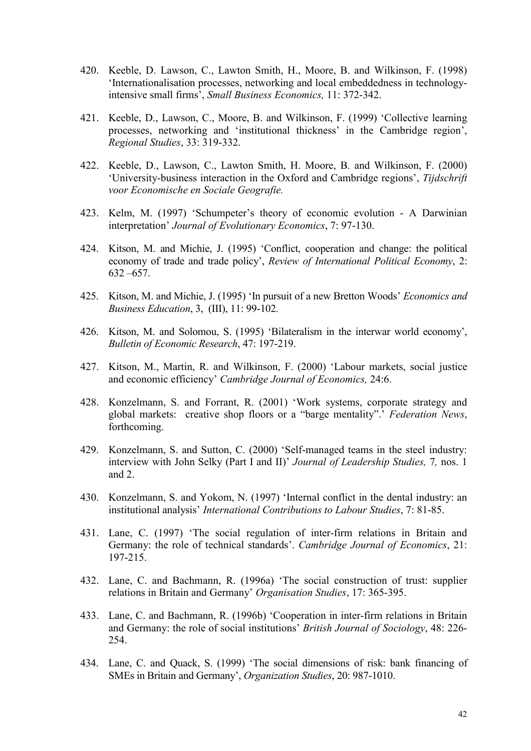- 420. Keeble, D. Lawson, C., Lawton Smith, H., Moore, B. and Wilkinson, F. (1998) 'Internationalisation processes, networking and local embeddedness in technologyintensive small firms', *Small Business Economics,* 11: 372-342.
- 421. Keeble, D., Lawson, C., Moore, B. and Wilkinson, F. (1999) 'Collective learning processes, networking and 'institutional thickness' in the Cambridge region', *Regional Studies*, 33: 319-332.
- 422. Keeble, D., Lawson, C., Lawton Smith, H. Moore, B. and Wilkinson, F. (2000) 'University-business interaction in the Oxford and Cambridge regions', *Tijdschrift voor Economische en Sociale Geografie.*
- 423. Kelm, M. (1997) 'Schumpeter's theory of economic evolution A Darwinian interpretation' *Journal of Evolutionary Economics*, 7: 97-130.
- 424. Kitson, M. and Michie, J. (1995) 'Conflict, cooperation and change: the political economy of trade and trade policy', *Review of International Political Economy*, 2: 632 –657.
- 425. Kitson, M. and Michie, J. (1995) 'In pursuit of a new Bretton Woods' *Economics and Business Education*, 3, (III), 11: 99-102.
- 426. Kitson, M. and Solomou, S. (1995) 'Bilateralism in the interwar world economy', *Bulletin of Economic Research*, 47: 197-219.
- 427. Kitson, M., Martin, R. and Wilkinson, F. (2000) 'Labour markets, social justice and economic efficiency' *Cambridge Journal of Economics,* 24:6.
- 428. Konzelmann, S. and Forrant, R. (2001) 'Work systems, corporate strategy and global markets: creative shop floors or a "barge mentality".' *Federation News*, forthcoming.
- 429. Konzelmann, S. and Sutton, C. (2000) 'Self-managed teams in the steel industry: interview with John Selky (Part I and II)' *Journal of Leadership Studies,* 7*,* nos. 1 and 2.
- 430. Konzelmann, S. and Yokom, N. (1997) 'Internal conflict in the dental industry: an institutional analysis' *International Contributions to Labour Studies*, 7: 81-85.
- 431. Lane, C. (1997) 'The social regulation of inter-firm relations in Britain and Germany: the role of technical standards'. *Cambridge Journal of Economics*, 21: 197-215.
- 432. Lane, C. and Bachmann, R. (1996a) 'The social construction of trust: supplier relations in Britain and Germany' *Organisation Studies*, 17: 365-395.
- 433. Lane, C. and Bachmann, R. (1996b) 'Cooperation in inter-firm relations in Britain and Germany: the role of social institutions' *British Journal of Sociology*, 48: 226- 254.
- 434. Lane, C. and Quack, S. (1999) 'The social dimensions of risk: bank financing of SMEs in Britain and Germany', *Organization Studies*, 20: 987-1010.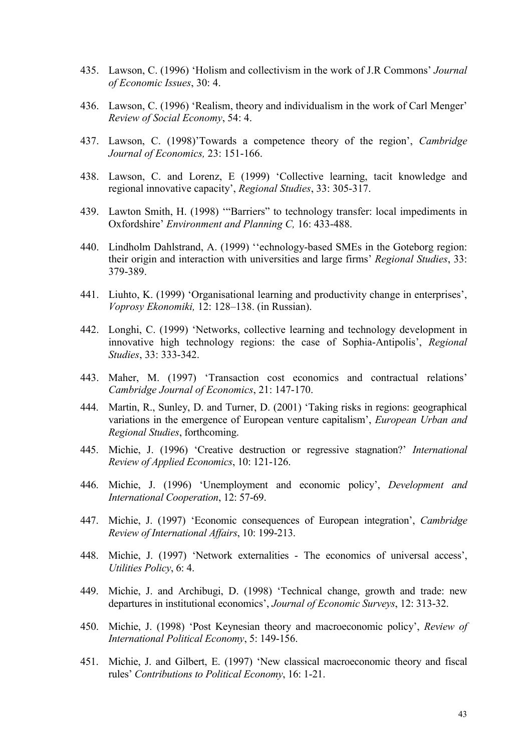- 435. Lawson, C. (1996) 'Holism and collectivism in the work of J.R Commons' *Journal of Economic Issues*, 30: 4.
- 436. Lawson, C. (1996) 'Realism, theory and individualism in the work of Carl Menger' *Review of Social Economy*, 54: 4.
- 437. Lawson, C. (1998)'Towards a competence theory of the region', *Cambridge Journal of Economics,* 23: 151-166.
- 438. Lawson, C. and Lorenz, E (1999) 'Collective learning, tacit knowledge and regional innovative capacity', *Regional Studies*, 33: 305-317.
- 439. Lawton Smith, H. (1998) '"Barriers" to technology transfer: local impediments in Oxfordshire' *Environment and Planning C,* 16: 433-488.
- 440. Lindholm Dahlstrand, A. (1999) ''echnology-based SMEs in the Goteborg region: their origin and interaction with universities and large firms' *Regional Studies*, 33: 379-389.
- 441. Liuhto, K. (1999) 'Organisational learning and productivity change in enterprises', *Voprosy Ekonomiki,* 12: 128–138. (in Russian).
- 442. Longhi, C. (1999) 'Networks, collective learning and technology development in innovative high technology regions: the case of Sophia-Antipolis', *Regional Studies*, 33: 333-342.
- 443. Maher, M. (1997) 'Transaction cost economics and contractual relations' *Cambridge Journal of Economics*, 21: 147-170.
- 444. Martin, R., Sunley, D. and Turner, D. (2001) 'Taking risks in regions: geographical variations in the emergence of European venture capitalism', *European Urban and Regional Studies*, forthcoming.
- 445. Michie, J. (1996) 'Creative destruction or regressive stagnation?' *International Review of Applied Economics*, 10: 121-126.
- 446. Michie, J. (1996) 'Unemployment and economic policy', *Development and International Cooperation*, 12: 57-69.
- 447. Michie, J. (1997) 'Economic consequences of European integration', *Cambridge Review of International Affairs*, 10: 199-213.
- 448. Michie, J. (1997) 'Network externalities The economics of universal access', *Utilities Policy*, 6: 4.
- 449. Michie, J. and Archibugi, D. (1998) 'Technical change, growth and trade: new departures in institutional economics', *Journal of Economic Surveys*, 12: 313-32.
- 450. Michie, J. (1998) 'Post Keynesian theory and macroeconomic policy', *Review of International Political Economy*, 5: 149-156.
- 451. Michie, J. and Gilbert, E. (1997) 'New classical macroeconomic theory and fiscal rules' *Contributions to Political Economy*, 16: 1-21.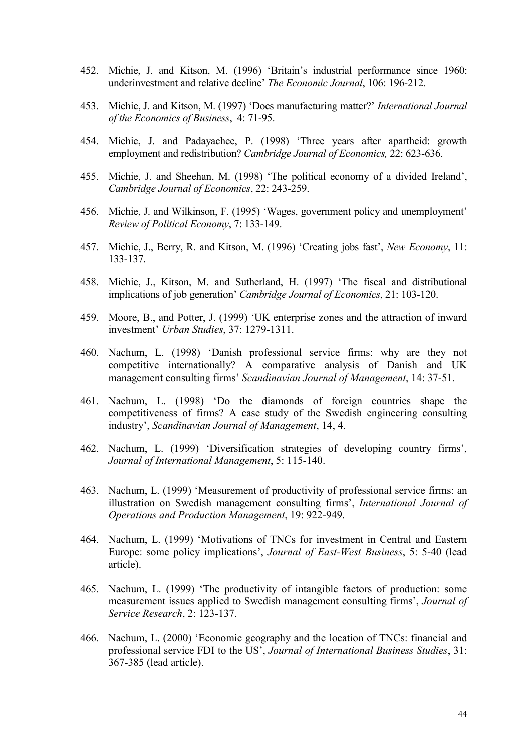- 452. Michie, J. and Kitson, M. (1996) 'Britain's industrial performance since 1960: underinvestment and relative decline' *The Economic Journal*, 106: 196-212.
- 453. Michie, J. and Kitson, M. (1997) 'Does manufacturing matter?' *International Journal of the Economics of Business*, 4: 71-95.
- 454. Michie, J. and Padayachee, P. (1998) 'Three years after apartheid: growth employment and redistribution? *Cambridge Journal of Economics,* 22: 623-636.
- 455. Michie, J. and Sheehan, M. (1998) 'The political economy of a divided Ireland', *Cambridge Journal of Economics*, 22: 243-259.
- 456. Michie, J. and Wilkinson, F. (1995) 'Wages, government policy and unemployment' *Review of Political Economy*, 7: 133-149.
- 457. Michie, J., Berry, R. and Kitson, M. (1996) 'Creating jobs fast', *New Economy*, 11: 133-137.
- 458. Michie, J., Kitson, M. and Sutherland, H. (1997) 'The fiscal and distributional implications of job generation' *Cambridge Journal of Economics*, 21: 103-120.
- 459. Moore, B., and Potter, J. (1999) 'UK enterprise zones and the attraction of inward investment' *Urban Studies*, 37: 1279-1311.
- 460. Nachum, L. (1998) 'Danish professional service firms: why are they not competitive internationally? A comparative analysis of Danish and UK management consulting firms' *Scandinavian Journal of Management*, 14: 37-51.
- 461. Nachum, L. (1998) 'Do the diamonds of foreign countries shape the competitiveness of firms? A case study of the Swedish engineering consulting industry', *Scandinavian Journal of Management*, 14, 4.
- 462. Nachum, L. (1999) 'Diversification strategies of developing country firms', *Journal of International Management*, 5: 115-140.
- 463. Nachum, L. (1999) 'Measurement of productivity of professional service firms: an illustration on Swedish management consulting firms', *International Journal of Operations and Production Management*, 19: 922-949.
- 464. Nachum, L. (1999) 'Motivations of TNCs for investment in Central and Eastern Europe: some policy implications', *Journal of East-West Business*, 5: 5-40 (lead article).
- 465. Nachum, L. (1999) 'The productivity of intangible factors of production: some measurement issues applied to Swedish management consulting firms', *Journal of Service Research*, 2: 123-137.
- 466. Nachum, L. (2000) 'Economic geography and the location of TNCs: financial and professional service FDI to the US', *Journal of International Business Studies*, 31: 367-385 (lead article).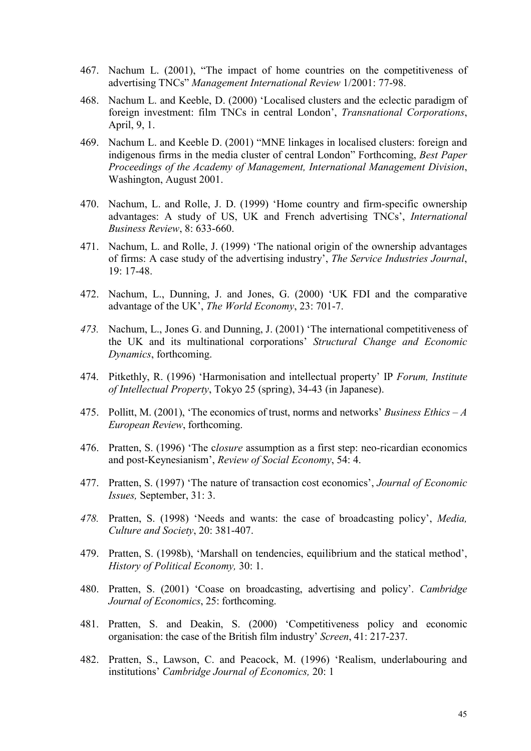- 467. Nachum L. (2001), "The impact of home countries on the competitiveness of advertising TNCs" *Management International Review* 1/2001: 77-98.
- 468. Nachum L. and Keeble, D. (2000) 'Localised clusters and the eclectic paradigm of foreign investment: film TNCs in central London', *Transnational Corporations*, April, 9, 1.
- 469. Nachum L. and Keeble D. (2001) "MNE linkages in localised clusters: foreign and indigenous firms in the media cluster of central London" Forthcoming, *Best Paper Proceedings of the Academy of Management, International Management Division*, Washington, August 2001.
- 470. Nachum, L. and Rolle, J. D. (1999) 'Home country and firm-specific ownership advantages: A study of US, UK and French advertising TNCs', *International Business Review*, 8: 633-660.
- 471. Nachum, L. and Rolle, J. (1999) 'The national origin of the ownership advantages of firms: A case study of the advertising industry', *The Service Industries Journal*, 19: 17-48.
- 472. Nachum, L., Dunning, J. and Jones, G. (2000) 'UK FDI and the comparative advantage of the UK', *The World Economy*, 23: 701-7.
- *473.* Nachum, L., Jones G. and Dunning, J. (2001) 'The international competitiveness of the UK and its multinational corporations' *Structural Change and Economic Dynamics*, forthcoming.
- 474. Pitkethly, R. (1996) 'Harmonisation and intellectual property' IP *Forum, Institute of Intellectual Property*, Tokyo 25 (spring), 34-43 (in Japanese).
- 475. Pollitt, M. (2001), 'The economics of trust, norms and networks' *Business Ethics A European Review*, forthcoming.
- 476. Pratten, S. (1996) 'The c*losure* assumption as a first step: neo-ricardian economics and post-Keynesianism', *Review of Social Economy*, 54: 4.
- 477. Pratten, S. (1997) 'The nature of transaction cost economics', *Journal of Economic Issues,* September, 31: 3.
- *478.* Pratten, S. (1998) 'Needs and wants: the case of broadcasting policy', *Media, Culture and Society*, 20: 381-407.
- 479. Pratten, S. (1998b), 'Marshall on tendencies, equilibrium and the statical method', *History of Political Economy,* 30: 1.
- 480. Pratten, S. (2001) 'Coase on broadcasting, advertising and policy'. *Cambridge Journal of Economics*, 25: forthcoming.
- 481. Pratten, S. and Deakin, S. (2000) 'Competitiveness policy and economic organisation: the case of the British film industry' *Screen*, 41: 217-237.
- 482. Pratten, S., Lawson, C. and Peacock, M. (1996) 'Realism, underlabouring and institutions' *Cambridge Journal of Economics,* 20: 1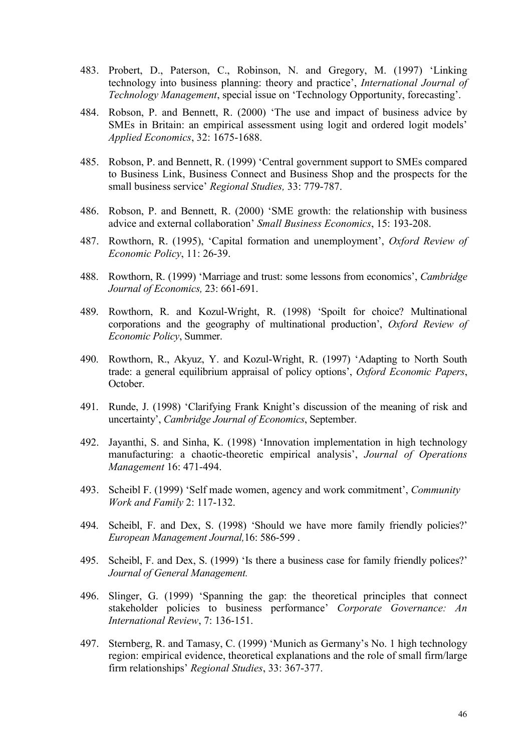- 483. Probert, D., Paterson, C., Robinson, N. and Gregory, M. (1997) 'Linking technology into business planning: theory and practice', *International Journal of Technology Management*, special issue on 'Technology Opportunity, forecasting'.
- 484. Robson, P. and Bennett, R. (2000) 'The use and impact of business advice by SMEs in Britain: an empirical assessment using logit and ordered logit models' *Applied Economics*, 32: 1675-1688.
- 485. Robson, P. and Bennett, R. (1999) 'Central government support to SMEs compared to Business Link, Business Connect and Business Shop and the prospects for the small business service' *Regional Studies,* 33: 779-787.
- 486. Robson, P. and Bennett, R. (2000) 'SME growth: the relationship with business advice and external collaboration' *Small Business Economics*, 15: 193-208.
- 487. Rowthorn, R. (1995), 'Capital formation and unemployment', *Oxford Review of Economic Policy*, 11: 26-39.
- 488. Rowthorn, R. (1999) 'Marriage and trust: some lessons from economics', *Cambridge Journal of Economics,* 23: 661-691.
- 489. Rowthorn, R. and Kozul-Wright, R. (1998) 'Spoilt for choice? Multinational corporations and the geography of multinational production', *Oxford Review of Economic Policy*, Summer.
- 490. Rowthorn, R., Akyuz, Y. and Kozul-Wright, R. (1997) 'Adapting to North South trade: a general equilibrium appraisal of policy options', *Oxford Economic Papers*, October.
- 491. Runde, J. (1998) 'Clarifying Frank Knight's discussion of the meaning of risk and uncertainty', *Cambridge Journal of Economics*, September.
- 492. Jayanthi, S. and Sinha, K. (1998) 'Innovation implementation in high technology manufacturing: a chaotic-theoretic empirical analysis', *Journal of Operations Management* 16: 471-494.
- 493. Scheibl F. (1999) 'Self made women, agency and work commitment', *Community Work and Family* 2: 117-132.
- 494. Scheibl, F. and Dex, S. (1998) 'Should we have more family friendly policies?' *European Management Journal,*16: 586-599 .
- 495. Scheibl, F. and Dex, S. (1999) 'Is there a business case for family friendly polices?' *Journal of General Management.*
- 496. Slinger, G. (1999) 'Spanning the gap: the theoretical principles that connect stakeholder policies to business performance' *Corporate Governance: An International Review*, 7: 136-151.
- 497. Sternberg, R. and Tamasy, C. (1999) 'Munich as Germany's No. 1 high technology region: empirical evidence, theoretical explanations and the role of small firm/large firm relationships' *Regional Studies*, 33: 367-377.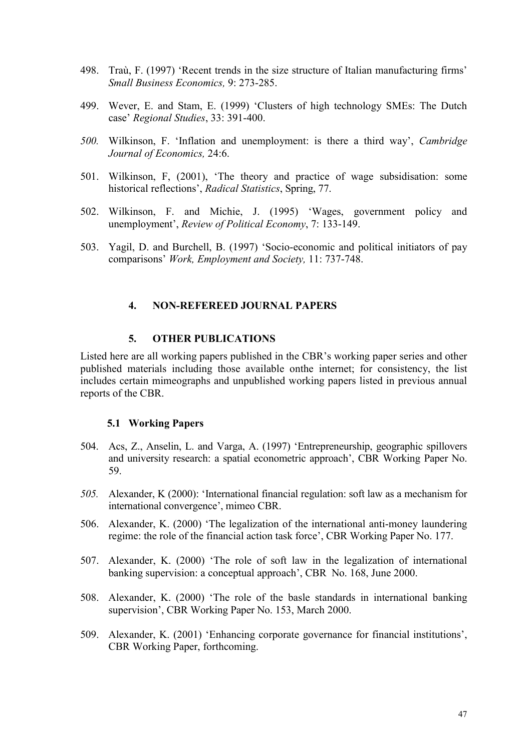- 498. Traù, F. (1997) 'Recent trends in the size structure of Italian manufacturing firms' *Small Business Economics,* 9: 273-285.
- 499. Wever, E. and Stam, E. (1999) 'Clusters of high technology SMEs: The Dutch case' *Regional Studies*, 33: 391-400.
- *500.* Wilkinson, F. 'Inflation and unemployment: is there a third way', *Cambridge Journal of Economics,* 24:6.
- 501. Wilkinson, F, (2001), 'The theory and practice of wage subsidisation: some historical reflections', *Radical Statistics*, Spring, 77.
- 502. Wilkinson, F. and Michie, J. (1995) 'Wages, government policy and unemployment', *Review of Political Economy*, 7: 133-149.
- 503. Yagil, D. and Burchell, B. (1997) 'Socio-economic and political initiators of pay comparisons' *Work, Employment and Society,* 11: 737-748.

# **4. NON-REFEREED JOURNAL PAPERS**

#### **5. OTHER PUBLICATIONS**

Listed here are all working papers published in the CBR's working paper series and other published materials including those available onthe internet; for consistency, the list includes certain mimeographs and unpublished working papers listed in previous annual reports of the CBR.

#### **5.1 Working Papers**

- 504. Acs, Z., Anselin, L. and Varga, A. (1997) 'Entrepreneurship, geographic spillovers and university research: a spatial econometric approach', CBR Working Paper No. 59.
- *505.* Alexander, K (2000): 'International financial regulation: soft law as a mechanism for international convergence', mimeo CBR.
- 506. Alexander, K. (2000) 'The legalization of the international anti-money laundering regime: the role of the financial action task force', CBR Working Paper No. 177.
- 507. Alexander, K. (2000) 'The role of soft law in the legalization of international banking supervision: a conceptual approach', CBR No. 168, June 2000.
- 508. Alexander, K. (2000) 'The role of the basle standards in international banking supervision', CBR Working Paper No. 153, March 2000.
- 509. Alexander, K. (2001) 'Enhancing corporate governance for financial institutions', CBR Working Paper, forthcoming.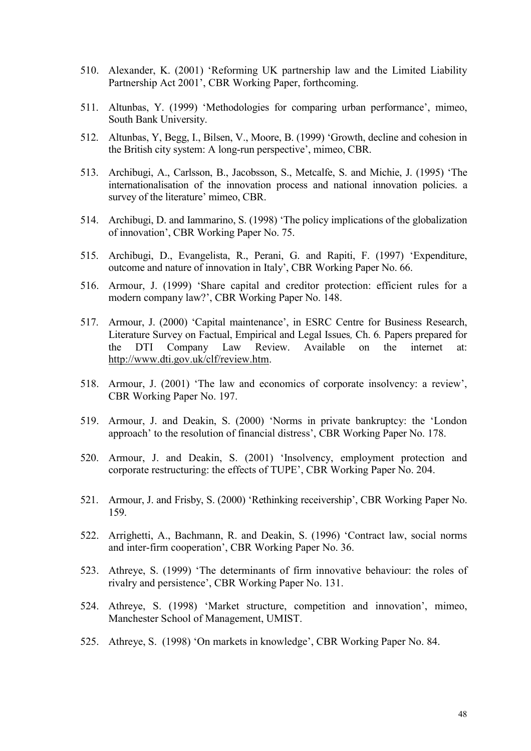- 510. Alexander, K. (2001) 'Reforming UK partnership law and the Limited Liability Partnership Act 2001', CBR Working Paper, forthcoming.
- 511. Altunbas, Y. (1999) 'Methodologies for comparing urban performance', mimeo, South Bank University.
- 512. Altunbas, Y, Begg, I., Bilsen, V., Moore, B. (1999) 'Growth, decline and cohesion in the British city system: A long-run perspective', mimeo, CBR.
- 513. Archibugi, A., Carlsson, B., Jacobsson, S., Metcalfe, S. and Michie, J. (1995) 'The internationalisation of the innovation process and national innovation policies. a survey of the literature' mimeo, CBR.
- 514. Archibugi, D. and Iammarino, S. (1998) 'The policy implications of the globalization of innovation', CBR Working Paper No. 75.
- 515. Archibugi, D., Evangelista, R., Perani, G. and Rapiti, F. (1997) 'Expenditure, outcome and nature of innovation in Italy', CBR Working Paper No. 66.
- 516. Armour, J. (1999) 'Share capital and creditor protection: efficient rules for a modern company law?', CBR Working Paper No. 148.
- 517. Armour, J. (2000) 'Capital maintenance', in ESRC Centre for Business Research, Literature Survey on Factual, Empirical and Legal Issues*,* Ch. 6*.* Papers prepared for the DTI Company Law Review. Available on the internet at: <http://www.dti.gov.uk/clf/review.htm>.
- 518. Armour, J. (2001) 'The law and economics of corporate insolvency: a review', CBR Working Paper No. 197.
- 519. Armour, J. and Deakin, S. (2000) 'Norms in private bankruptcy: the 'London approach' to the resolution of financial distress', CBR Working Paper No. 178.
- 520. Armour, J. and Deakin, S. (2001) 'Insolvency, employment protection and corporate restructuring: the effects of TUPE', CBR Working Paper No. 204.
- 521. Armour, J. and Frisby, S. (2000) 'Rethinking receivership', CBR Working Paper No. 159.
- 522. Arrighetti, A., Bachmann, R. and Deakin, S. (1996) 'Contract law, social norms and inter-firm cooperation', CBR Working Paper No. 36.
- 523. Athreye, S. (1999) 'The determinants of firm innovative behaviour: the roles of rivalry and persistence', CBR Working Paper No. 131.
- 524. Athreye, S. (1998) 'Market structure, competition and innovation', mimeo, Manchester School of Management, UMIST.
- 525. Athreye, S. (1998) 'On markets in knowledge', CBR Working Paper No. 84.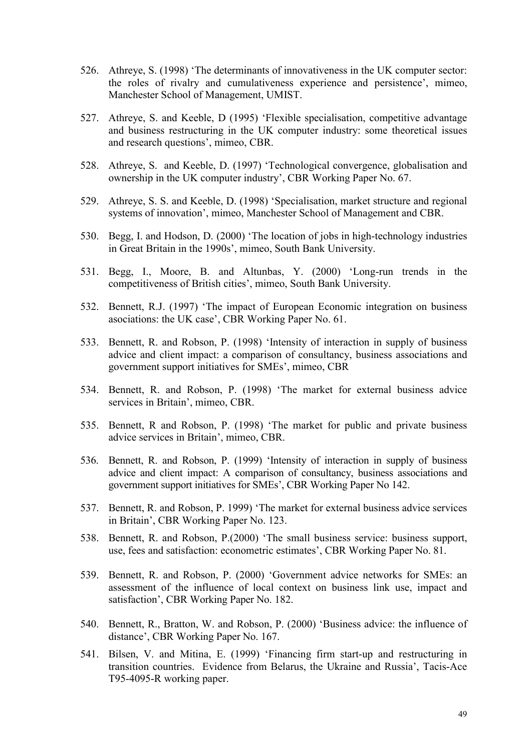- 526. Athreye, S. (1998) 'The determinants of innovativeness in the UK computer sector: the roles of rivalry and cumulativeness experience and persistence', mimeo, Manchester School of Management, UMIST.
- 527. Athreye, S. and Keeble, D (1995) 'Flexible specialisation, competitive advantage and business restructuring in the UK computer industry: some theoretical issues and research questions', mimeo, CBR.
- 528. Athreye, S. and Keeble, D. (1997) 'Technological convergence, globalisation and ownership in the UK computer industry', CBR Working Paper No. 67.
- 529. Athreye, S. S. and Keeble, D. (1998) 'Specialisation, market structure and regional systems of innovation', mimeo, Manchester School of Management and CBR.
- 530. Begg, I. and Hodson, D. (2000) 'The location of jobs in high-technology industries in Great Britain in the 1990s', mimeo, South Bank University.
- 531. Begg, I., Moore, B. and Altunbas, Y. (2000) 'Long-run trends in the competitiveness of British cities', mimeo, South Bank University.
- 532. Bennett, R.J. (1997) 'The impact of European Economic integration on business asociations: the UK case', CBR Working Paper No. 61.
- 533. Bennett, R. and Robson, P. (1998) 'Intensity of interaction in supply of business advice and client impact: a comparison of consultancy, business associations and government support initiatives for SMEs', mimeo, CBR
- 534. Bennett, R. and Robson, P. (1998) 'The market for external business advice services in Britain', mimeo, CBR.
- 535. Bennett, R and Robson, P. (1998) 'The market for public and private business advice services in Britain', mimeo, CBR.
- 536. Bennett, R. and Robson, P. (1999) 'Intensity of interaction in supply of business advice and client impact: A comparison of consultancy, business associations and government support initiatives for SMEs', CBR Working Paper No 142.
- 537. Bennett, R. and Robson, P. 1999) 'The market for external business advice services in Britain', CBR Working Paper No. 123.
- 538. Bennett, R. and Robson, P.(2000) 'The small business service: business support, use, fees and satisfaction: econometric estimates', CBR Working Paper No. 81.
- 539. Bennett, R. and Robson, P. (2000) 'Government advice networks for SMEs: an assessment of the influence of local context on business link use, impact and satisfaction', CBR Working Paper No. 182.
- 540. Bennett, R., Bratton, W. and Robson, P. (2000) 'Business advice: the influence of distance', CBR Working Paper No. 167.
- 541. Bilsen, V. and Mitina, E. (1999) 'Financing firm start-up and restructuring in transition countries. Evidence from Belarus, the Ukraine and Russia', Tacis-Ace T95-4095-R working paper.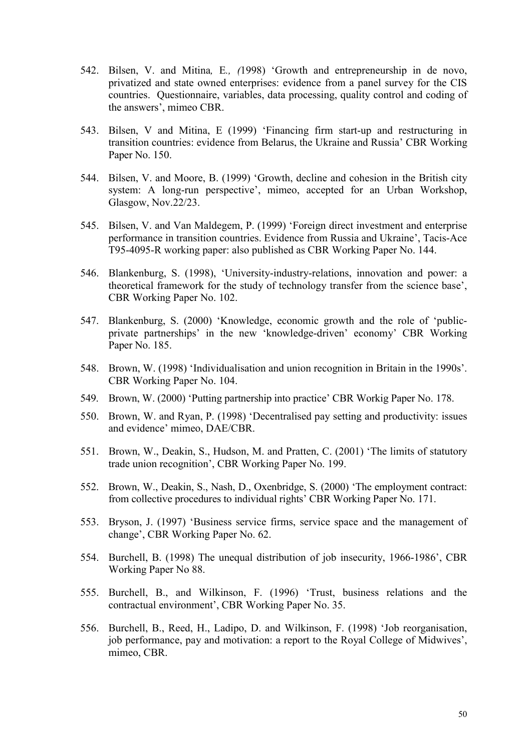- 542. Bilsen, V. and Mitina*,* E*., (*1998) 'Growth and entrepreneurship in de novo, privatized and state owned enterprises: evidence from a panel survey for the CIS countries. Questionnaire, variables, data processing, quality control and coding of the answers', mimeo CBR.
- 543. Bilsen, V and Mitina, E (1999) 'Financing firm start-up and restructuring in transition countries: evidence from Belarus, the Ukraine and Russia' CBR Working Paper No. 150.
- 544. Bilsen, V. and Moore, B. (1999) 'Growth, decline and cohesion in the British city system: A long-run perspective', mimeo, accepted for an Urban Workshop, Glasgow, Nov.22/23.
- 545. Bilsen, V. and Van Maldegem, P. (1999) 'Foreign direct investment and enterprise performance in transition countries. Evidence from Russia and Ukraine', Tacis-Ace T95-4095-R working paper: also published as CBR Working Paper No. 144.
- 546. Blankenburg, S. (1998), 'University-industry-relations, innovation and power: a theoretical framework for the study of technology transfer from the science base', CBR Working Paper No. 102.
- 547. Blankenburg, S. (2000) 'Knowledge, economic growth and the role of 'publicprivate partnerships' in the new 'knowledge-driven' economy' CBR Working Paper No. 185.
- 548. Brown, W. (1998) 'Individualisation and union recognition in Britain in the 1990s'. CBR Working Paper No. 104.
- 549. Brown, W. (2000) 'Putting partnership into practice' CBR Workig Paper No. 178.
- 550. Brown, W. and Ryan, P. (1998) 'Decentralised pay setting and productivity: issues and evidence' mimeo, DAE/CBR.
- 551. Brown, W., Deakin, S., Hudson, M. and Pratten, C. (2001) 'The limits of statutory trade union recognition', CBR Working Paper No. 199.
- 552. Brown, W., Deakin, S., Nash, D., Oxenbridge, S. (2000) 'The employment contract: from collective procedures to individual rights' CBR Working Paper No. 171.
- 553. Bryson, J. (1997) 'Business service firms, service space and the management of change', CBR Working Paper No. 62.
- 554. Burchell, B. (1998) The unequal distribution of job insecurity, 1966-1986', CBR Working Paper No 88.
- 555. Burchell, B., and Wilkinson, F. (1996) 'Trust, business relations and the contractual environment', CBR Working Paper No. 35.
- 556. Burchell, B., Reed, H., Ladipo, D. and Wilkinson, F. (1998) 'Job reorganisation, job performance, pay and motivation: a report to the Royal College of Midwives', mimeo, CBR.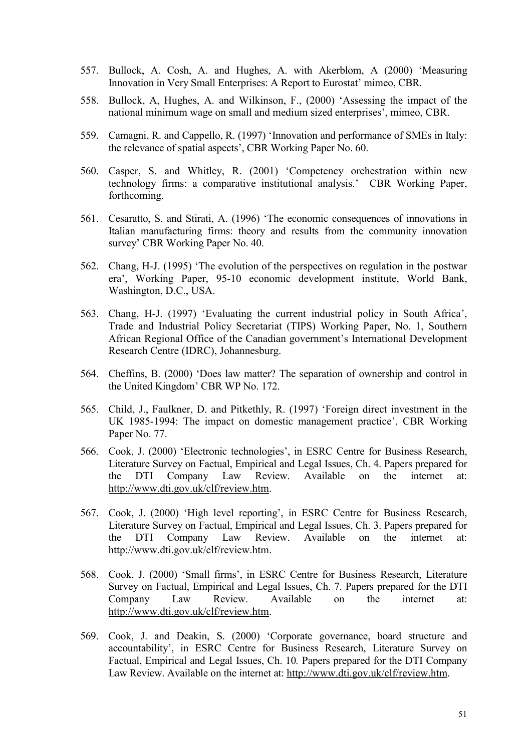- 557. Bullock, A. Cosh, A. and Hughes, A. with Akerblom, A (2000) 'Measuring Innovation in Very Small Enterprises: A Report to Eurostat' mimeo, CBR.
- 558. Bullock, A, Hughes, A. and Wilkinson, F., (2000) 'Assessing the impact of the national minimum wage on small and medium sized enterprises', mimeo, CBR.
- 559. Camagni, R. and Cappello, R. (1997) 'Innovation and performance of SMEs in Italy: the relevance of spatial aspects', CBR Working Paper No. 60.
- 560. Casper, S. and Whitley, R. (2001) 'Competency orchestration within new technology firms: a comparative institutional analysis.' CBR Working Paper, forthcoming.
- 561. Cesaratto, S. and Stirati, A. (1996) 'The economic consequences of innovations in Italian manufacturing firms: theory and results from the community innovation survey' CBR Working Paper No. 40.
- 562. Chang, H-J. (1995) 'The evolution of the perspectives on regulation in the postwar era', Working Paper, 95-10 economic development institute, World Bank, Washington, D.C., USA.
- 563. Chang, H-J. (1997) 'Evaluating the current industrial policy in South Africa', Trade and Industrial Policy Secretariat (TIPS) Working Paper, No. 1, Southern African Regional Office of the Canadian government's International Development Research Centre (IDRC), Johannesburg.
- 564. Cheffins, B. (2000) 'Does law matter? The separation of ownership and control in the United Kingdom' CBR WP No. 172.
- 565. Child, J., Faulkner, D. and Pitkethly, R. (1997) 'Foreign direct investment in the UK 1985-1994: The impact on domestic management practice', CBR Working Paper No. 77.
- 566. Cook, J. (2000) 'Electronic technologies', in ESRC Centre for Business Research, Literature Survey on Factual, Empirical and Legal Issues, Ch. 4. Papers prepared for the DTI Company Law Review. Available on the internet at: <http://www.dti.gov.uk/clf/review.htm>.
- 567. Cook, J. (2000) 'High level reporting', in ESRC Centre for Business Research, Literature Survey on Factual, Empirical and Legal Issues, Ch. 3. Papers prepared for the DTI Company Law Review. Available on the internet at: <http://www.dti.gov.uk/clf/review.htm>.
- 568. Cook, J. (2000) 'Small firms', in ESRC Centre for Business Research, Literature Survey on Factual, Empirical and Legal Issues, Ch. 7. Papers prepared for the DTI Company Law Review. Available on the internet at: <http://www.dti.gov.uk/clf/review.htm>.
- 569. Cook, J. and Deakin, S. (2000) 'Corporate governance, board structure and accountability', in ESRC Centre for Business Research, Literature Survey on Factual, Empirical and Legal Issues, Ch. 10*.* Papers prepared for the DTI Company Law Review. Available on the internet at: <http://www.dti.gov.uk/clf/review.htm>.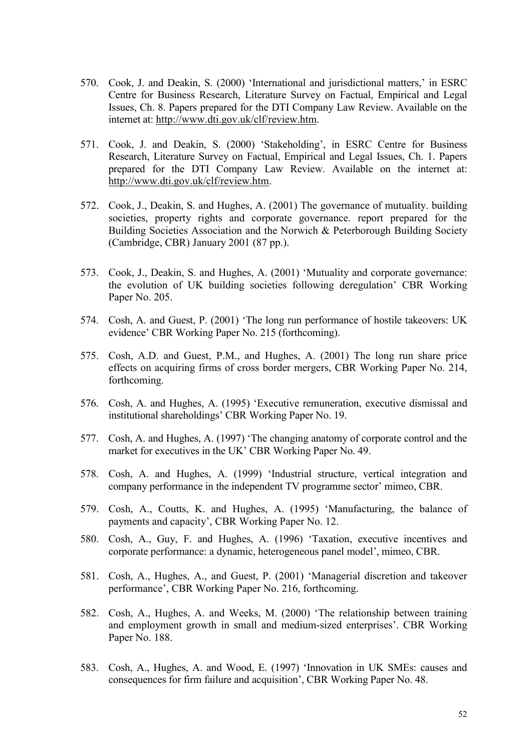- 570. Cook, J. and Deakin, S. (2000) 'International and jurisdictional matters,' in ESRC Centre for Business Research, Literature Survey on Factual, Empirical and Legal Issues, Ch. 8. Papers prepared for the DTI Company Law Review. Available on the internet at: [http://www.dti.gov.uk/clf/review.htm.](http://www.dti.gov.uk/clf/review.htm)
- 571. Cook, J. and Deakin, S. (2000) 'Stakeholding', in ESRC Centre for Business Research, Literature Survey on Factual, Empirical and Legal Issues, Ch. 1. Papers prepared for the DTI Company Law Review. Available on the internet at: <http://www.dti.gov.uk/clf/review.htm>.
- 572. Cook, J., Deakin, S. and Hughes, A. (2001) The governance of mutuality. building societies, property rights and corporate governance. report prepared for the Building Societies Association and the Norwich & Peterborough Building Society (Cambridge, CBR) January 2001 (87 pp.).
- 573. Cook, J., Deakin, S. and Hughes, A. (2001) 'Mutuality and corporate governance: the evolution of UK building societies following deregulation' CBR Working Paper No. 205.
- 574. Cosh, A. and Guest, P. (2001) 'The long run performance of hostile takeovers: UK evidence' CBR Working Paper No. 215 (forthcoming).
- 575. Cosh, A.D. and Guest, P.M., and Hughes, A. (2001) The long run share price effects on acquiring firms of cross border mergers, CBR Working Paper No. 214, forthcoming.
- 576. Cosh, A. and Hughes, A. (1995) 'Executive remuneration, executive dismissal and institutional shareholdings' CBR Working Paper No. 19.
- 577. Cosh, A. and Hughes, A. (1997) 'The changing anatomy of corporate control and the market for executives in the UK' CBR Working Paper No. 49.
- 578. Cosh, A. and Hughes, A. (1999) 'Industrial structure, vertical integration and company performance in the independent TV programme sector' mimeo, CBR.
- 579. Cosh, A., Coutts, K. and Hughes, A. (1995) 'Manufacturing, the balance of payments and capacity', CBR Working Paper No. 12.
- 580. Cosh, A., Guy, F. and Hughes, A. (1996) 'Taxation, executive incentives and corporate performance: a dynamic, heterogeneous panel model', mimeo, CBR.
- 581. Cosh, A., Hughes, A., and Guest, P. (2001) 'Managerial discretion and takeover performance', CBR Working Paper No. 216, forthcoming.
- 582. Cosh, A., Hughes, A. and Weeks, M. (2000) 'The relationship between training and employment growth in small and medium-sized enterprises'. CBR Working Paper No. 188.
- 583. Cosh, A., Hughes, A. and Wood, E. (1997) 'Innovation in UK SMEs: causes and consequences for firm failure and acquisition', CBR Working Paper No. 48.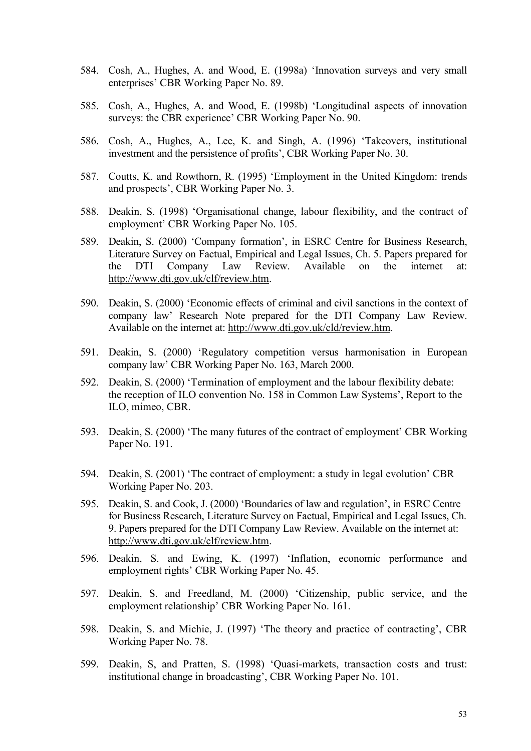- 584. Cosh, A., Hughes, A. and Wood, E. (1998a) 'Innovation surveys and very small enterprises' CBR Working Paper No. 89.
- 585. Cosh, A., Hughes, A. and Wood, E. (1998b) 'Longitudinal aspects of innovation surveys: the CBR experience' CBR Working Paper No. 90.
- 586. Cosh, A., Hughes, A., Lee, K. and Singh, A. (1996) 'Takeovers, institutional investment and the persistence of profits', CBR Working Paper No. 30.
- 587. Coutts, K. and Rowthorn, R. (1995) 'Employment in the United Kingdom: trends and prospects', CBR Working Paper No. 3.
- 588. Deakin, S. (1998) 'Organisational change, labour flexibility, and the contract of employment' CBR Working Paper No. 105.
- 589. Deakin, S. (2000) 'Company formation', in ESRC Centre for Business Research, Literature Survey on Factual, Empirical and Legal Issues, Ch. 5. Papers prepared for the DTI Company Law Review. Available on the internet at: <http://www.dti.gov.uk/clf/review.htm>.
- 590. Deakin, S. (2000) 'Economic effects of criminal and civil sanctions in the context of company law' Research Note prepared for the DTI Company Law Review. Available on the internet at: [http://www.dti.gov.uk/cld/review.htm.](http://www.dti.gov.uk/cld/review.htm)
- 591. Deakin, S. (2000) 'Regulatory competition versus harmonisation in European company law' CBR Working Paper No. 163, March 2000.
- 592. Deakin, S. (2000) 'Termination of employment and the labour flexibility debate: the reception of ILO convention No. 158 in Common Law Systems', Report to the ILO, mimeo, CBR.
- 593. Deakin, S. (2000) 'The many futures of the contract of employment' CBR Working Paper No. 191.
- 594. Deakin, S. (2001) 'The contract of employment: a study in legal evolution' CBR Working Paper No. 203.
- 595. Deakin, S. and Cook, J. (2000) 'Boundaries of law and regulation', in ESRC Centre for Business Research, Literature Survey on Factual, Empirical and Legal Issues, Ch. 9. Papers prepared for the DTI Company Law Review. Available on the internet at: <http://www.dti.gov.uk/clf/review.htm>.
- 596. Deakin, S. and Ewing, K. (1997) 'Inflation, economic performance and employment rights' CBR Working Paper No. 45.
- 597. Deakin, S. and Freedland, M. (2000) 'Citizenship, public service, and the employment relationship' CBR Working Paper No. 161.
- 598. Deakin, S. and Michie, J. (1997) 'The theory and practice of contracting', CBR Working Paper No. 78.
- 599. Deakin, S, and Pratten, S. (1998) 'Quasi-markets, transaction costs and trust: institutional change in broadcasting', CBR Working Paper No. 101.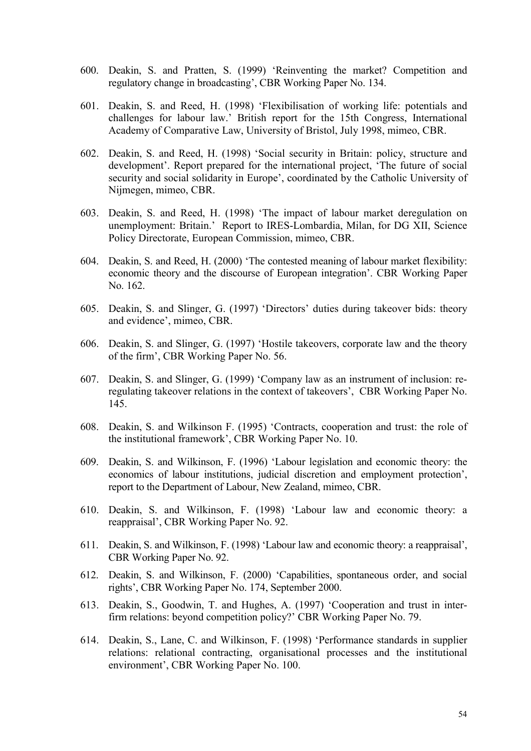- 600. Deakin, S. and Pratten, S. (1999) 'Reinventing the market? Competition and regulatory change in broadcasting', CBR Working Paper No. 134.
- 601. Deakin, S. and Reed, H. (1998) 'Flexibilisation of working life: potentials and challenges for labour law.' British report for the 15th Congress, International Academy of Comparative Law, University of Bristol, July 1998, mimeo, CBR.
- 602. Deakin, S. and Reed, H. (1998) 'Social security in Britain: policy, structure and development'. Report prepared for the international project, 'The future of social security and social solidarity in Europe', coordinated by the Catholic University of Nijmegen, mimeo, CBR.
- 603. Deakin, S. and Reed, H. (1998) 'The impact of labour market deregulation on unemployment: Britain.' Report to IRES-Lombardia, Milan, for DG XII, Science Policy Directorate, European Commission, mimeo, CBR.
- 604. Deakin, S. and Reed, H. (2000) 'The contested meaning of labour market flexibility: economic theory and the discourse of European integration'. CBR Working Paper No. 162.
- 605. Deakin, S. and Slinger, G. (1997) 'Directors' duties during takeover bids: theory and evidence', mimeo, CBR.
- 606. Deakin, S. and Slinger, G. (1997) 'Hostile takeovers, corporate law and the theory of the firm', CBR Working Paper No. 56.
- 607. Deakin, S. and Slinger, G. (1999) 'Company law as an instrument of inclusion: reregulating takeover relations in the context of takeovers', CBR Working Paper No. 145.
- 608. Deakin, S. and Wilkinson F. (1995) 'Contracts, cooperation and trust: the role of the institutional framework', CBR Working Paper No. 10.
- 609. Deakin, S. and Wilkinson, F. (1996) 'Labour legislation and economic theory: the economics of labour institutions, judicial discretion and employment protection', report to the Department of Labour, New Zealand, mimeo, CBR.
- 610. Deakin, S. and Wilkinson, F. (1998) 'Labour law and economic theory: a reappraisal', CBR Working Paper No. 92.
- 611. Deakin, S. and Wilkinson, F. (1998) 'Labour law and economic theory: a reappraisal', CBR Working Paper No. 92.
- 612. Deakin, S. and Wilkinson, F. (2000) 'Capabilities, spontaneous order, and social rights', CBR Working Paper No. 174, September 2000.
- 613. Deakin, S., Goodwin, T. and Hughes, A. (1997) 'Cooperation and trust in interfirm relations: beyond competition policy?' CBR Working Paper No. 79.
- 614. Deakin, S., Lane, C. and Wilkinson, F. (1998) 'Performance standards in supplier relations: relational contracting, organisational processes and the institutional environment', CBR Working Paper No. 100.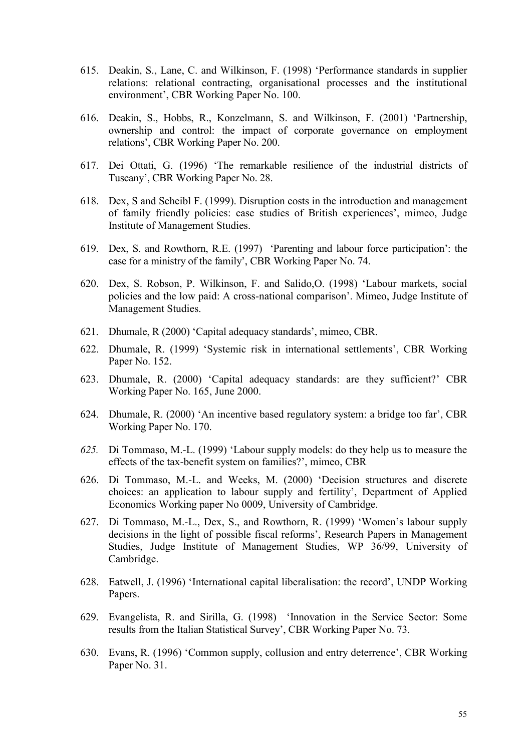- 615. Deakin, S., Lane, C. and Wilkinson, F. (1998) 'Performance standards in supplier relations: relational contracting, organisational processes and the institutional environment', CBR Working Paper No. 100.
- 616. Deakin, S., Hobbs, R., Konzelmann, S. and Wilkinson, F. (2001) 'Partnership, ownership and control: the impact of corporate governance on employment relations', CBR Working Paper No. 200.
- 617. Dei Ottati, G. (1996) 'The remarkable resilience of the industrial districts of Tuscany', CBR Working Paper No. 28.
- 618. Dex, S and Scheibl F. (1999). Disruption costs in the introduction and management of family friendly policies: case studies of British experiences', mimeo, Judge Institute of Management Studies.
- 619. Dex, S. and Rowthorn, R.E. (1997) 'Parenting and labour force participation': the case for a ministry of the family', CBR Working Paper No. 74.
- 620. Dex, S. Robson, P. Wilkinson, F. and Salido,O. (1998) 'Labour markets, social policies and the low paid: A cross-national comparison'. Mimeo, Judge Institute of Management Studies.
- 621. Dhumale, R (2000) 'Capital adequacy standards', mimeo, CBR.
- 622. Dhumale, R. (1999) 'Systemic risk in international settlements', CBR Working Paper No. 152.
- 623. Dhumale, R. (2000) 'Capital adequacy standards: are they sufficient?' CBR Working Paper No. 165, June 2000.
- 624. Dhumale, R. (2000) 'An incentive based regulatory system: a bridge too far', CBR Working Paper No. 170.
- *625.* Di Tommaso, M.-L. (1999) 'Labour supply models: do they help us to measure the effects of the tax-benefit system on families?', mimeo, CBR
- 626. Di Tommaso, M.-L. and Weeks, M. (2000) 'Decision structures and discrete choices: an application to labour supply and fertility', Department of Applied Economics Working paper No 0009, University of Cambridge.
- 627. Di Tommaso, M.-L., Dex, S., and Rowthorn, R. (1999) 'Women's labour supply decisions in the light of possible fiscal reforms', Research Papers in Management Studies, Judge Institute of Management Studies, WP 36/99, University of Cambridge.
- 628. Eatwell, J. (1996) 'International capital liberalisation: the record', UNDP Working Papers.
- 629. Evangelista, R. and Sirilla, G. (1998) 'Innovation in the Service Sector: Some results from the Italian Statistical Survey', CBR Working Paper No. 73.
- 630. Evans, R. (1996) 'Common supply, collusion and entry deterrence', CBR Working Paper No. 31.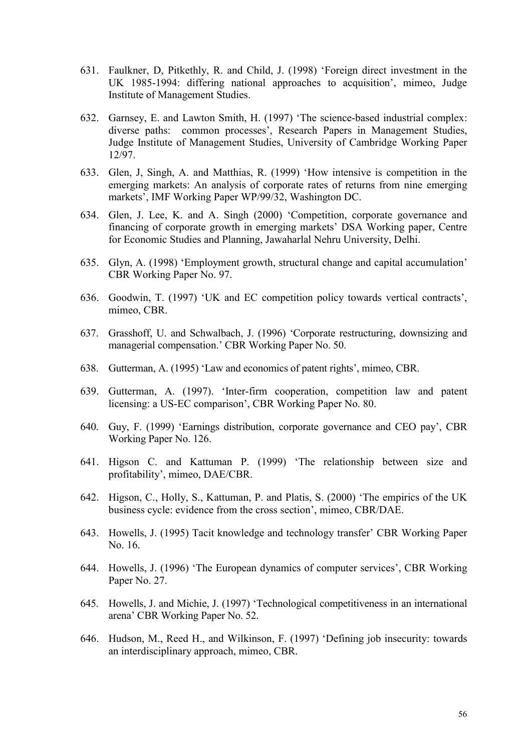- 631. Faulkner, D, Pitkethly, R. and Child, J. (1998) 'Foreign direct investment in the UK 1985-1994: differing national approaches to acquisition', mimeo, Judge Institute of Management Studies.
- 632. Garnsey, E. and Lawton Smith, H. (1997) 'The science-based industrial complex: diverse paths: common processes', Research Papers in Management Studies, Judge Institute of Management Studies, University of Cambridge Working Paper 12/97.
- 633. Glen, J, Singh, A. and Matthias, R. (1999) 'How intensive is competition in the emerging markets: An analysis of corporate rates of returns from nine emerging markets', IMF Working Paper WP/99/32, Washington DC.
- 634. Glen, J. Lee, K. and A. Singh (2000) 'Competition, corporate governance and financing of corporate growth in emerging markets' DSA Working paper, Centre for Economic Studies and Planning, Jawaharlal Nehru University, Delhi.
- 635. Glyn, A. (1998) 'Employment growth, structural change and capital accumulation' CBR Working Paper No. 97.
- 636. Goodwin, T. (1997) 'UK and EC competition policy towards vertical contracts', mimeo, CBR.
- 637. Grasshoff, U. and Schwalbach, J. (1996) 'Corporate restructuring, downsizing and managerial compensation.' CBR Working Paper No. 50.
- 638. Gutterman, A. (1995) 'Law and economics of patent rights', mimeo, CBR.
- 639. Gutterman, A. (1997). 'Inter-firm cooperation, competition law and patent licensing: a US-EC comparison', CBR Working Paper No. 80.
- 640. Guy, F. (1999) 'Earnings distribution, corporate governance and CEO pay', CBR Working Paper No. 126.
- 641. Higson C. and Kattuman P. (1999) 'The relationship between size and profitability', mimeo, DAE/CBR.
- 642. Higson, C., Holly, S., Kattuman, P. and Platis, S. (2000) 'The empirics of the UK business cycle: evidence from the cross section', mimeo, CBR/DAE.
- 643. Howells, J. (1995) Tacit knowledge and technology transfer' CBR Working Paper No. 16.
- 644. Howells, J. (1996) 'The European dynamics of computer services', CBR Working Paper No. 27.
- 645. Howells, J. and Michie, J. (1997) 'Technological competitiveness in an international arena' CBR Working Paper No. 52.
- 646. Hudson, M., Reed H., and Wilkinson, F. (1997) 'Defining job insecurity: towards an interdisciplinary approach, mimeo, CBR.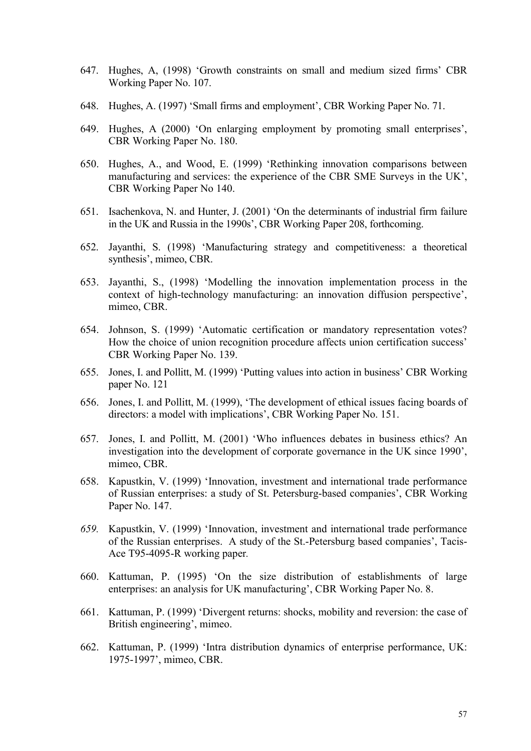- 647. Hughes, A, (1998) 'Growth constraints on small and medium sized firms' CBR Working Paper No. 107.
- 648. Hughes, A. (1997) 'Small firms and employment', CBR Working Paper No. 71.
- 649. Hughes, A (2000) 'On enlarging employment by promoting small enterprises', CBR Working Paper No. 180.
- 650. Hughes, A., and Wood, E. (1999) 'Rethinking innovation comparisons between manufacturing and services: the experience of the CBR SME Surveys in the UK', CBR Working Paper No 140.
- 651. Isachenkova, N. and Hunter, J. (2001) 'On the determinants of industrial firm failure in the UK and Russia in the 1990s', CBR Working Paper 208, forthcoming.
- 652. Jayanthi, S. (1998) 'Manufacturing strategy and competitiveness: a theoretical synthesis', mimeo, CBR.
- 653. Jayanthi, S., (1998) 'Modelling the innovation implementation process in the context of high-technology manufacturing: an innovation diffusion perspective', mimeo, CBR.
- 654. Johnson, S. (1999) 'Automatic certification or mandatory representation votes? How the choice of union recognition procedure affects union certification success' CBR Working Paper No. 139.
- 655. Jones, I. and Pollitt, M. (1999) 'Putting values into action in business' CBR Working paper No. 121
- 656. Jones, I. and Pollitt, M. (1999), 'The development of ethical issues facing boards of directors: a model with implications', CBR Working Paper No. 151.
- 657. Jones, I. and Pollitt, M. (2001) 'Who influences debates in business ethics? An investigation into the development of corporate governance in the UK since 1990', mimeo, CBR.
- 658. Kapustkin, V. (1999) 'Innovation, investment and international trade performance of Russian enterprises: a study of St. Petersburg-based companies', CBR Working Paper No. 147.
- *659.* Kapustkin, V. (1999) 'Innovation, investment and international trade performance of the Russian enterprises. A study of the St.-Petersburg based companies', Tacis-Ace T95-4095-R working paper*.*
- 660. Kattuman, P. (1995) 'On the size distribution of establishments of large enterprises: an analysis for UK manufacturing', CBR Working Paper No. 8.
- 661. Kattuman, P. (1999) 'Divergent returns: shocks, mobility and reversion: the case of British engineering', mimeo.
- 662. Kattuman, P. (1999) 'Intra distribution dynamics of enterprise performance, UK: 1975-1997', mimeo, CBR.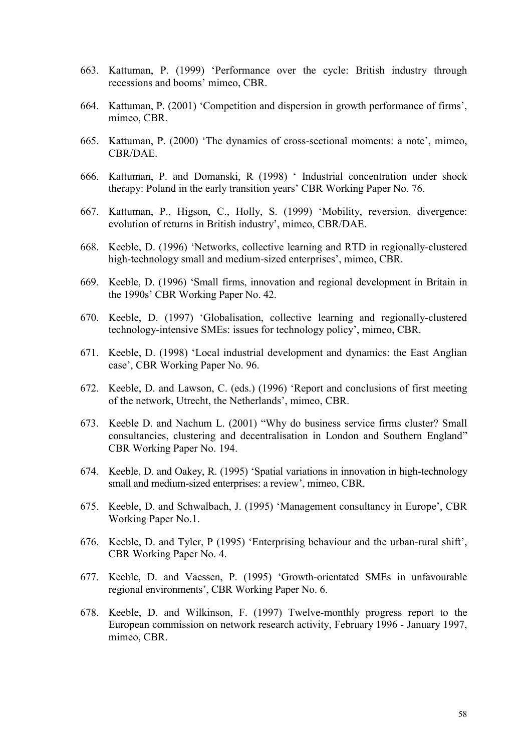- 663. Kattuman, P. (1999) 'Performance over the cycle: British industry through recessions and booms' mimeo, CBR.
- 664. Kattuman, P. (2001) 'Competition and dispersion in growth performance of firms', mimeo, CBR.
- 665. Kattuman, P. (2000) 'The dynamics of cross-sectional moments: a note', mimeo, CBR/DAE.
- 666. Kattuman, P. and Domanski, R (1998) ' Industrial concentration under shock therapy: Poland in the early transition years' CBR Working Paper No. 76.
- 667. Kattuman, P., Higson, C., Holly, S. (1999) 'Mobility, reversion, divergence: evolution of returns in British industry', mimeo, CBR/DAE.
- 668. Keeble, D. (1996) 'Networks, collective learning and RTD in regionally-clustered high-technology small and medium-sized enterprises', mimeo, CBR.
- 669. Keeble, D. (1996) 'Small firms, innovation and regional development in Britain in the 1990s' CBR Working Paper No. 42.
- 670. Keeble, D. (1997) 'Globalisation, collective learning and regionally-clustered technology-intensive SMEs: issues for technology policy', mimeo, CBR.
- 671. Keeble, D. (1998) 'Local industrial development and dynamics: the East Anglian case', CBR Working Paper No. 96.
- 672. Keeble, D. and Lawson, C. (eds.) (1996) 'Report and conclusions of first meeting of the network, Utrecht, the Netherlands', mimeo, CBR.
- 673. Keeble D. and Nachum L. (2001) "Why do business service firms cluster? Small consultancies, clustering and decentralisation in London and Southern England" CBR Working Paper No. 194.
- 674. Keeble, D. and Oakey, R. (1995) 'Spatial variations in innovation in high-technology small and medium-sized enterprises: a review', mimeo, CBR.
- 675. Keeble, D. and Schwalbach, J. (1995) 'Management consultancy in Europe', CBR Working Paper No.1.
- 676. Keeble, D. and Tyler, P (1995) 'Enterprising behaviour and the urban-rural shift', CBR Working Paper No. 4.
- 677. Keeble, D. and Vaessen, P. (1995) 'Growth-orientated SMEs in unfavourable regional environments', CBR Working Paper No. 6.
- 678. Keeble, D. and Wilkinson, F. (1997) Twelve-monthly progress report to the European commission on network research activity, February 1996 - January 1997, mimeo, CBR.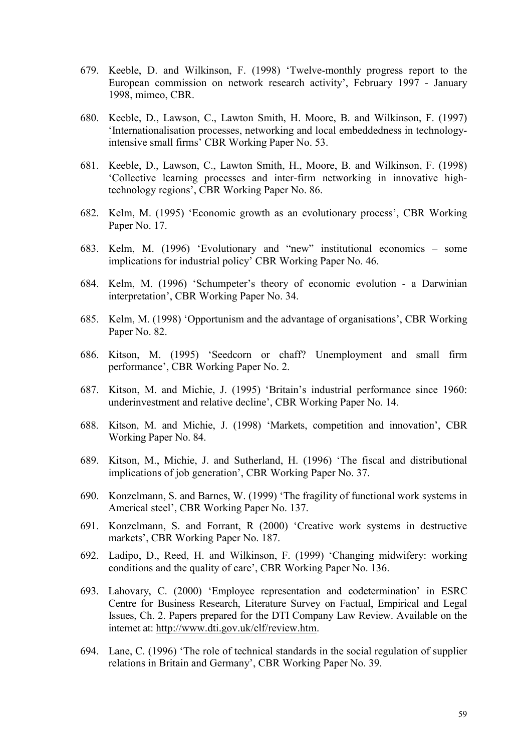- 679. Keeble, D. and Wilkinson, F. (1998) 'Twelve-monthly progress report to the European commission on network research activity', February 1997 - January 1998, mimeo, CBR.
- 680. Keeble, D., Lawson, C., Lawton Smith, H. Moore, B. and Wilkinson, F. (1997) 'Internationalisation processes, networking and local embeddedness in technologyintensive small firms' CBR Working Paper No. 53.
- 681. Keeble, D., Lawson, C., Lawton Smith, H., Moore, B. and Wilkinson, F. (1998) 'Collective learning processes and inter-firm networking in innovative hightechnology regions', CBR Working Paper No. 86.
- 682. Kelm, M. (1995) 'Economic growth as an evolutionary process', CBR Working Paper No. 17.
- 683. Kelm, M. (1996) 'Evolutionary and "new" institutional economics some implications for industrial policy' CBR Working Paper No. 46.
- 684. Kelm, M. (1996) 'Schumpeter's theory of economic evolution a Darwinian interpretation', CBR Working Paper No. 34.
- 685. Kelm, M. (1998) 'Opportunism and the advantage of organisations', CBR Working Paper No. 82.
- 686. Kitson, M. (1995) 'Seedcorn or chaff? Unemployment and small firm performance', CBR Working Paper No. 2.
- 687. Kitson, M. and Michie, J. (1995) 'Britain's industrial performance since 1960: underinvestment and relative decline', CBR Working Paper No. 14.
- 688. Kitson, M. and Michie, J. (1998) 'Markets, competition and innovation', CBR Working Paper No. 84.
- 689. Kitson, M., Michie, J. and Sutherland, H. (1996) 'The fiscal and distributional implications of job generation', CBR Working Paper No. 37.
- 690. Konzelmann, S. and Barnes, W. (1999) 'The fragility of functional work systems in Americal steel', CBR Working Paper No. 137.
- 691. Konzelmann, S. and Forrant, R (2000) 'Creative work systems in destructive markets', CBR Working Paper No. 187.
- 692. Ladipo, D., Reed, H. and Wilkinson, F. (1999) 'Changing midwifery: working conditions and the quality of care', CBR Working Paper No. 136.
- 693. Lahovary, C. (2000) 'Employee representation and codetermination' in ESRC Centre for Business Research, Literature Survey on Factual, Empirical and Legal Issues, Ch. 2. Papers prepared for the DTI Company Law Review. Available on the internet at: [http://www.dti.gov.uk/clf/review.htm.](http://www.dti.gov.uk/clf/review.htm)
- 694. Lane, C. (1996) 'The role of technical standards in the social regulation of supplier relations in Britain and Germany', CBR Working Paper No. 39.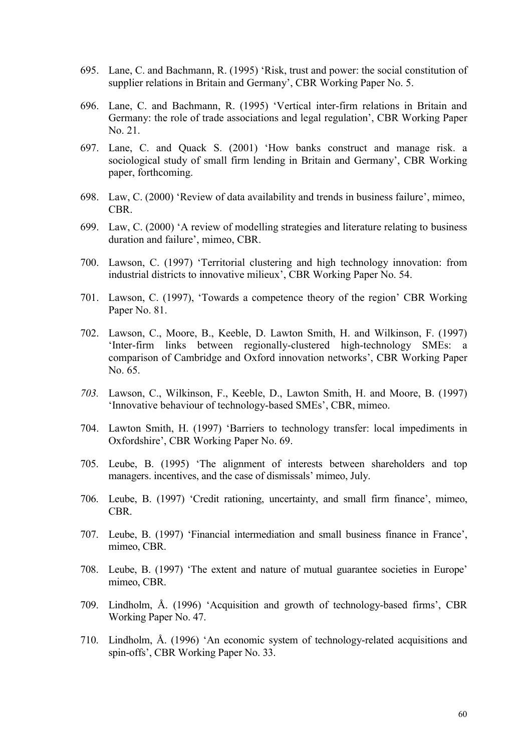- 695. Lane, C. and Bachmann, R. (1995) 'Risk, trust and power: the social constitution of supplier relations in Britain and Germany', CBR Working Paper No. 5.
- 696. Lane, C. and Bachmann, R. (1995) 'Vertical inter-firm relations in Britain and Germany: the role of trade associations and legal regulation', CBR Working Paper No. 21.
- 697. Lane, C. and Quack S. (2001) 'How banks construct and manage risk. a sociological study of small firm lending in Britain and Germany', CBR Working paper, forthcoming.
- 698. Law, C. (2000) 'Review of data availability and trends in business failure', mimeo, CBR.
- 699. Law, C. (2000) 'A review of modelling strategies and literature relating to business duration and failure', mimeo, CBR.
- 700. Lawson, C. (1997) 'Territorial clustering and high technology innovation: from industrial districts to innovative milieux', CBR Working Paper No. 54.
- 701. Lawson, C. (1997), 'Towards a competence theory of the region' CBR Working Paper No. 81.
- 702. Lawson, C., Moore, B., Keeble, D. Lawton Smith, H. and Wilkinson, F. (1997) 'Inter-firm links between regionally-clustered high-technology SMEs: a comparison of Cambridge and Oxford innovation networks', CBR Working Paper No. 65.
- *703.* Lawson, C., Wilkinson, F., Keeble, D., Lawton Smith, H. and Moore, B. (1997) 'Innovative behaviour of technology-based SMEs', CBR, mimeo.
- 704. Lawton Smith, H. (1997) 'Barriers to technology transfer: local impediments in Oxfordshire', CBR Working Paper No. 69.
- 705. Leube, B. (1995) 'The alignment of interests between shareholders and top managers. incentives, and the case of dismissals' mimeo, July.
- 706. Leube, B. (1997) 'Credit rationing, uncertainty, and small firm finance', mimeo, CBR.
- 707. Leube, B. (1997) 'Financial intermediation and small business finance in France', mimeo, CBR.
- 708. Leube, B. (1997) 'The extent and nature of mutual guarantee societies in Europe' mimeo, CBR.
- 709. Lindholm, Å. (1996) 'Acquisition and growth of technology-based firms', CBR Working Paper No. 47.
- 710. Lindholm, Å. (1996) 'An economic system of technology-related acquisitions and spin-offs', CBR Working Paper No. 33.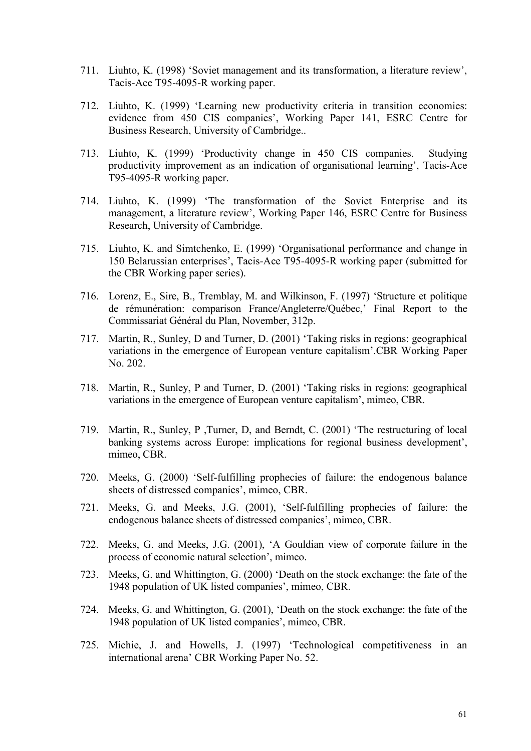- 711. Liuhto, K. (1998) 'Soviet management and its transformation, a literature review', Tacis-Ace T95-4095-R working paper.
- 712. Liuhto, K. (1999) 'Learning new productivity criteria in transition economies: evidence from 450 CIS companies', Working Paper 141, ESRC Centre for Business Research, University of Cambridge..
- 713. Liuhto, K. (1999) 'Productivity change in 450 CIS companies. Studying productivity improvement as an indication of organisational learning', Tacis-Ace T95-4095-R working paper.
- 714. Liuhto, K. (1999) 'The transformation of the Soviet Enterprise and its management, a literature review', Working Paper 146, ESRC Centre for Business Research, University of Cambridge.
- 715. Liuhto, K. and Simtchenko, E. (1999) 'Organisational performance and change in 150 Belarussian enterprises', Tacis-Ace T95-4095-R working paper (submitted for the CBR Working paper series).
- 716. Lorenz, E., Sire, B., Tremblay, M. and Wilkinson, F. (1997) 'Structure et politique de rémunération: comparison France/Angleterre/Québec,' Final Report to the Commissariat Général du Plan, November, 312p.
- 717. Martin, R., Sunley, D and Turner, D. (2001) 'Taking risks in regions: geographical variations in the emergence of European venture capitalism'.CBR Working Paper No. 202.
- 718. Martin, R., Sunley, P and Turner, D. (2001) 'Taking risks in regions: geographical variations in the emergence of European venture capitalism', mimeo, CBR.
- 719. Martin, R., Sunley, P ,Turner, D, and Berndt, C. (2001) 'The restructuring of local banking systems across Europe: implications for regional business development', mimeo, CBR.
- 720. Meeks, G. (2000) 'Self-fulfilling prophecies of failure: the endogenous balance sheets of distressed companies', mimeo, CBR.
- 721. Meeks, G. and Meeks, J.G. (2001), 'Self-fulfilling prophecies of failure: the endogenous balance sheets of distressed companies', mimeo, CBR.
- 722. Meeks, G. and Meeks, J.G. (2001), 'A Gouldian view of corporate failure in the process of economic natural selection', mimeo.
- 723. Meeks, G. and Whittington, G. (2000) 'Death on the stock exchange: the fate of the 1948 population of UK listed companies', mimeo, CBR.
- 724. Meeks, G. and Whittington, G. (2001), 'Death on the stock exchange: the fate of the 1948 population of UK listed companies', mimeo, CBR.
- 725. Michie, J. and Howells, J. (1997) 'Technological competitiveness in an international arena' CBR Working Paper No. 52.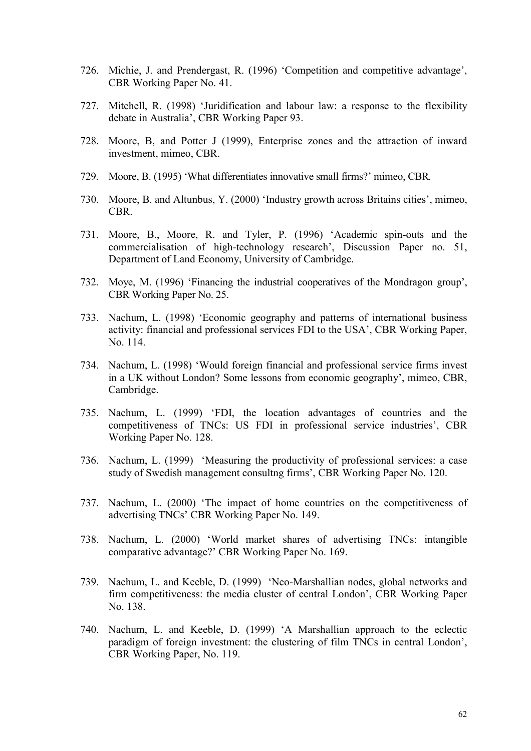- 726. Michie, J. and Prendergast, R. (1996) 'Competition and competitive advantage', CBR Working Paper No. 41.
- 727. Mitchell, R. (1998) 'Juridification and labour law: a response to the flexibility debate in Australia', CBR Working Paper 93.
- 728. Moore, B, and Potter J (1999), Enterprise zones and the attraction of inward investment, mimeo, CBR.
- 729. Moore, B. (1995) 'What differentiates innovative small firms?' mimeo, CBR*.*
- 730. Moore, B. and Altunbus, Y. (2000) 'Industry growth across Britains cities', mimeo, CBR.
- 731. Moore, B., Moore, R. and Tyler, P. (1996) 'Academic spin-outs and the commercialisation of high-technology research', Discussion Paper no. 51, Department of Land Economy, University of Cambridge.
- 732. Moye, M. (1996) 'Financing the industrial cooperatives of the Mondragon group', CBR Working Paper No. 25.
- 733. Nachum, L. (1998) 'Economic geography and patterns of international business activity: financial and professional services FDI to the USA', CBR Working Paper, No. 114.
- 734. Nachum, L. (1998) 'Would foreign financial and professional service firms invest in a UK without London? Some lessons from economic geography', mimeo, CBR, Cambridge.
- 735. Nachum, L. (1999) 'FDI, the location advantages of countries and the competitiveness of TNCs: US FDI in professional service industries', CBR Working Paper No. 128.
- 736. Nachum, L. (1999) 'Measuring the productivity of professional services: a case study of Swedish management consultng firms', CBR Working Paper No. 120.
- 737. Nachum, L. (2000) 'The impact of home countries on the competitiveness of advertising TNCs' CBR Working Paper No. 149.
- 738. Nachum, L. (2000) 'World market shares of advertising TNCs: intangible comparative advantage?' CBR Working Paper No. 169.
- 739. Nachum, L. and Keeble, D. (1999) 'Neo-Marshallian nodes, global networks and firm competitiveness: the media cluster of central London', CBR Working Paper No. 138.
- 740. Nachum, L. and Keeble, D. (1999) 'A Marshallian approach to the eclectic paradigm of foreign investment: the clustering of film TNCs in central London', CBR Working Paper, No. 119.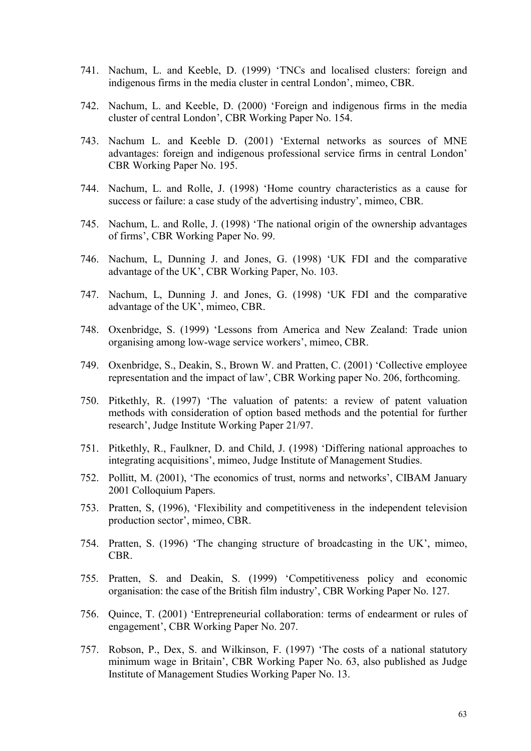- 741. Nachum, L. and Keeble, D. (1999) 'TNCs and localised clusters: foreign and indigenous firms in the media cluster in central London', mimeo, CBR.
- 742. Nachum, L. and Keeble, D. (2000) 'Foreign and indigenous firms in the media cluster of central London', CBR Working Paper No. 154.
- 743. Nachum L. and Keeble D. (2001) 'External networks as sources of MNE advantages: foreign and indigenous professional service firms in central London' CBR Working Paper No. 195.
- 744. Nachum, L. and Rolle, J. (1998) 'Home country characteristics as a cause for success or failure: a case study of the advertising industry', mimeo, CBR.
- 745. Nachum, L. and Rolle, J. (1998) 'The national origin of the ownership advantages of firms', CBR Working Paper No. 99.
- 746. Nachum, L, Dunning J. and Jones, G. (1998) 'UK FDI and the comparative advantage of the UK', CBR Working Paper, No. 103.
- 747. Nachum, L, Dunning J. and Jones, G. (1998) 'UK FDI and the comparative advantage of the UK', mimeo, CBR.
- 748. Oxenbridge, S. (1999) 'Lessons from America and New Zealand: Trade union organising among low-wage service workers', mimeo, CBR.
- 749. Oxenbridge, S., Deakin, S., Brown W. and Pratten, C. (2001) 'Collective employee representation and the impact of law', CBR Working paper No. 206, forthcoming.
- 750. Pitkethly, R. (1997) 'The valuation of patents: a review of patent valuation methods with consideration of option based methods and the potential for further research', Judge Institute Working Paper 21/97.
- 751. Pitkethly, R., Faulkner, D. and Child, J. (1998) 'Differing national approaches to integrating acquisitions', mimeo, Judge Institute of Management Studies.
- 752. Pollitt, M. (2001), 'The economics of trust, norms and networks', CIBAM January 2001 Colloquium Papers.
- 753. Pratten, S, (1996), 'Flexibility and competitiveness in the independent television production sector', mimeo, CBR.
- 754. Pratten, S. (1996) 'The changing structure of broadcasting in the UK', mimeo, CBR.
- 755. Pratten, S. and Deakin, S. (1999) 'Competitiveness policy and economic organisation: the case of the British film industry', CBR Working Paper No. 127.
- 756. Quince, T. (2001) 'Entrepreneurial collaboration: terms of endearment or rules of engagement', CBR Working Paper No. 207.
- 757. Robson, P., Dex, S. and Wilkinson, F. (1997) 'The costs of a national statutory minimum wage in Britain', CBR Working Paper No. 63, also published as Judge Institute of Management Studies Working Paper No. 13.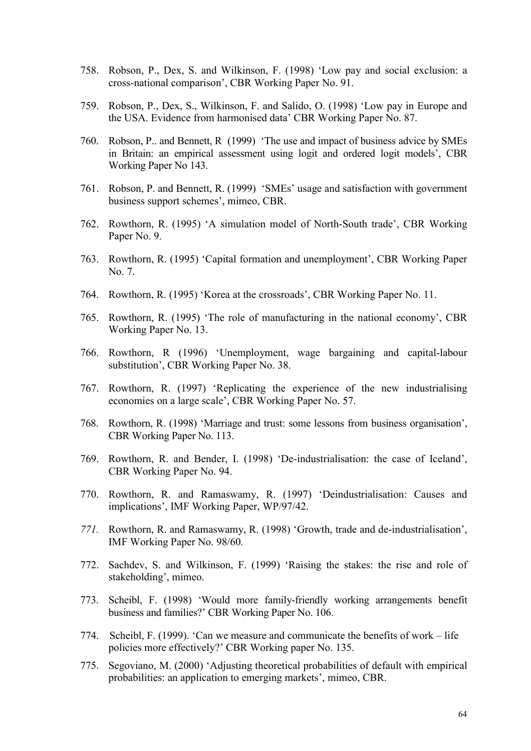- 758. Robson, P., Dex, S. and Wilkinson, F. (1998) 'Low pay and social exclusion: a cross-national comparison', CBR Working Paper No. 91.
- 759. Robson, P., Dex, S., Wilkinson, F. and Salido, O. (1998) 'Low pay in Europe and the USA. Evidence from harmonised data' CBR Working Paper No. 87.
- 760. Robson, P.. and Bennett, R (1999) 'The use and impact of business advice by SMEs in Britain: an empirical assessment using logit and ordered logit models', CBR Working Paper No 143.
- 761. Robson, P. and Bennett, R. (1999) 'SMEs' usage and satisfaction with government business support schemes', mimeo, CBR.
- 762. Rowthorn, R. (1995) 'A simulation model of North-South trade', CBR Working Paper No. 9.
- 763. Rowthorn, R. (1995) 'Capital formation and unemployment', CBR Working Paper  $N_0$  7
- 764. Rowthorn, R. (1995) 'Korea at the crossroads', CBR Working Paper No. 11.
- 765. Rowthorn, R. (1995) 'The role of manufacturing in the national economy', CBR Working Paper No. 13.
- 766. Rowthorn, R (1996) 'Unemployment, wage bargaining and capital-labour substitution', CBR Working Paper No. 38.
- 767. Rowthorn, R. (1997) 'Replicating the experience of the new industrialising economies on a large scale', CBR Working Paper No. 57.
- 768. Rowthorn, R. (1998) 'Marriage and trust: some lessons from business organisation', CBR Working Paper No. 113.
- 769. Rowthorn, R. and Bender, I. (1998) 'De-industrialisation: the case of Iceland', CBR Working Paper No. 94.
- 770. Rowthorn, R. and Ramaswamy, R. (1997) 'Deindustrialisation: Causes and implications', IMF Working Paper, WP/97/42.
- *771.* Rowthorn, R. and Ramaswamy, R. (1998) 'Growth, trade and de-industrialisation', IMF Working Paper No. 98/60*.*
- 772. Sachdev, S. and Wilkinson, F. (1999) 'Raising the stakes: the rise and role of stakeholding', mimeo.
- 773. Scheibl, F. (1998) 'Would more family-friendly working arrangements benefit business and families?' CBR Working Paper No. 106.
- 774. Scheibl, F. (1999). 'Can we measure and communicate the benefits of work life policies more effectively?' CBR Working paper No. 135.
- 775. Segoviano, M. (2000) 'Adjusting theoretical probabilities of default with empirical probabilities: an application to emerging markets', mimeo, CBR.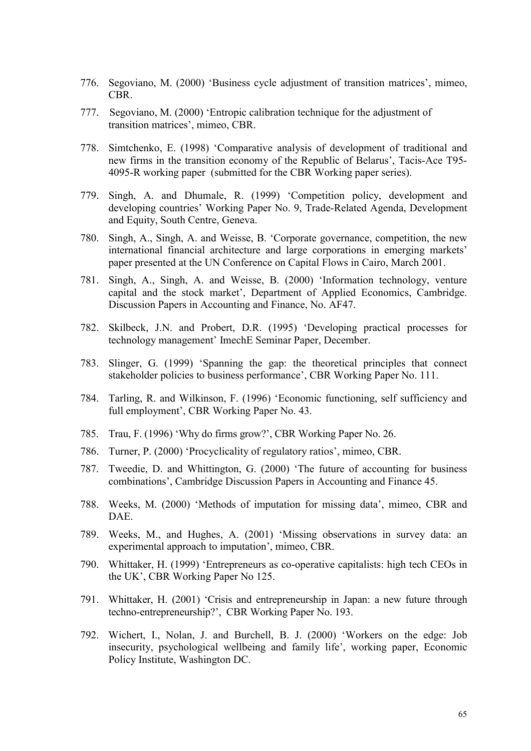- 776. Segoviano, M. (2000) 'Business cycle adjustment of transition matrices', mimeo, CBR.
- 777. Segoviano, M. (2000) 'Entropic calibration technique for the adjustment of transition matrices', mimeo, CBR.
- 778. Simtchenko, E. (1998) 'Comparative analysis of development of traditional and new firms in the transition economy of the Republic of Belarus', Tacis-Ace T95- 4095-R working paper (submitted for the CBR Working paper series).
- 779. Singh, A. and Dhumale, R. (1999) 'Competition policy, development and developing countries' Working Paper No. 9, Trade-Related Agenda, Development and Equity, South Centre, Geneva.
- 780. Singh, A., Singh, A. and Weisse, B. 'Corporate governance, competition, the new international financial architecture and large corporations in emerging markets' paper presented at the UN Conference on Capital Flows in Cairo, March 2001.
- 781. Singh, A., Singh, A. and Weisse, B. (2000) 'Information technology, venture capital and the stock market', Department of Applied Economics, Cambridge. Discussion Papers in Accounting and Finance, No. AF47.
- 782. Skilbeck, J.N. and Probert, D.R. (1995) 'Developing practical processes for technology management' ImechE Seminar Paper, December.
- 783. Slinger, G. (1999) 'Spanning the gap: the theoretical principles that connect stakeholder policies to business performance', CBR Working Paper No. 111.
- 784. Tarling, R. and Wilkinson, F. (1996) 'Economic functioning, self sufficiency and full employment', CBR Working Paper No. 43.
- 785. Trau, F. (1996) 'Why do firms grow?', CBR Working Paper No. 26.
- 786. Turner, P. (2000) 'Procyclicality of regulatory ratios', mimeo, CBR.
- 787. Tweedie, D. and Whittington, G. (2000) 'The future of accounting for business combinations', Cambridge Discussion Papers in Accounting and Finance 45.
- 788. Weeks, M. (2000) 'Methods of imputation for missing data', mimeo, CBR and DAE.
- 789. Weeks, M., and Hughes, A. (2001) 'Missing observations in survey data: an experimental approach to imputation', mimeo, CBR.
- 790. Whittaker, H. (1999) 'Entrepreneurs as co-operative capitalists: high tech CEOs in the UK', CBR Working Paper No 125.
- 791. Whittaker, H. (2001) 'Crisis and entrepreneurship in Japan: a new future through techno-entrepreneurship?', CBR Working Paper No. 193.
- 792. Wichert, I., Nolan, J. and Burchell, B. J. (2000) 'Workers on the edge: Job insecurity, psychological wellbeing and family life', working paper, Economic Policy Institute, Washington DC.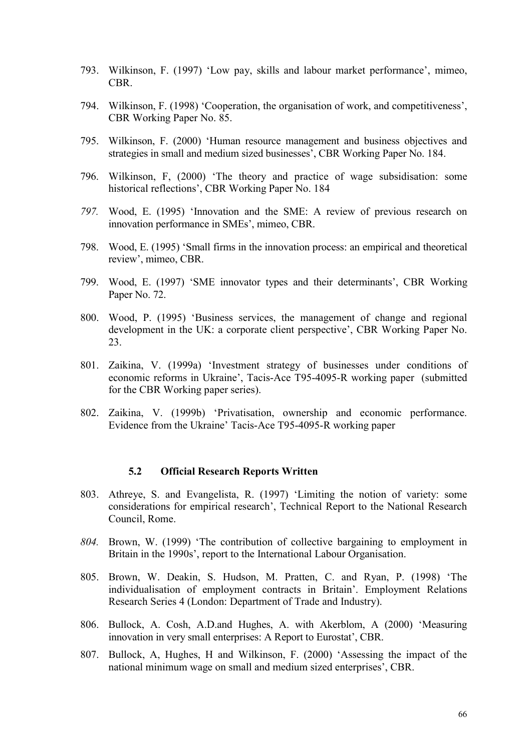- 793. Wilkinson, F. (1997) 'Low pay, skills and labour market performance', mimeo, CBR.
- 794. Wilkinson, F. (1998) 'Cooperation, the organisation of work, and competitiveness', CBR Working Paper No. 85.
- 795. Wilkinson, F. (2000) 'Human resource management and business objectives and strategies in small and medium sized businesses', CBR Working Paper No. 184.
- 796. Wilkinson, F, (2000) 'The theory and practice of wage subsidisation: some historical reflections', CBR Working Paper No. 184
- *797.* Wood, E. (1995) 'Innovation and the SME: A review of previous research on innovation performance in SMEs', mimeo, CBR.
- 798. Wood, E. (1995) 'Small firms in the innovation process: an empirical and theoretical review', mimeo, CBR.
- 799. Wood, E. (1997) 'SME innovator types and their determinants', CBR Working Paper No. 72.
- 800. Wood, P. (1995) 'Business services, the management of change and regional development in the UK: a corporate client perspective', CBR Working Paper No. 23.
- 801. Zaikina, V. (1999a) 'Investment strategy of businesses under conditions of economic reforms in Ukraine', Tacis-Ace T95-4095-R working paper (submitted for the CBR Working paper series).
- 802. Zaikina, V. (1999b) 'Privatisation, ownership and economic performance. Evidence from the Ukraine' Tacis-Ace T95-4095-R working paper

#### **5.2 Official Research Reports Written**

- 803. Athreye, S. and Evangelista, R. (1997) 'Limiting the notion of variety: some considerations for empirical research', Technical Report to the National Research Council, Rome.
- *804.* Brown, W. (1999) 'The contribution of collective bargaining to employment in Britain in the 1990s', report to the International Labour Organisation.
- 805. Brown, W. Deakin, S. Hudson, M. Pratten, C. and Ryan, P. (1998) 'The individualisation of employment contracts in Britain'. Employment Relations Research Series 4 (London: Department of Trade and Industry).
- 806. Bullock, A. Cosh, A.D.and Hughes, A. with Akerblom, A (2000) 'Measuring innovation in very small enterprises: A Report to Eurostat', CBR.
- 807. Bullock, A, Hughes, H and Wilkinson, F. (2000) 'Assessing the impact of the national minimum wage on small and medium sized enterprises', CBR.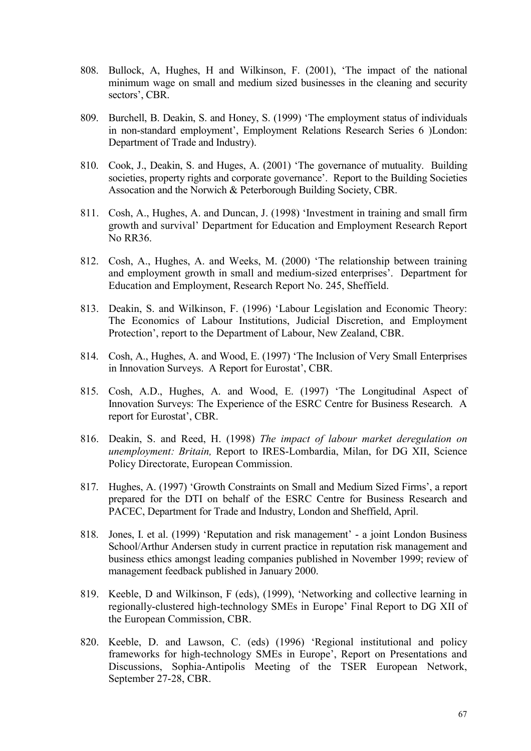- 808. Bullock, A, Hughes, H and Wilkinson, F. (2001), 'The impact of the national minimum wage on small and medium sized businesses in the cleaning and security sectors', CBR.
- 809. Burchell, B. Deakin, S. and Honey, S. (1999) 'The employment status of individuals in non-standard employment', Employment Relations Research Series 6 )London: Department of Trade and Industry).
- 810. Cook, J., Deakin, S. and Huges, A. (2001) 'The governance of mutuality. Building societies, property rights and corporate governance'. Report to the Building Societies Assocation and the Norwich & Peterborough Building Society, CBR.
- 811. Cosh, A., Hughes, A. and Duncan, J. (1998) 'Investment in training and small firm growth and survival' Department for Education and Employment Research Report No RR36.
- 812. Cosh, A., Hughes, A. and Weeks, M. (2000) 'The relationship between training and employment growth in small and medium-sized enterprises'. Department for Education and Employment, Research Report No. 245, Sheffield.
- 813. Deakin, S. and Wilkinson, F. (1996) 'Labour Legislation and Economic Theory: The Economics of Labour Institutions, Judicial Discretion, and Employment Protection', report to the Department of Labour, New Zealand, CBR.
- 814. Cosh, A., Hughes, A. and Wood, E. (1997) 'The Inclusion of Very Small Enterprises in Innovation Surveys. A Report for Eurostat', CBR.
- 815. Cosh, A.D., Hughes, A. and Wood, E. (1997) 'The Longitudinal Aspect of Innovation Surveys: The Experience of the ESRC Centre for Business Research. A report for Eurostat', CBR.
- 816. Deakin, S. and Reed, H. (1998) *The impact of labour market deregulation on unemployment: Britain,* Report to IRES-Lombardia, Milan, for DG XII, Science Policy Directorate, European Commission.
- 817. Hughes, A. (1997) 'Growth Constraints on Small and Medium Sized Firms', a report prepared for the DTI on behalf of the ESRC Centre for Business Research and PACEC, Department for Trade and Industry, London and Sheffield, April.
- 818. Jones, I. et al. (1999) 'Reputation and risk management' a joint London Business School/Arthur Andersen study in current practice in reputation risk management and business ethics amongst leading companies published in November 1999; review of management feedback published in January 2000.
- 819. Keeble, D and Wilkinson, F (eds), (1999), 'Networking and collective learning in regionally-clustered high-technology SMEs in Europe' Final Report to DG XII of the European Commission, CBR.
- 820. Keeble, D. and Lawson, C. (eds) (1996) 'Regional institutional and policy frameworks for high-technology SMEs in Europe', Report on Presentations and Discussions, Sophia-Antipolis Meeting of the TSER European Network, September 27-28, CBR.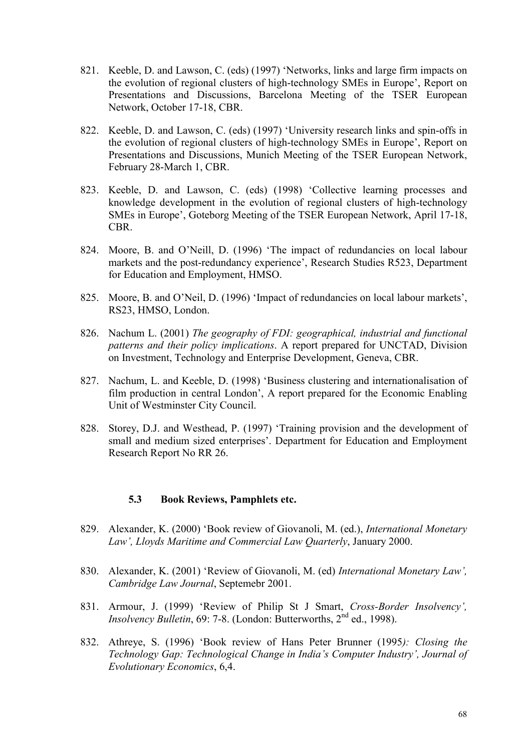- 821. Keeble, D. and Lawson, C. (eds) (1997) 'Networks, links and large firm impacts on the evolution of regional clusters of high-technology SMEs in Europe', Report on Presentations and Discussions, Barcelona Meeting of the TSER European Network, October 17-18, CBR.
- 822. Keeble, D. and Lawson, C. (eds) (1997) 'University research links and spin-offs in the evolution of regional clusters of high-technology SMEs in Europe', Report on Presentations and Discussions, Munich Meeting of the TSER European Network, February 28-March 1, CBR.
- 823. Keeble, D. and Lawson, C. (eds) (1998) 'Collective learning processes and knowledge development in the evolution of regional clusters of high-technology SMEs in Europe', Goteborg Meeting of the TSER European Network, April 17-18, CBR.
- 824. Moore, B. and O'Neill, D. (1996) 'The impact of redundancies on local labour markets and the post-redundancy experience', Research Studies R523, Department for Education and Employment, HMSO.
- 825. Moore, B. and O'Neil, D. (1996) 'Impact of redundancies on local labour markets', RS23, HMSO, London.
- 826. Nachum L. (2001) *The geography of FDI: geographical, industrial and functional patterns and their policy implications*. A report prepared for UNCTAD, Division on Investment, Technology and Enterprise Development, Geneva, CBR.
- 827. Nachum, L. and Keeble, D. (1998) 'Business clustering and internationalisation of film production in central London', A report prepared for the Economic Enabling Unit of Westminster City Council.
- 828. Storey, D.J. and Westhead, P. (1997) 'Training provision and the development of small and medium sized enterprises'. Department for Education and Employment Research Report No RR 26.

# **5.3 Book Reviews, Pamphlets etc.**

- 829. Alexander, K. (2000) 'Book review of Giovanoli, M. (ed.), *International Monetary Law', Lloyds Maritime and Commercial Law Quarterly*, January 2000.
- 830. Alexander, K. (2001) 'Review of Giovanoli, M. (ed) *International Monetary Law', Cambridge Law Journal*, Septemebr 2001.
- 831. Armour, J. (1999) 'Review of Philip St J Smart, *Cross-Border Insolvency', Insolvency Bulletin*, 69: 7-8. (London: Butterworths, 2<sup>nd</sup> ed., 1998).
- 832. Athreye, S. (1996) 'Book review of Hans Peter Brunner (1995*): Closing the Technology Gap: Technological Change in India's Computer Industry', Journal of Evolutionary Economics*, 6,4.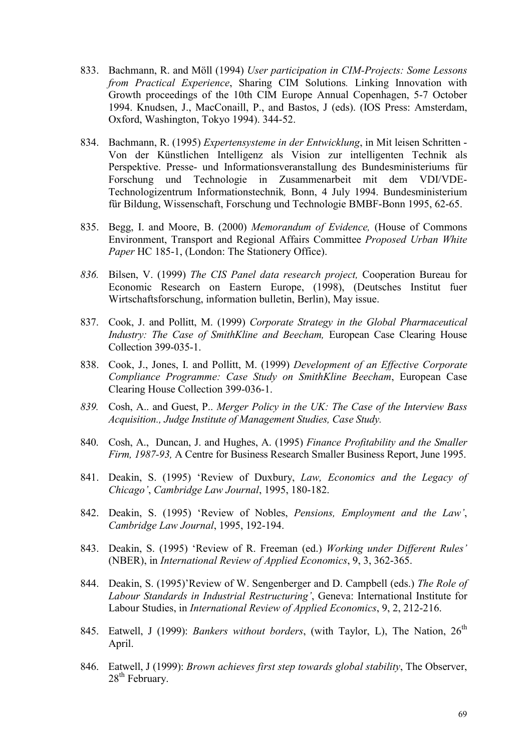- 833. Bachmann, R. and Möll (1994) *User participation in CIM-Projects: Some Lessons from Practical Experience*, Sharing CIM Solutions*.* Linking Innovation with Growth proceedings of the 10th CIM Europe Annual Copenhagen, 5-7 October 1994. Knudsen, J., MacConaill, P., and Bastos, J (eds). (IOS Press: Amsterdam, Oxford, Washington, Tokyo 1994). 344-52.
- 834. Bachmann, R. (1995) *Expertensysteme in der Entwicklung*, in Mit leisen Schritten Von der Künstlichen Intelligenz als Vision zur intelligenten Technik als Perspektive. Presse- und Informationsveranstallung des Bundesministeriums für Forschung und Technologie in Zusammenarbeit mit dem VDI/VDE-Technologizentrum Informationstechnik*,* Bonn, 4 July 1994. Bundesministerium für Bildung, Wissenschaft, Forschung und Technologie BMBF-Bonn 1995, 62-65.
- 835. Begg, I. and Moore, B. (2000) *Memorandum of Evidence,* (House of Commons Environment, Transport and Regional Affairs Committee *Proposed Urban White*  Paper HC 185-1, (London: The Stationery Office).
- *836.* Bilsen, V. (1999) *The CIS Panel data research project,* Cooperation Bureau for Economic Research on Eastern Europe, (1998), (Deutsches Institut fuer Wirtschaftsforschung, information bulletin, Berlin), May issue.
- 837. Cook, J. and Pollitt, M. (1999) *Corporate Strategy in the Global Pharmaceutical Industry: The Case of SmithKline and Beecham,* European Case Clearing House Collection 399-035-1.
- 838. Cook, J., Jones, I. and Pollitt, M. (1999) *Development of an Effective Corporate Compliance Programme: Case Study on SmithKline Beecham*, European Case Clearing House Collection 399-036-1.
- *839.* Cosh, A.. and Guest, P.. *Merger Policy in the UK: The Case of the Interview Bass Acquisition., Judge Institute of Management Studies, Case Study.*
- 840. Cosh, A., Duncan, J. and Hughes, A. (1995) *Finance Profitability and the Smaller Firm, 1987-93,* A Centre for Business Research Smaller Business Report, June 1995.
- 841. Deakin, S. (1995) 'Review of Duxbury, *Law, Economics and the Legacy of Chicago'*, *Cambridge Law Journal*, 1995, 180-182.
- 842. Deakin, S. (1995) 'Review of Nobles, *Pensions, Employment and the Law'*, *Cambridge Law Journal*, 1995, 192-194.
- 843. Deakin, S. (1995) 'Review of R. Freeman (ed.) *Working under Different Rules'* (NBER), in *International Review of Applied Economics*, 9, 3, 362-365.
- 844. Deakin, S. (1995)'Review of W. Sengenberger and D. Campbell (eds.) *The Role of Labour Standards in Industrial Restructuring'*, Geneva: International Institute for Labour Studies, in *International Review of Applied Economics*, 9, 2, 212-216.
- 845. Eatwell, J (1999): *Bankers without borders*, (with Taylor, L), The Nation, 26<sup>th</sup> April.
- 846. Eatwell, J (1999): *Brown achieves first step towards global stability*, The Observer,  $28<sup>th</sup>$  February.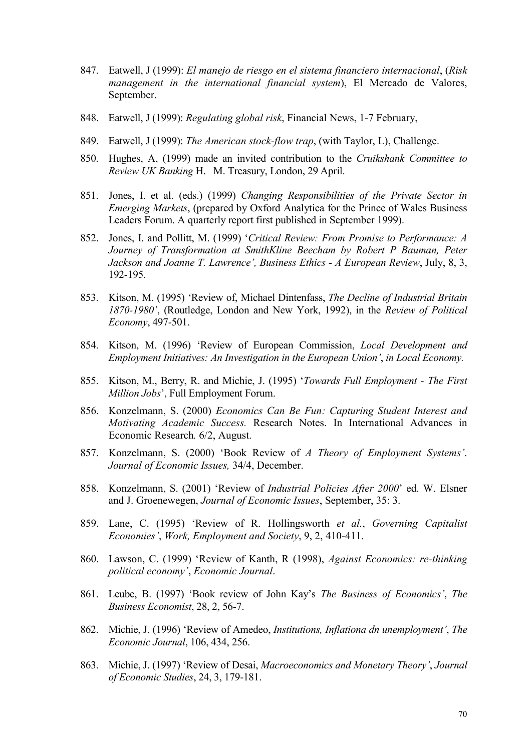- 847. Eatwell, J (1999): *El manejo de riesgo en el sistema financiero internacional*, (*Risk management in the international financial system*), El Mercado de Valores, September.
- 848. Eatwell, J (1999): *Regulating global risk*, Financial News, 1-7 February,
- 849. Eatwell, J (1999): *The American stock-flow trap*, (with Taylor, L), Challenge.
- 850. Hughes, A, (1999) made an invited contribution to the *Cruikshank Committee to Review UK Banking* H. M. Treasury, London, 29 April.
- 851. Jones, I. et al. (eds.) (1999) *Changing Responsibilities of the Private Sector in Emerging Markets*, (prepared by Oxford Analytica for the Prince of Wales Business Leaders Forum. A quarterly report first published in September 1999).
- 852. Jones, I. and Pollitt, M. (1999) '*Critical Review: From Promise to Performance: A Journey of Transformation at SmithKline Beecham by Robert P Bauman, Peter Jackson and Joanne T. Lawrence', Business Ethics - A European Review*, July, 8, 3, 192-195.
- 853. Kitson, M. (1995) 'Review of, Michael Dintenfass, *The Decline of Industrial Britain 1870-1980'*, (Routledge, London and New York, 1992), in the *Review of Political Economy*, 497-501.
- 854. Kitson, M. (1996) 'Review of European Commission, *Local Development and Employment Initiatives: An Investigation in the European Union'*, *in Local Economy.*
- 855. Kitson, M., Berry, R. and Michie, J. (1995) '*Towards Full Employment The First Million Jobs*', Full Employment Forum.
- 856. Konzelmann, S. (2000) *Economics Can Be Fun: Capturing Student Interest and Motivating Academic Success.* Research Notes. In International Advances in Economic Research*.* 6/2, August.
- 857. Konzelmann, S. (2000) 'Book Review of *A Theory of Employment Systems'*. *Journal of Economic Issues,* 34/4, December.
- 858. Konzelmann, S. (2001) 'Review of *Industrial Policies After 2000*' ed. W. Elsner and J. Groenewegen, *Journal of Economic Issues*, September, 35: 3.
- 859. Lane, C. (1995) 'Review of R. Hollingsworth *et al.*, *Governing Capitalist Economies'*, *Work, Employment and Society*, 9, 2, 410-411.
- 860. Lawson, C. (1999) 'Review of Kanth, R (1998), *Against Economics: re-thinking political economy'*, *Economic Journal*.
- 861. Leube, B. (1997) 'Book review of John Kay's *The Business of Economics'*, *The Business Economist*, 28, 2, 56-7.
- 862. Michie, J. (1996) 'Review of Amedeo, *Institutions, Inflationa dn unemployment'*, *The Economic Journal*, 106, 434, 256.
- 863. Michie, J. (1997) 'Review of Desai, *Macroeconomics and Monetary Theory'*, *Journal of Economic Studies*, 24, 3, 179-181.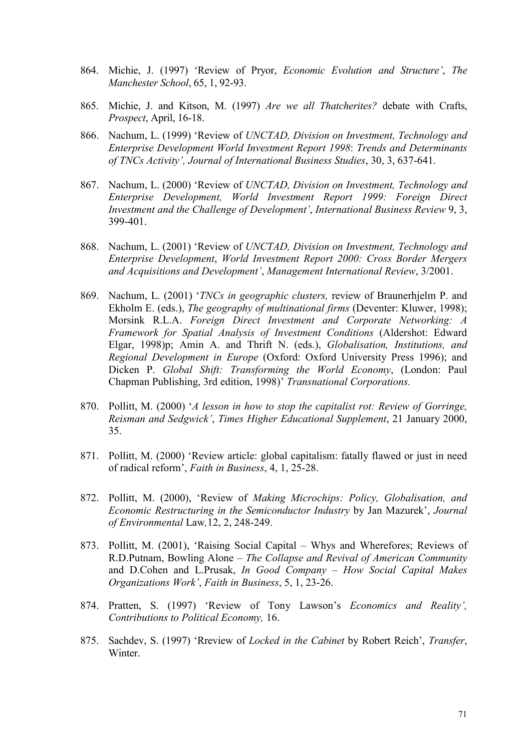- 864. Michie, J. (1997) 'Review of Pryor, *Economic Evolution and Structure'*, *The Manchester School*, 65, 1, 92-93.
- 865. Michie, J. and Kitson, M. (1997) *Are we all Thatcherites?* debate with Crafts, *Prospect*, April, 16-18.
- 866. Nachum, L. (1999) 'Review of *UNCTAD, Division on Investment, Technology and Enterprise Development World Investment Report 1998*: *Trends and Determinants of TNCs Activity', Journal of International Business Studies*, 30, 3, 637-641.
- 867. Nachum, L. (2000) 'Review of *UNCTAD, Division on Investment, Technology and Enterprise Development, World Investment Report 1999: Foreign Direct Investment and the Challenge of Development'*, *International Business Review* 9, 3, 399-401.
- 868. Nachum, L. (2001) 'Review of *UNCTAD, Division on Investment, Technology and Enterprise Development*, *World Investment Report 2000: Cross Border Mergers and Acquisitions and Development'*, *Management International Review*, 3/2001.
- 869. Nachum, L. (2001) '*TNCs in geographic clusters,* review of Braunerhjelm P. and Ekholm E. (eds.), *The geography of multinational firms* (Deventer: Kluwer, 1998); Morsink R.L.A. *Foreign Direct Investment and Corporate Networking: A Framework for Spatial Analysis of Investment Conditions* (Aldershot: Edward Elgar, 1998)p; Amin A. and Thrift N. (eds.), *Globalisation, Institutions, and Regional Development in Europe* (Oxford: Oxford University Press 1996); and Dicken P. *Global Shift: Transforming the World Economy*, (London: Paul Chapman Publishing, 3rd edition, 1998)' *Transnational Corporations.*
- 870. Pollitt, M. (2000) '*A lesson in how to stop the capitalist rot: Review of Gorringe, Reisman and Sedgwick'*, *Times Higher Educational Supplement*, 21 January 2000, 35.
- 871. Pollitt, M. (2000) 'Review article: global capitalism: fatally flawed or just in need of radical reform', *Faith in Business*, 4, 1, 25-28.
- 872. Pollitt, M. (2000), 'Review of *Making Microchips: Policy, Globalisation, and Economic Restructuring in the Semiconductor Industry* by Jan Mazurek', *Journal of Environmental* Law*,*12, 2, 248-249.
- 873. Pollitt, M. (2001), 'Raising Social Capital Whys and Wherefores; Reviews of R.D.Putnam, Bowling Alone – *The Collapse and Revival of American Community* and D.Cohen and L.Prusak, *In Good Company – How Social Capital Makes Organizations Work'*, *Faith in Business*, 5, 1, 23-26.
- 874. Pratten, S. (1997) 'Review of Tony Lawson's *Economics and Reality', Contributions to Political Economy,* 16.
- 875. Sachdev, S. (1997) 'Rreview of *Locked in the Cabinet* by Robert Reich', *Transfer*, Winter.